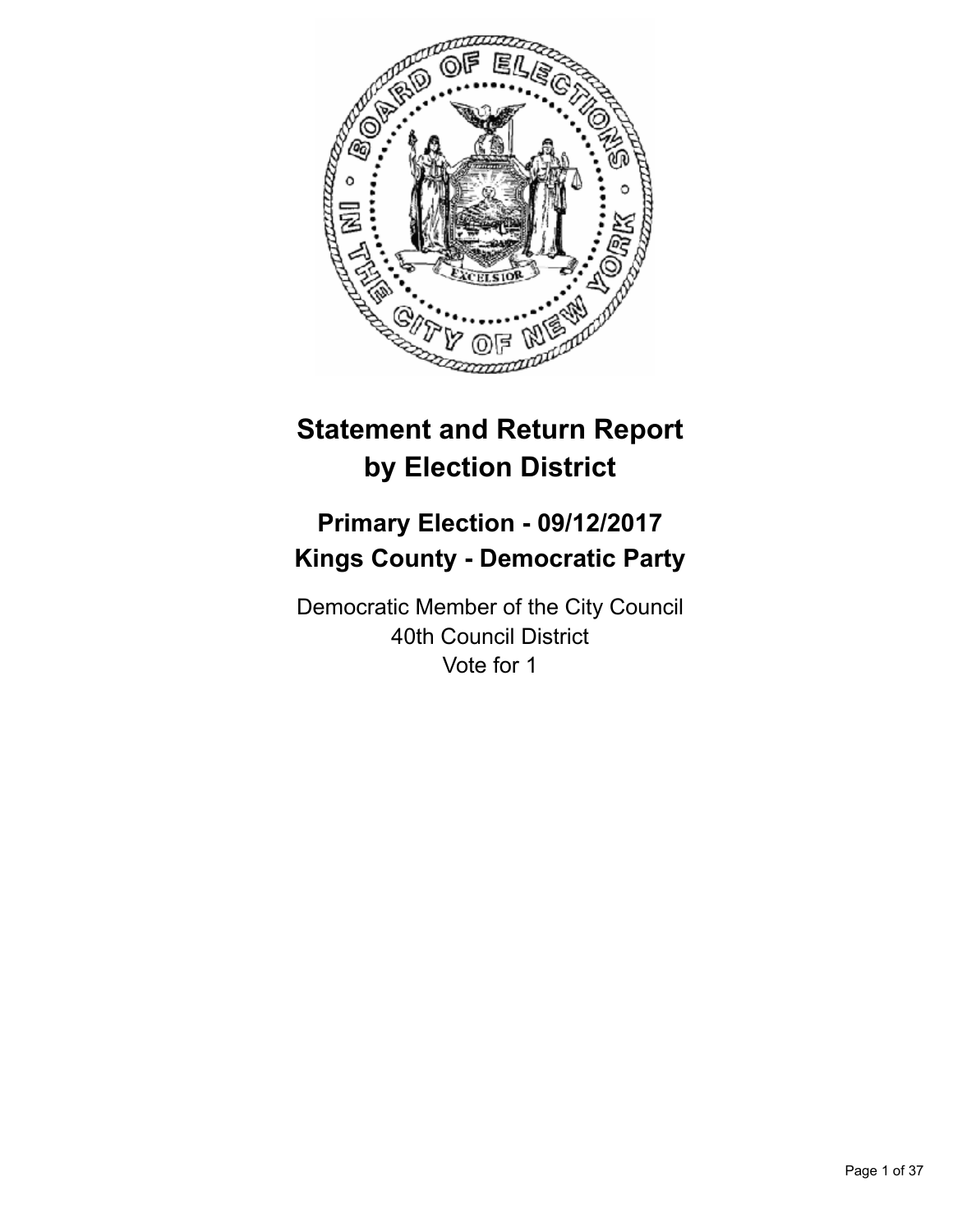

# **Statement and Return Report by Election District**

# **Primary Election - 09/12/2017 Kings County - Democratic Party**

Democratic Member of the City Council 40th Council District Vote for 1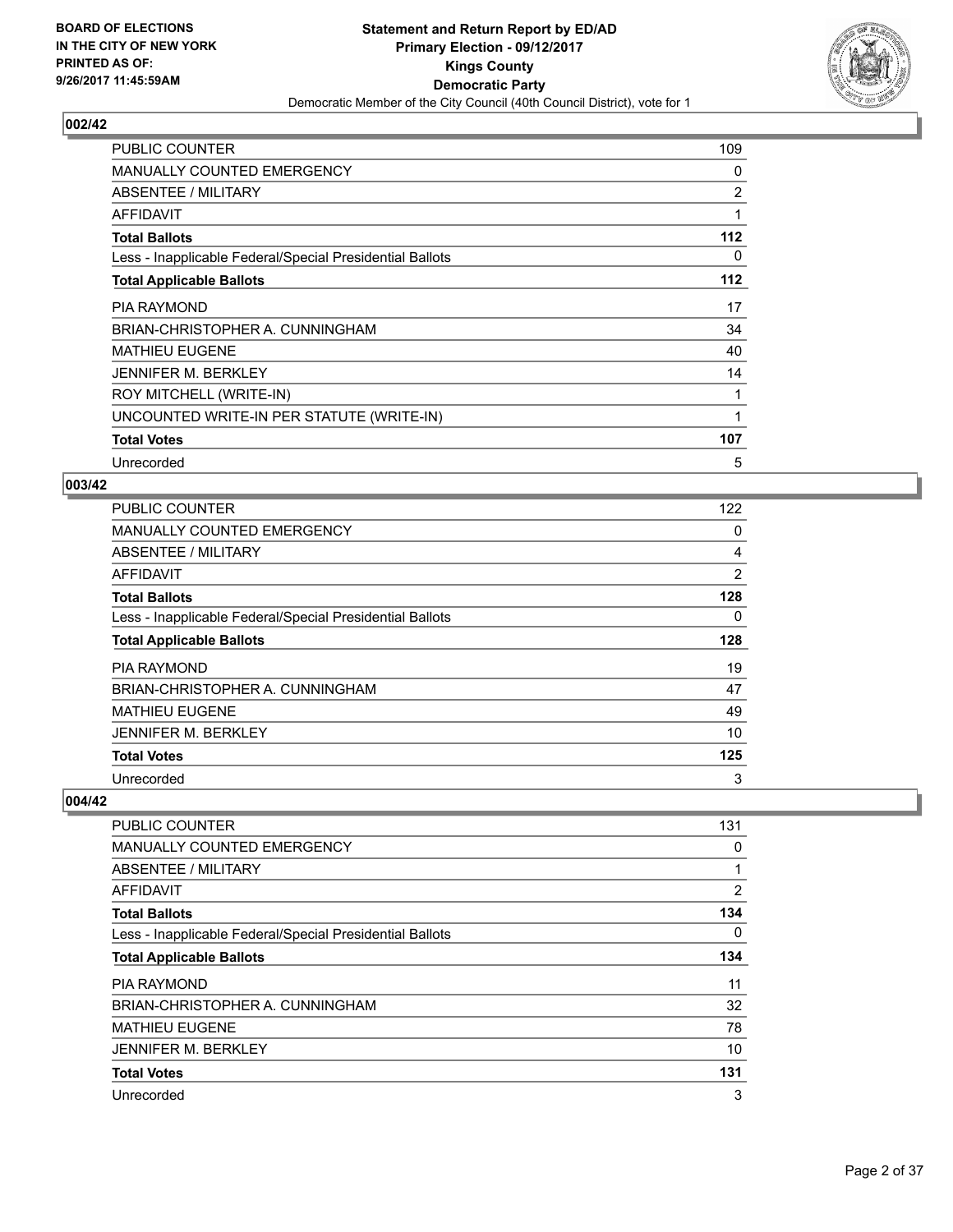

| <b>PUBLIC COUNTER</b>                                    | 109            |
|----------------------------------------------------------|----------------|
| MANUALLY COUNTED EMERGENCY                               | 0              |
| ABSENTEE / MILITARY                                      | $\overline{2}$ |
| AFFIDAVIT                                                | 1              |
| <b>Total Ballots</b>                                     | 112            |
| Less - Inapplicable Federal/Special Presidential Ballots | 0              |
| <b>Total Applicable Ballots</b>                          | 112            |
| <b>PIA RAYMOND</b>                                       | 17             |
| BRIAN-CHRISTOPHER A. CUNNINGHAM                          | 34             |
| <b>MATHIEU EUGENE</b>                                    | 40             |
| <b>JENNIFER M. BERKLEY</b>                               | 14             |
| ROY MITCHELL (WRITE-IN)                                  |                |
| UNCOUNTED WRITE-IN PER STATUTE (WRITE-IN)                | 1              |
| <b>Total Votes</b>                                       | 107            |
| Unrecorded                                               | 5              |

## **003/42**

| PUBLIC COUNTER                                           | 122 |
|----------------------------------------------------------|-----|
| <b>MANUALLY COUNTED EMERGENCY</b>                        | 0   |
| ABSENTEE / MILITARY                                      | 4   |
| AFFIDAVIT                                                | 2   |
| <b>Total Ballots</b>                                     | 128 |
| Less - Inapplicable Federal/Special Presidential Ballots | 0   |
| <b>Total Applicable Ballots</b>                          | 128 |
| <b>PIA RAYMOND</b>                                       | 19  |
| BRIAN-CHRISTOPHER A. CUNNINGHAM                          | 47  |
| <b>MATHIEU EUGENE</b>                                    | 49  |
| <b>JENNIFER M. BERKLEY</b>                               | 10  |
| <b>Total Votes</b>                                       | 125 |
| Unrecorded                                               | 3   |

| <b>PUBLIC COUNTER</b>                                    | 131            |
|----------------------------------------------------------|----------------|
| <b>MANUALLY COUNTED EMERGENCY</b>                        | 0              |
| ABSENTEE / MILITARY                                      | 1              |
| AFFIDAVIT                                                | $\overline{2}$ |
| <b>Total Ballots</b>                                     | 134            |
| Less - Inapplicable Federal/Special Presidential Ballots | 0              |
| <b>Total Applicable Ballots</b>                          | 134            |
| <b>PIA RAYMOND</b>                                       | 11             |
| BRIAN-CHRISTOPHER A. CUNNINGHAM                          | 32             |
| <b>MATHIEU EUGENE</b>                                    | 78             |
| <b>JENNIFER M. BERKLEY</b>                               | 10             |
| <b>Total Votes</b>                                       | 131            |
| Unrecorded                                               | 3              |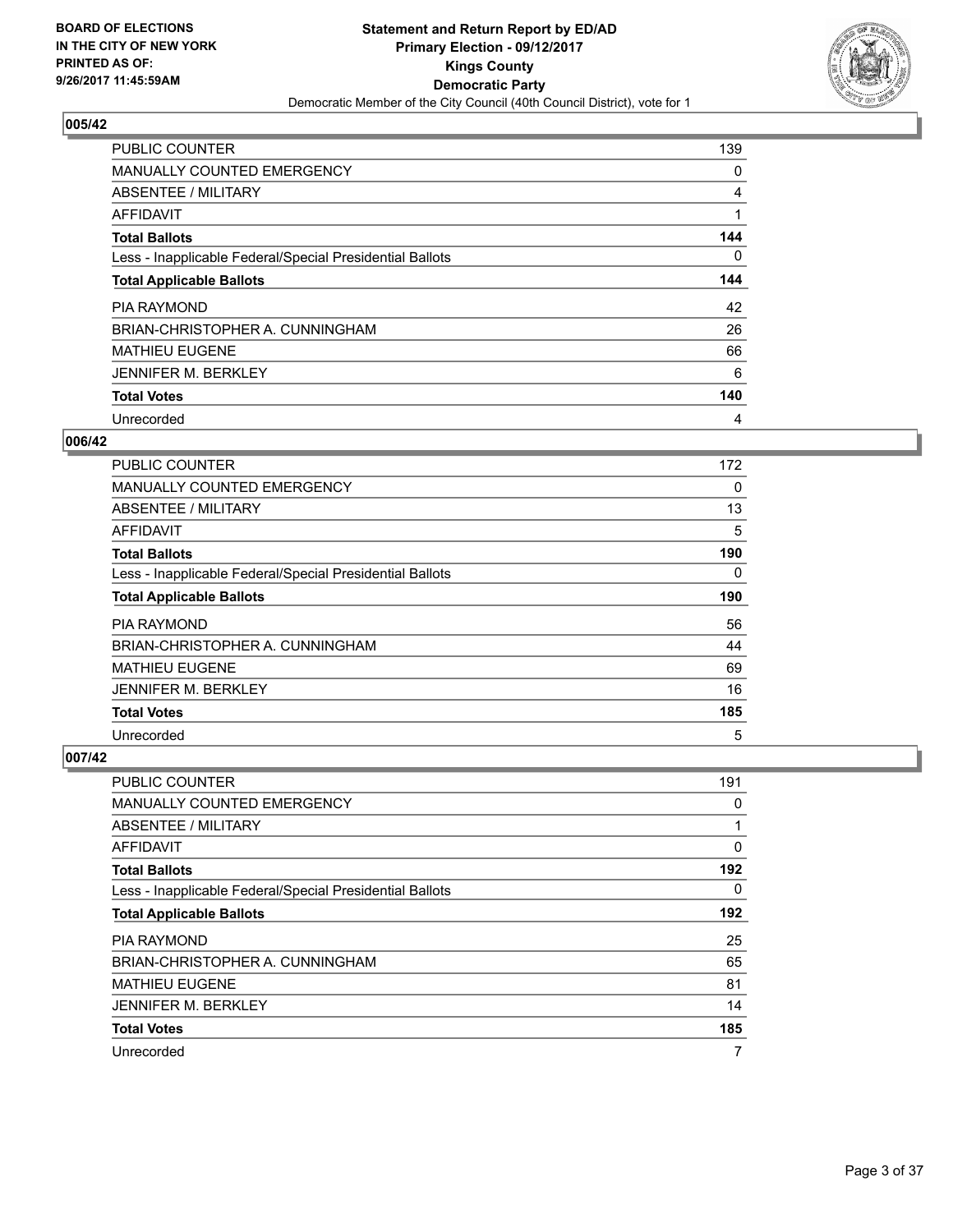

| <b>PUBLIC COUNTER</b>                                    | 139 |
|----------------------------------------------------------|-----|
| <b>MANUALLY COUNTED EMERGENCY</b>                        | 0   |
| ABSENTEE / MILITARY                                      | 4   |
| AFFIDAVIT                                                |     |
| <b>Total Ballots</b>                                     | 144 |
| Less - Inapplicable Federal/Special Presidential Ballots | 0   |
| <b>Total Applicable Ballots</b>                          | 144 |
| <b>PIA RAYMOND</b>                                       | 42  |
| BRIAN-CHRISTOPHER A. CUNNINGHAM                          | 26  |
| <b>MATHIEU EUGENE</b>                                    | 66  |
| <b>JENNIFER M. BERKLEY</b>                               | 6   |
| <b>Total Votes</b>                                       | 140 |
| Unrecorded                                               | 4   |

#### **006/42**

| <b>PUBLIC COUNTER</b>                                    | 172 |
|----------------------------------------------------------|-----|
| MANUALLY COUNTED EMERGENCY                               | 0   |
| ABSENTEE / MILITARY                                      | 13  |
| AFFIDAVIT                                                | 5   |
| <b>Total Ballots</b>                                     | 190 |
| Less - Inapplicable Federal/Special Presidential Ballots | 0   |
| <b>Total Applicable Ballots</b>                          | 190 |
| <b>PIA RAYMOND</b>                                       | 56  |
| BRIAN-CHRISTOPHER A. CUNNINGHAM                          | 44  |
| <b>MATHIEU EUGENE</b>                                    | 69  |
| <b>JENNIFER M. BERKLEY</b>                               | 16  |
| <b>Total Votes</b>                                       | 185 |
| Unrecorded                                               | 5   |

| <b>PUBLIC COUNTER</b>                                    | 191 |
|----------------------------------------------------------|-----|
| <b>MANUALLY COUNTED EMERGENCY</b>                        | 0   |
| ABSENTEE / MILITARY                                      | 1   |
| AFFIDAVIT                                                | 0   |
| <b>Total Ballots</b>                                     | 192 |
| Less - Inapplicable Federal/Special Presidential Ballots | 0   |
| <b>Total Applicable Ballots</b>                          | 192 |
| <b>PIA RAYMOND</b>                                       | 25  |
| BRIAN-CHRISTOPHER A. CUNNINGHAM                          | 65  |
| <b>MATHIEU EUGENE</b>                                    | 81  |
| <b>JENNIFER M. BERKLEY</b>                               | 14  |
| <b>Total Votes</b>                                       | 185 |
| Unrecorded                                               | 7   |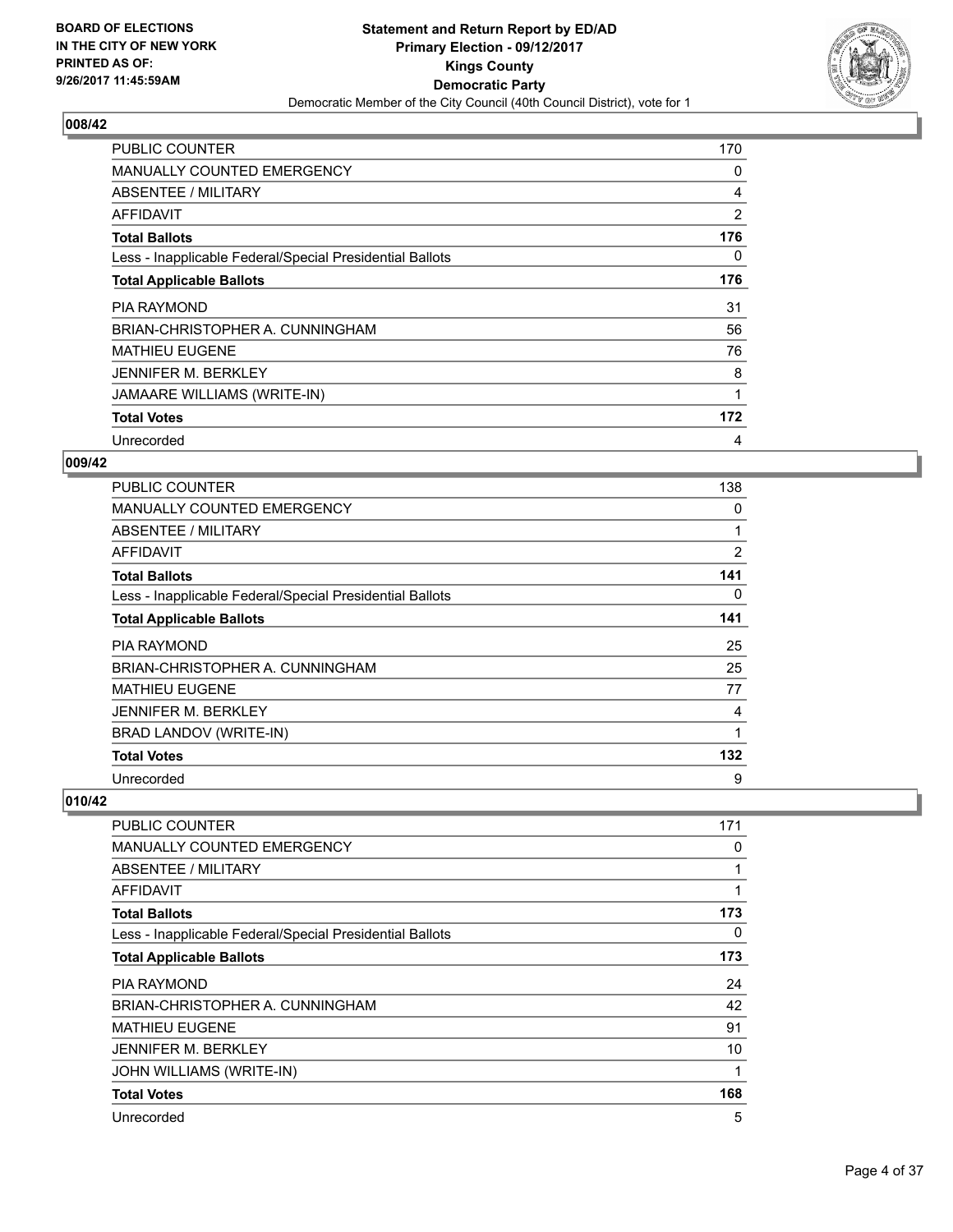

| <b>PUBLIC COUNTER</b>                                    | 170            |
|----------------------------------------------------------|----------------|
| <b>MANUALLY COUNTED EMERGENCY</b>                        | 0              |
| <b>ABSENTEE / MILITARY</b>                               | 4              |
| AFFIDAVIT                                                | $\overline{2}$ |
| <b>Total Ballots</b>                                     | 176            |
| Less - Inapplicable Federal/Special Presidential Ballots | 0              |
| <b>Total Applicable Ballots</b>                          | 176            |
| PIA RAYMOND                                              | 31             |
| BRIAN-CHRISTOPHER A. CUNNINGHAM                          | 56             |
| MATHIEU EUGENE                                           | 76             |
| JENNIFER M. BERKLEY                                      | 8              |
| JAMAARE WILLIAMS (WRITE-IN)                              | 1              |
|                                                          |                |
| <b>Total Votes</b>                                       | 172            |

## **009/42**

| <b>PUBLIC COUNTER</b>                                    | 138            |
|----------------------------------------------------------|----------------|
| <b>MANUALLY COUNTED EMERGENCY</b>                        | 0              |
| ABSENTEE / MILITARY                                      |                |
| AFFIDAVIT                                                | $\overline{2}$ |
| <b>Total Ballots</b>                                     | 141            |
| Less - Inapplicable Federal/Special Presidential Ballots | 0              |
| <b>Total Applicable Ballots</b>                          | 141            |
| <b>PIA RAYMOND</b>                                       | 25             |
| BRIAN-CHRISTOPHER A. CUNNINGHAM                          | 25             |
| <b>MATHIEU EUGENE</b>                                    | 77             |
| <b>JENNIFER M. BERKLEY</b>                               | 4              |
| BRAD LANDOV (WRITE-IN)                                   | 1              |
| <b>Total Votes</b>                                       | 132            |
| Unrecorded                                               | 9              |

| <b>PUBLIC COUNTER</b>                                    | 171         |
|----------------------------------------------------------|-------------|
| <b>MANUALLY COUNTED EMERGENCY</b>                        | 0           |
| <b>ABSENTEE / MILITARY</b>                               | 1           |
| AFFIDAVIT                                                | $\mathbf 1$ |
| <b>Total Ballots</b>                                     | 173         |
| Less - Inapplicable Federal/Special Presidential Ballots | 0           |
| <b>Total Applicable Ballots</b>                          | 173         |
| <b>PIA RAYMOND</b>                                       | 24          |
| BRIAN-CHRISTOPHER A. CUNNINGHAM                          | 42          |
| <b>MATHIEU EUGENE</b>                                    | 91          |
| <b>JENNIFER M. BERKLEY</b>                               | 10          |
| JOHN WILLIAMS (WRITE-IN)                                 | 1           |
| <b>Total Votes</b>                                       | 168         |
| Unrecorded                                               | 5           |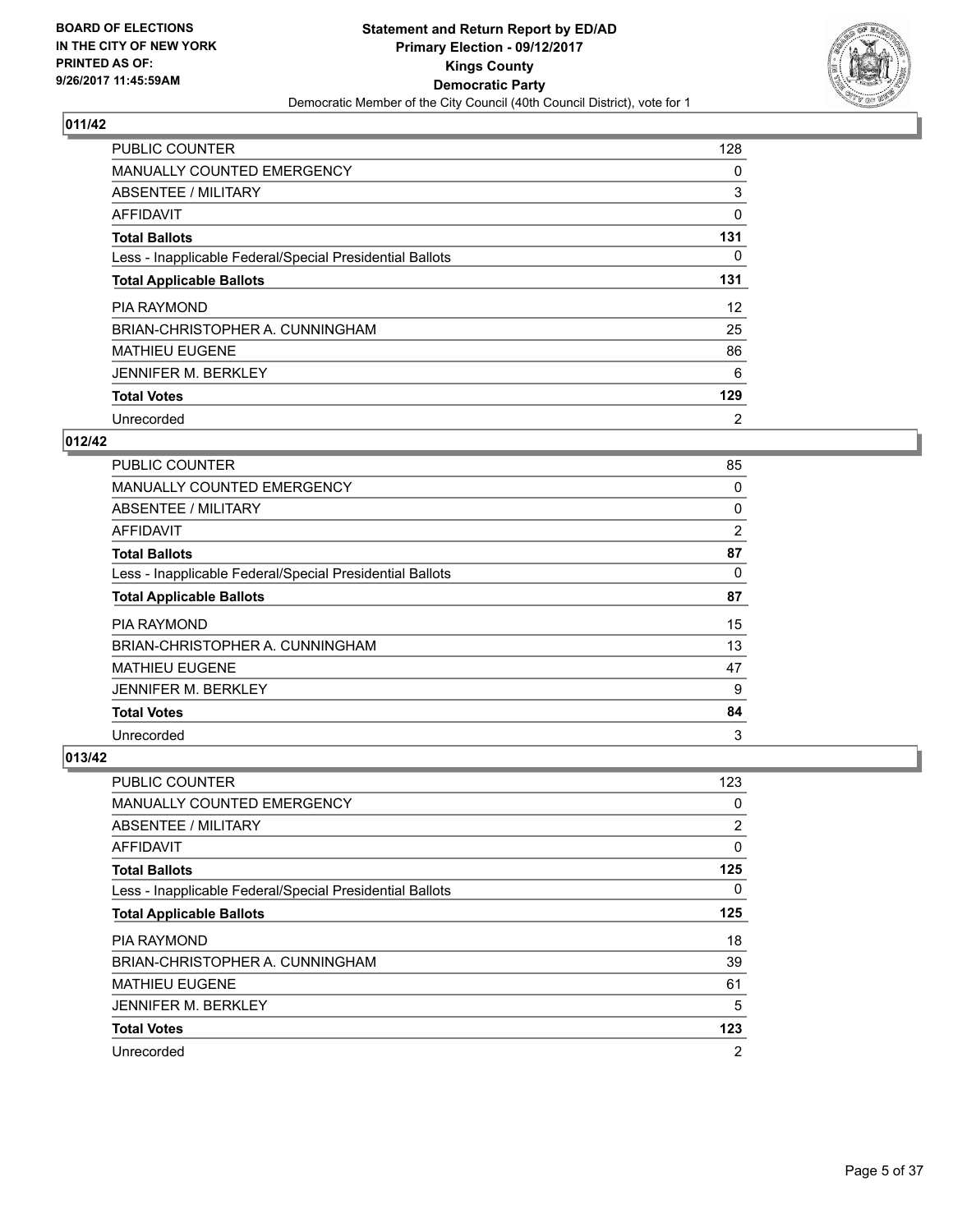

| <b>PUBLIC COUNTER</b>                                    | 128 |
|----------------------------------------------------------|-----|
| MANUALLY COUNTED EMERGENCY                               | 0   |
| ABSENTEE / MILITARY                                      | 3   |
| <b>AFFIDAVIT</b>                                         | 0   |
| <b>Total Ballots</b>                                     | 131 |
| Less - Inapplicable Federal/Special Presidential Ballots | 0   |
| <b>Total Applicable Ballots</b>                          | 131 |
| <b>PIA RAYMOND</b>                                       | 12  |
| BRIAN-CHRISTOPHER A. CUNNINGHAM                          | 25  |
| <b>MATHIEU EUGENE</b>                                    | 86  |
| <b>JENNIFER M. BERKLEY</b>                               | 6   |
| <b>Total Votes</b>                                       | 129 |
| Unrecorded                                               | 2   |

## **012/42**

| PUBLIC COUNTER                                           | 85 |
|----------------------------------------------------------|----|
| <b>MANUALLY COUNTED EMERGENCY</b>                        | 0  |
| ABSENTEE / MILITARY                                      | 0  |
| AFFIDAVIT                                                | 2  |
| <b>Total Ballots</b>                                     | 87 |
| Less - Inapplicable Federal/Special Presidential Ballots | 0  |
| <b>Total Applicable Ballots</b>                          | 87 |
| <b>PIA RAYMOND</b>                                       | 15 |
| BRIAN-CHRISTOPHER A. CUNNINGHAM                          | 13 |
| <b>MATHIEU EUGENE</b>                                    | 47 |
| <b>JENNIFER M. BERKLEY</b>                               | 9  |
| <b>Total Votes</b>                                       | 84 |
| Unrecorded                                               | 3  |

| <b>PUBLIC COUNTER</b>                                    | 123            |
|----------------------------------------------------------|----------------|
| <b>MANUALLY COUNTED EMERGENCY</b>                        | 0              |
| ABSENTEE / MILITARY                                      | 2              |
| AFFIDAVIT                                                | 0              |
| <b>Total Ballots</b>                                     | 125            |
| Less - Inapplicable Federal/Special Presidential Ballots | 0              |
| <b>Total Applicable Ballots</b>                          | 125            |
| PIA RAYMOND                                              | 18             |
| BRIAN-CHRISTOPHER A. CUNNINGHAM                          | 39             |
| <b>MATHIEU EUGENE</b>                                    | 61             |
| <b>JENNIFER M. BERKLEY</b>                               | 5              |
| <b>Total Votes</b>                                       | 123            |
| Unrecorded                                               | $\overline{2}$ |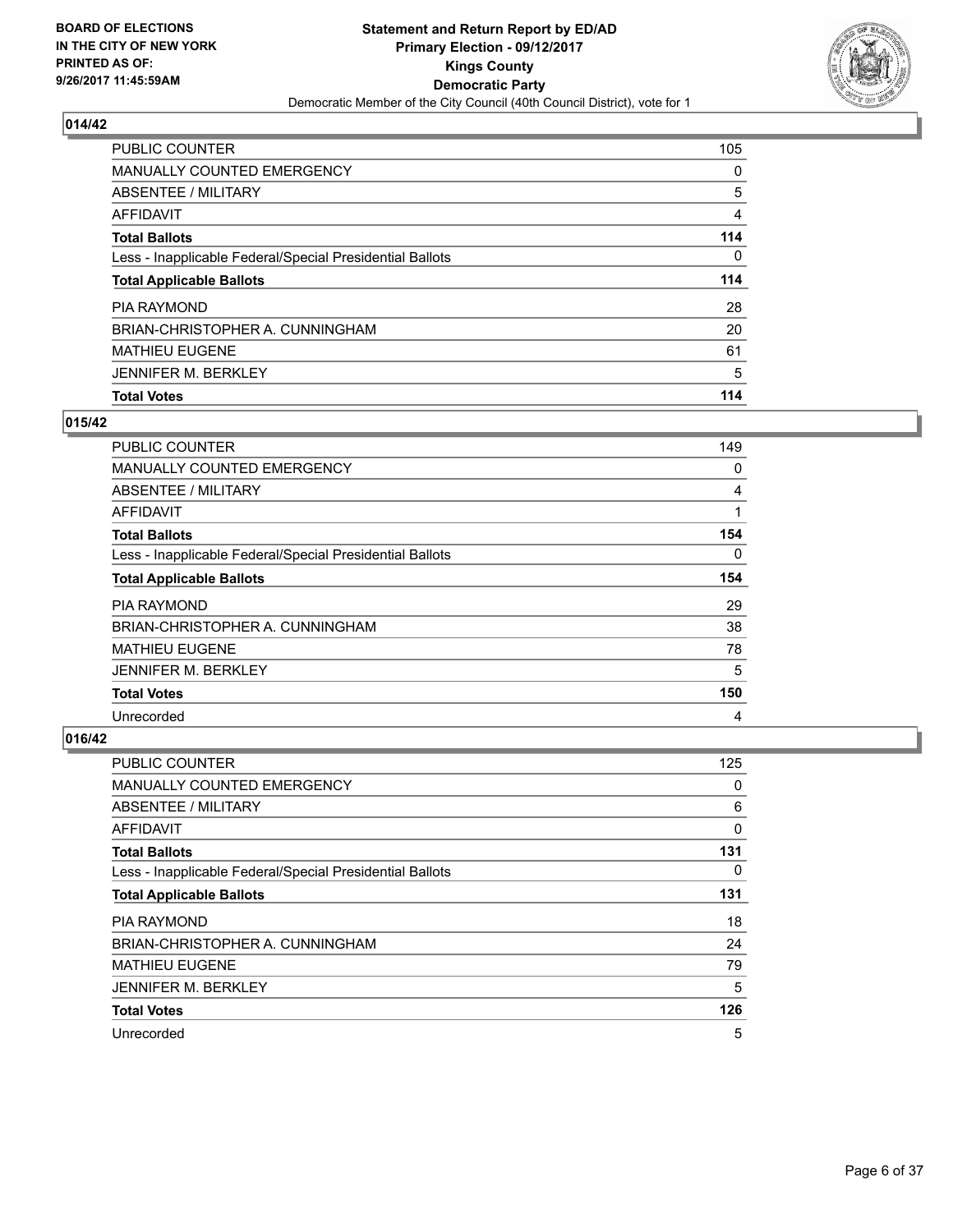

| PUBLIC COUNTER                                           | 105 |
|----------------------------------------------------------|-----|
| <b>MANUALLY COUNTED EMERGENCY</b>                        | 0   |
| ABSENTEE / MILITARY                                      | 5   |
| AFFIDAVIT                                                | 4   |
| <b>Total Ballots</b>                                     | 114 |
| Less - Inapplicable Federal/Special Presidential Ballots | 0   |
| <b>Total Applicable Ballots</b>                          | 114 |
| <b>PIA RAYMOND</b>                                       | 28  |
| BRIAN-CHRISTOPHER A. CUNNINGHAM                          | 20  |
| <b>MATHIEU EUGENE</b>                                    | 61  |
| <b>JENNIFER M. BERKLEY</b>                               | 5   |
| <b>Total Votes</b>                                       | 114 |

## **015/42**

| <b>PUBLIC COUNTER</b>                                    | 149      |
|----------------------------------------------------------|----------|
| <b>MANUALLY COUNTED EMERGENCY</b>                        | 0        |
| ABSENTEE / MILITARY                                      | 4        |
| AFFIDAVIT                                                | 1        |
| <b>Total Ballots</b>                                     | 154      |
| Less - Inapplicable Federal/Special Presidential Ballots | $\Omega$ |
| <b>Total Applicable Ballots</b>                          | 154      |
| <b>PIA RAYMOND</b>                                       | 29       |
| BRIAN-CHRISTOPHER A. CUNNINGHAM                          | 38       |
| <b>MATHIEU EUGENE</b>                                    | 78       |
| <b>JENNIFER M. BERKLEY</b>                               | 5        |
| <b>Total Votes</b>                                       | 150      |
| Unrecorded                                               | 4        |

| <b>PUBLIC COUNTER</b>                                    | 125 |
|----------------------------------------------------------|-----|
| <b>MANUALLY COUNTED EMERGENCY</b>                        | 0   |
| ABSENTEE / MILITARY                                      | 6   |
| AFFIDAVIT                                                | 0   |
| <b>Total Ballots</b>                                     | 131 |
| Less - Inapplicable Federal/Special Presidential Ballots | 0   |
| <b>Total Applicable Ballots</b>                          | 131 |
| <b>PIA RAYMOND</b>                                       | 18  |
| BRIAN-CHRISTOPHER A. CUNNINGHAM                          | 24  |
| <b>MATHIEU EUGENE</b>                                    | 79  |
| <b>JENNIFER M. BERKLEY</b>                               | 5   |
| <b>Total Votes</b>                                       | 126 |
| Unrecorded                                               | 5   |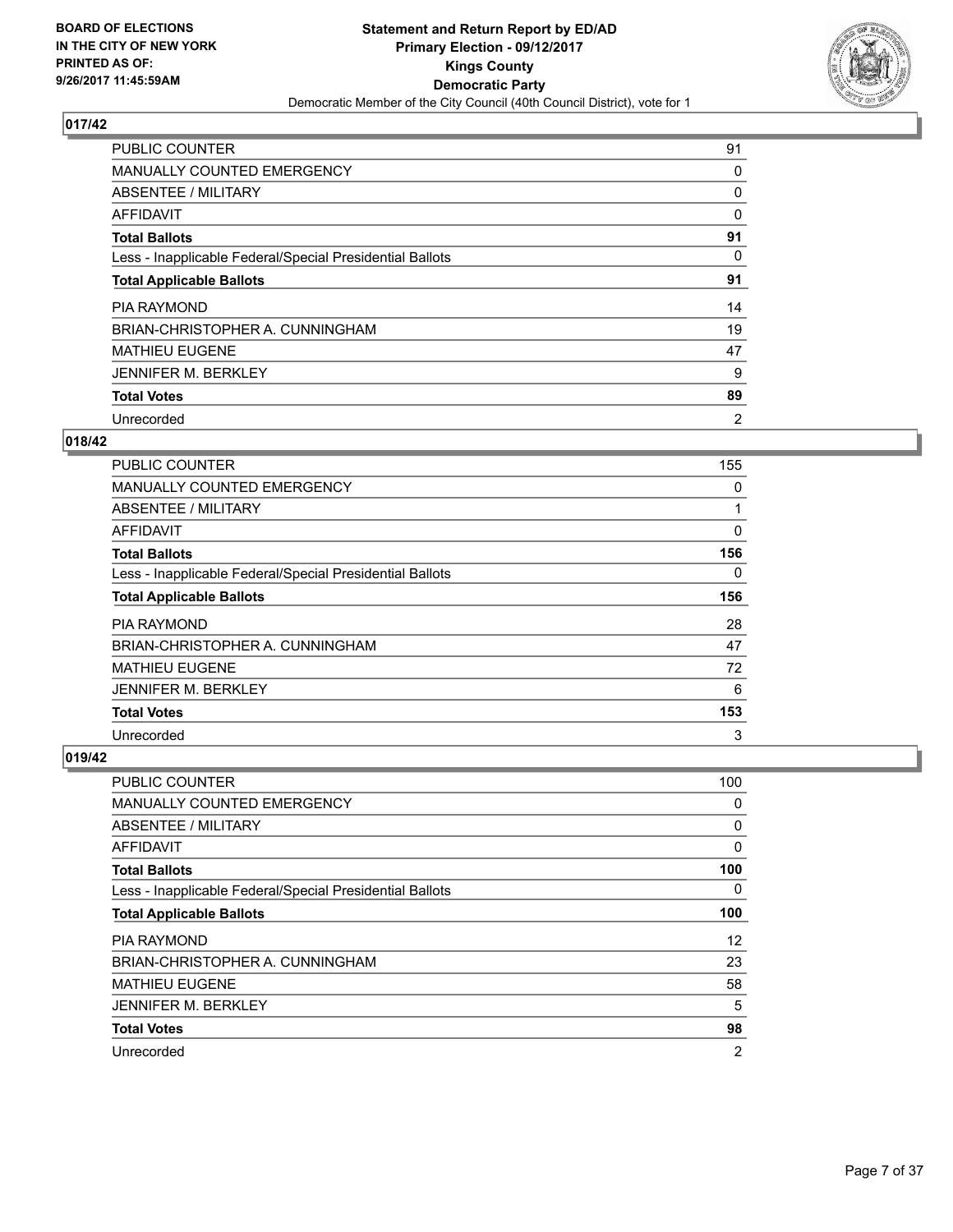

| <b>PUBLIC COUNTER</b>                                    | 91             |
|----------------------------------------------------------|----------------|
| MANUALLY COUNTED EMERGENCY                               | 0              |
| ABSENTEE / MILITARY                                      | 0              |
| AFFIDAVIT                                                | 0              |
| <b>Total Ballots</b>                                     | 91             |
| Less - Inapplicable Federal/Special Presidential Ballots | 0              |
| <b>Total Applicable Ballots</b>                          | 91             |
| <b>PIA RAYMOND</b>                                       | 14             |
| BRIAN-CHRISTOPHER A. CUNNINGHAM                          | 19             |
| <b>MATHIEU EUGENE</b>                                    | 47             |
| <b>JENNIFER M. BERKLEY</b>                               | 9              |
| <b>Total Votes</b>                                       | 89             |
| Unrecorded                                               | $\overline{2}$ |

#### **018/42**

| <b>PUBLIC COUNTER</b>                                    | 155 |
|----------------------------------------------------------|-----|
| <b>MANUALLY COUNTED EMERGENCY</b>                        | 0   |
| ABSENTEE / MILITARY                                      |     |
| AFFIDAVIT                                                | 0   |
| <b>Total Ballots</b>                                     | 156 |
| Less - Inapplicable Federal/Special Presidential Ballots | 0   |
| <b>Total Applicable Ballots</b>                          | 156 |
| <b>PIA RAYMOND</b>                                       | 28  |
| BRIAN-CHRISTOPHER A. CUNNINGHAM                          | 47  |
| <b>MATHIEU EUGENE</b>                                    | 72  |
| <b>JENNIFER M. BERKLEY</b>                               | 6   |
| <b>Total Votes</b>                                       | 153 |
| Unrecorded                                               | 3   |

| <b>PUBLIC COUNTER</b>                                    | 100            |
|----------------------------------------------------------|----------------|
| <b>MANUALLY COUNTED EMERGENCY</b>                        | 0              |
| ABSENTEE / MILITARY                                      | 0              |
| AFFIDAVIT                                                | 0              |
| <b>Total Ballots</b>                                     | 100            |
| Less - Inapplicable Federal/Special Presidential Ballots | 0              |
| <b>Total Applicable Ballots</b>                          | 100            |
| PIA RAYMOND                                              | 12             |
| BRIAN-CHRISTOPHER A. CUNNINGHAM                          | 23             |
| <b>MATHIEU EUGENE</b>                                    | 58             |
| <b>JENNIFER M. BERKLEY</b>                               | 5              |
| <b>Total Votes</b>                                       | 98             |
| Unrecorded                                               | $\overline{2}$ |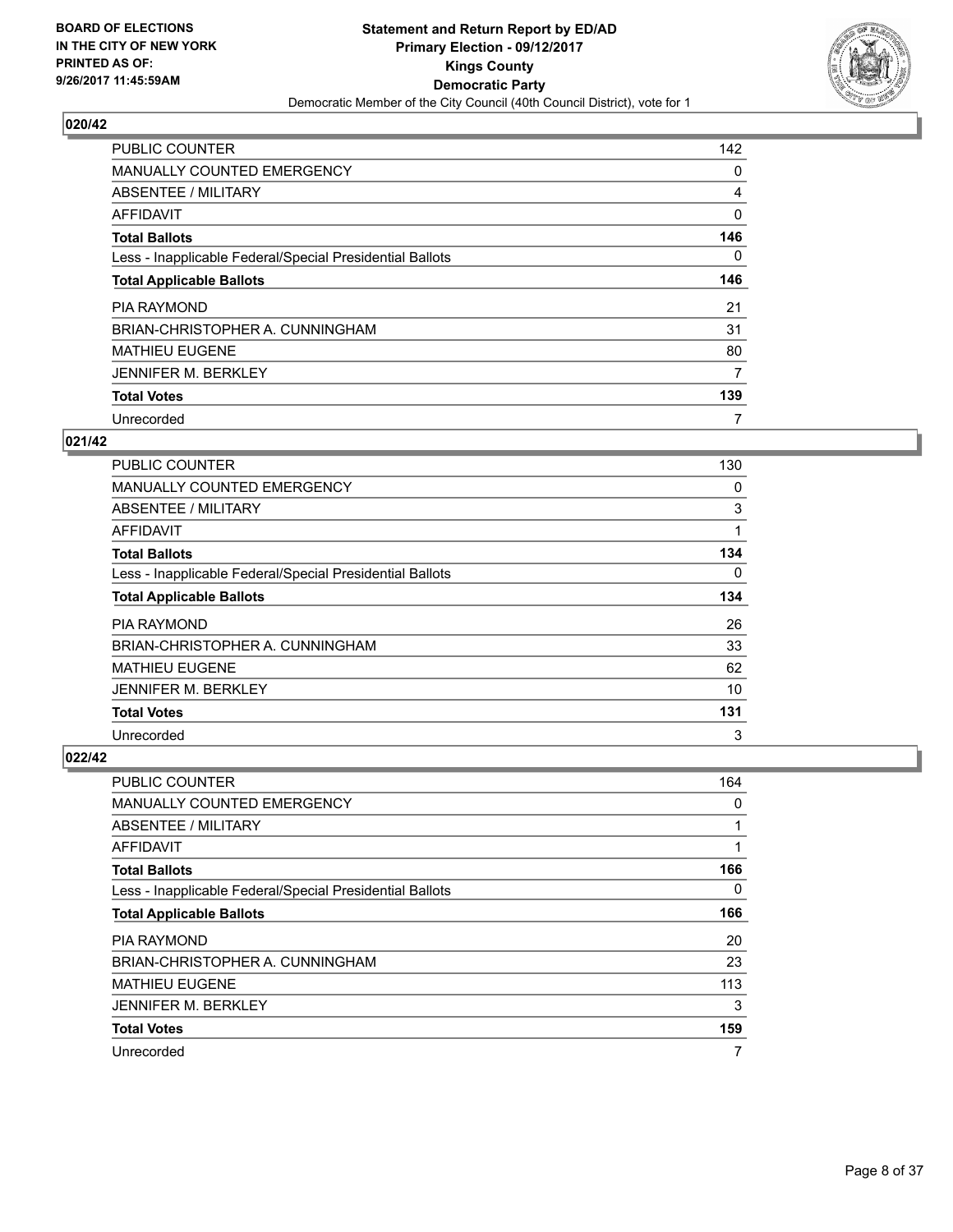

| <b>PUBLIC COUNTER</b>                                    | 142      |
|----------------------------------------------------------|----------|
| MANUALLY COUNTED EMERGENCY                               | 0        |
| ABSENTEE / MILITARY                                      | 4        |
| <b>AFFIDAVIT</b>                                         | 0        |
| <b>Total Ballots</b>                                     | 146      |
| Less - Inapplicable Federal/Special Presidential Ballots | $\Omega$ |
| <b>Total Applicable Ballots</b>                          | 146      |
| <b>PIA RAYMOND</b>                                       | 21       |
| BRIAN-CHRISTOPHER A. CUNNINGHAM                          | 31       |
| <b>MATHIEU EUGENE</b>                                    | 80       |
| <b>JENNIFER M. BERKLEY</b>                               | 7        |
| <b>Total Votes</b>                                       | 139      |
| Unrecorded                                               | 7        |

## **021/42**

| <b>PUBLIC COUNTER</b>                                    | 130 |
|----------------------------------------------------------|-----|
| MANUALLY COUNTED EMERGENCY                               | 0   |
| ABSENTEE / MILITARY                                      | 3   |
| AFFIDAVIT                                                | 1   |
| <b>Total Ballots</b>                                     | 134 |
| Less - Inapplicable Federal/Special Presidential Ballots | 0   |
| <b>Total Applicable Ballots</b>                          | 134 |
| <b>PIA RAYMOND</b>                                       | 26  |
| BRIAN-CHRISTOPHER A. CUNNINGHAM                          | 33  |
| <b>MATHIEU EUGENE</b>                                    | 62  |
| <b>JENNIFER M. BERKLEY</b>                               | 10  |
| <b>Total Votes</b>                                       | 131 |
| Unrecorded                                               | 3   |

| <b>PUBLIC COUNTER</b>                                    | 164 |
|----------------------------------------------------------|-----|
| MANUALLY COUNTED EMERGENCY                               | 0   |
| ABSENTEE / MILITARY                                      |     |
| AFFIDAVIT                                                |     |
| <b>Total Ballots</b>                                     | 166 |
| Less - Inapplicable Federal/Special Presidential Ballots | 0   |
| <b>Total Applicable Ballots</b>                          | 166 |
| <b>PIA RAYMOND</b>                                       | 20  |
| BRIAN-CHRISTOPHER A. CUNNINGHAM                          | 23  |
| <b>MATHIEU EUGENE</b>                                    | 113 |
| <b>JENNIFER M. BERKLEY</b>                               | 3   |
| <b>Total Votes</b>                                       | 159 |
| Unrecorded                                               | 7   |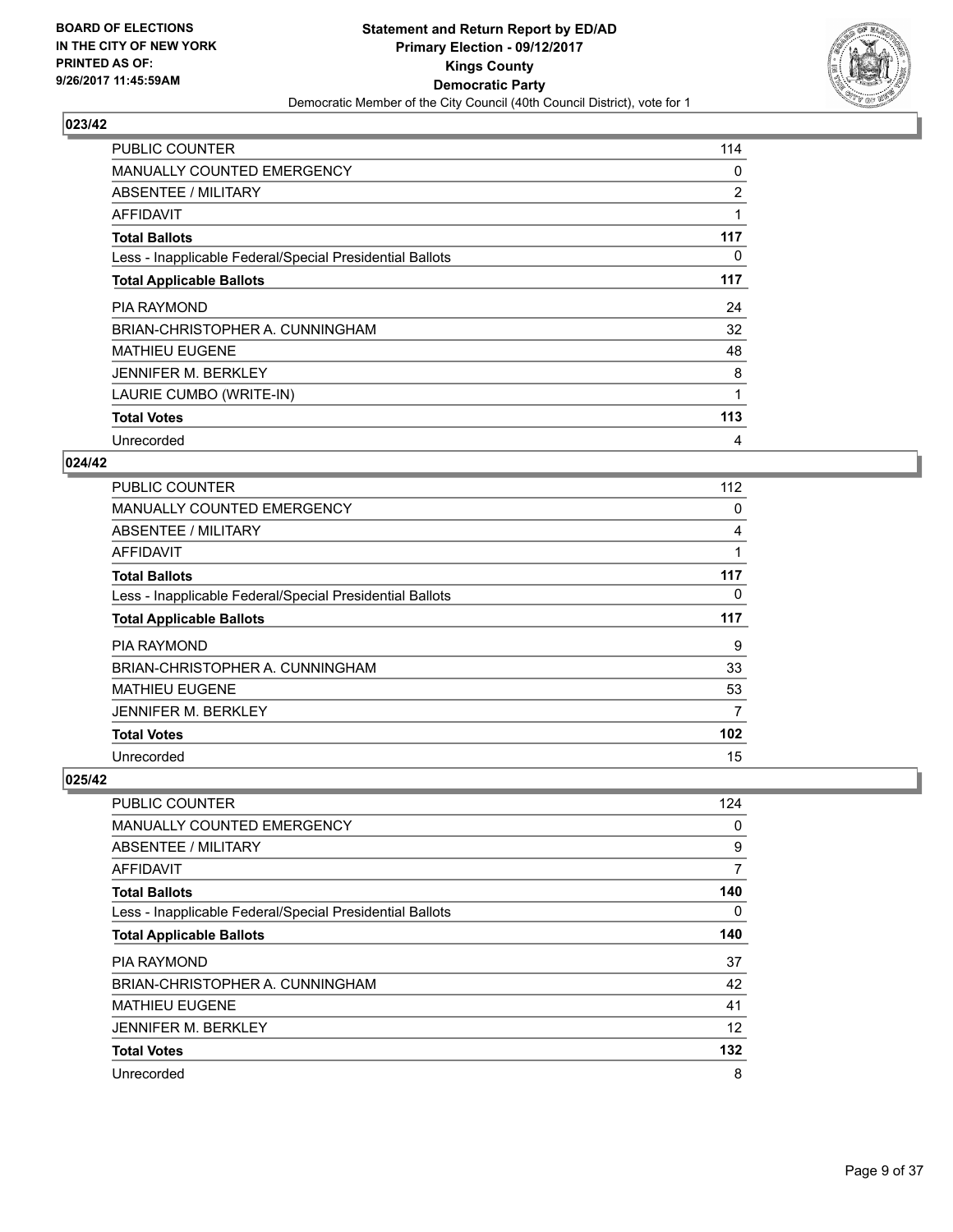

| <b>PUBLIC COUNTER</b>                                    | 114 |
|----------------------------------------------------------|-----|
| <b>MANUALLY COUNTED EMERGENCY</b>                        | 0   |
| ABSENTEE / MILITARY                                      | 2   |
| AFFIDAVIT                                                |     |
| <b>Total Ballots</b>                                     | 117 |
| Less - Inapplicable Federal/Special Presidential Ballots | 0   |
| <b>Total Applicable Ballots</b>                          | 117 |
|                                                          |     |
| <b>PIA RAYMOND</b>                                       | 24  |
| BRIAN-CHRISTOPHER A. CUNNINGHAM                          | 32  |
| <b>MATHIEU EUGENE</b>                                    | 48  |
| <b>JENNIFER M. BERKLEY</b>                               | 8   |
| LAURIE CUMBO (WRITE-IN)                                  | 1   |
| <b>Total Votes</b>                                       | 113 |

## **024/42**

| <b>PUBLIC COUNTER</b>                                    | 112 |
|----------------------------------------------------------|-----|
| <b>MANUALLY COUNTED EMERGENCY</b>                        | 0   |
| ABSENTEE / MILITARY                                      | 4   |
| AFFIDAVIT                                                |     |
| <b>Total Ballots</b>                                     | 117 |
| Less - Inapplicable Federal/Special Presidential Ballots | 0   |
| <b>Total Applicable Ballots</b>                          | 117 |
| <b>PIA RAYMOND</b>                                       | 9   |
| BRIAN-CHRISTOPHER A. CUNNINGHAM                          | 33  |
| <b>MATHIEU EUGENE</b>                                    | 53  |
| <b>JENNIFER M. BERKLEY</b>                               | 7   |
| <b>Total Votes</b>                                       | 102 |
| Unrecorded                                               | 15  |

| PUBLIC COUNTER                                           | 124 |
|----------------------------------------------------------|-----|
| <b>MANUALLY COUNTED EMERGENCY</b>                        | 0   |
| ABSENTEE / MILITARY                                      | 9   |
| AFFIDAVIT                                                | 7   |
| <b>Total Ballots</b>                                     | 140 |
| Less - Inapplicable Federal/Special Presidential Ballots | 0   |
| <b>Total Applicable Ballots</b>                          | 140 |
| <b>PIA RAYMOND</b>                                       | 37  |
| BRIAN-CHRISTOPHER A. CUNNINGHAM                          | 42  |
| <b>MATHIEU EUGENE</b>                                    | 41  |
| <b>JENNIFER M. BERKLEY</b>                               | 12  |
| <b>Total Votes</b>                                       | 132 |
| Unrecorded                                               | 8   |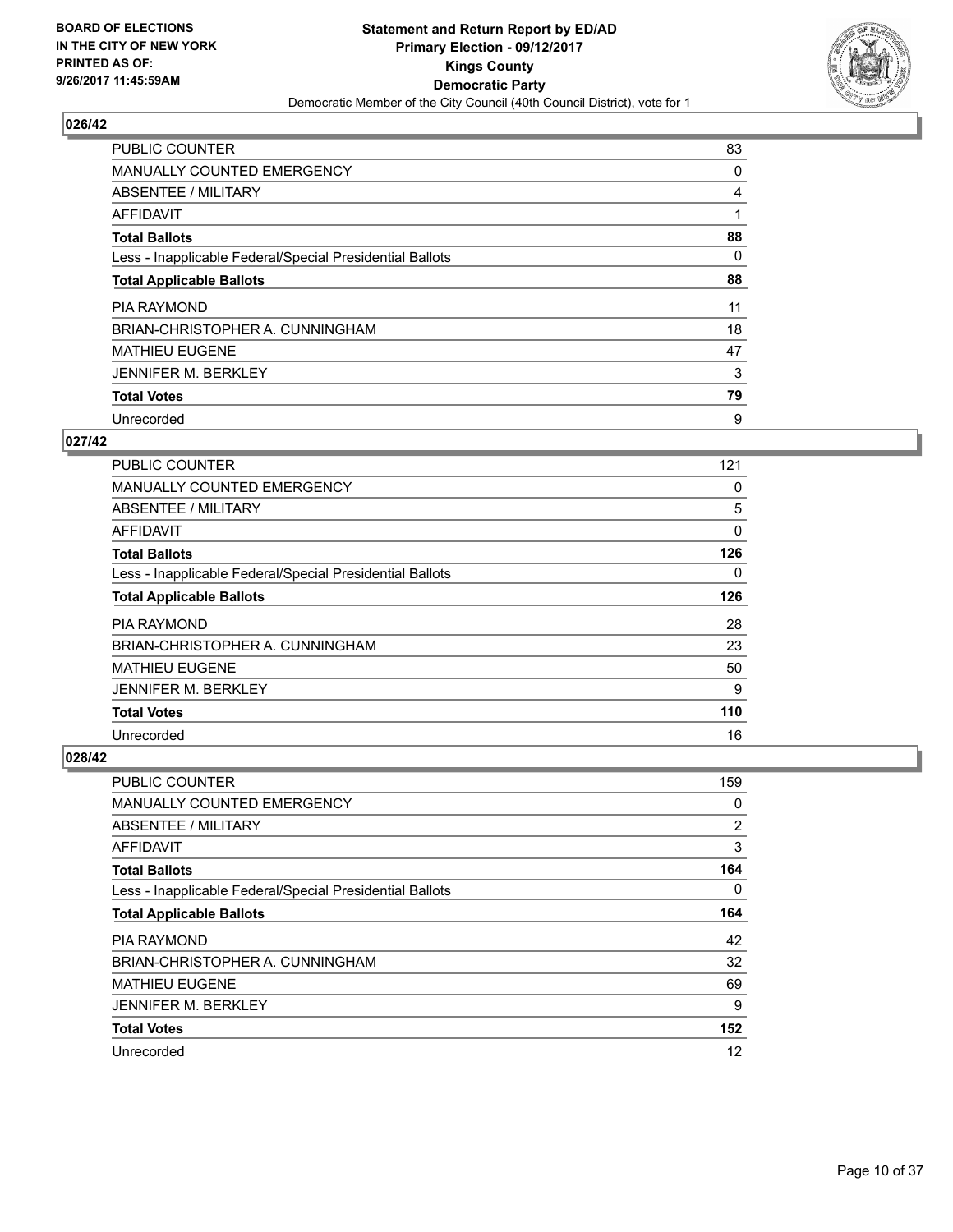

| <b>PUBLIC COUNTER</b>                                    | 83 |
|----------------------------------------------------------|----|
| <b>MANUALLY COUNTED EMERGENCY</b>                        | 0  |
| ABSENTEE / MILITARY                                      | 4  |
| AFFIDAVIT                                                |    |
| <b>Total Ballots</b>                                     | 88 |
| Less - Inapplicable Federal/Special Presidential Ballots | 0  |
| <b>Total Applicable Ballots</b>                          | 88 |
| <b>PIA RAYMOND</b>                                       | 11 |
| BRIAN-CHRISTOPHER A. CUNNINGHAM                          | 18 |
| <b>MATHIEU EUGENE</b>                                    | 47 |
| <b>JENNIFER M. BERKLEY</b>                               | 3  |
| <b>Total Votes</b>                                       | 79 |
| Unrecorded                                               | 9  |

#### **027/42**

| <b>PUBLIC COUNTER</b>                                    | 121 |
|----------------------------------------------------------|-----|
| <b>MANUALLY COUNTED EMERGENCY</b>                        | 0   |
| ABSENTEE / MILITARY                                      | 5   |
| AFFIDAVIT                                                | 0   |
| <b>Total Ballots</b>                                     | 126 |
| Less - Inapplicable Federal/Special Presidential Ballots | 0   |
| <b>Total Applicable Ballots</b>                          | 126 |
| <b>PIA RAYMOND</b>                                       | 28  |
| BRIAN-CHRISTOPHER A. CUNNINGHAM                          | 23  |
| <b>MATHIEU EUGENE</b>                                    | 50  |
| <b>JENNIFER M. BERKLEY</b>                               | 9   |
| <b>Total Votes</b>                                       | 110 |
| Unrecorded                                               | 16  |

| <b>PUBLIC COUNTER</b>                                    | 159            |
|----------------------------------------------------------|----------------|
| <b>MANUALLY COUNTED EMERGENCY</b>                        | 0              |
| ABSENTEE / MILITARY                                      | $\overline{2}$ |
| AFFIDAVIT                                                | 3              |
| <b>Total Ballots</b>                                     | 164            |
| Less - Inapplicable Federal/Special Presidential Ballots | 0              |
| <b>Total Applicable Ballots</b>                          | 164            |
| <b>PIA RAYMOND</b>                                       | 42             |
| BRIAN-CHRISTOPHER A. CUNNINGHAM                          | 32             |
| <b>MATHIEU EUGENE</b>                                    | 69             |
| <b>JENNIFER M. BERKLEY</b>                               | 9              |
| <b>Total Votes</b>                                       | 152            |
| Unrecorded                                               | 12             |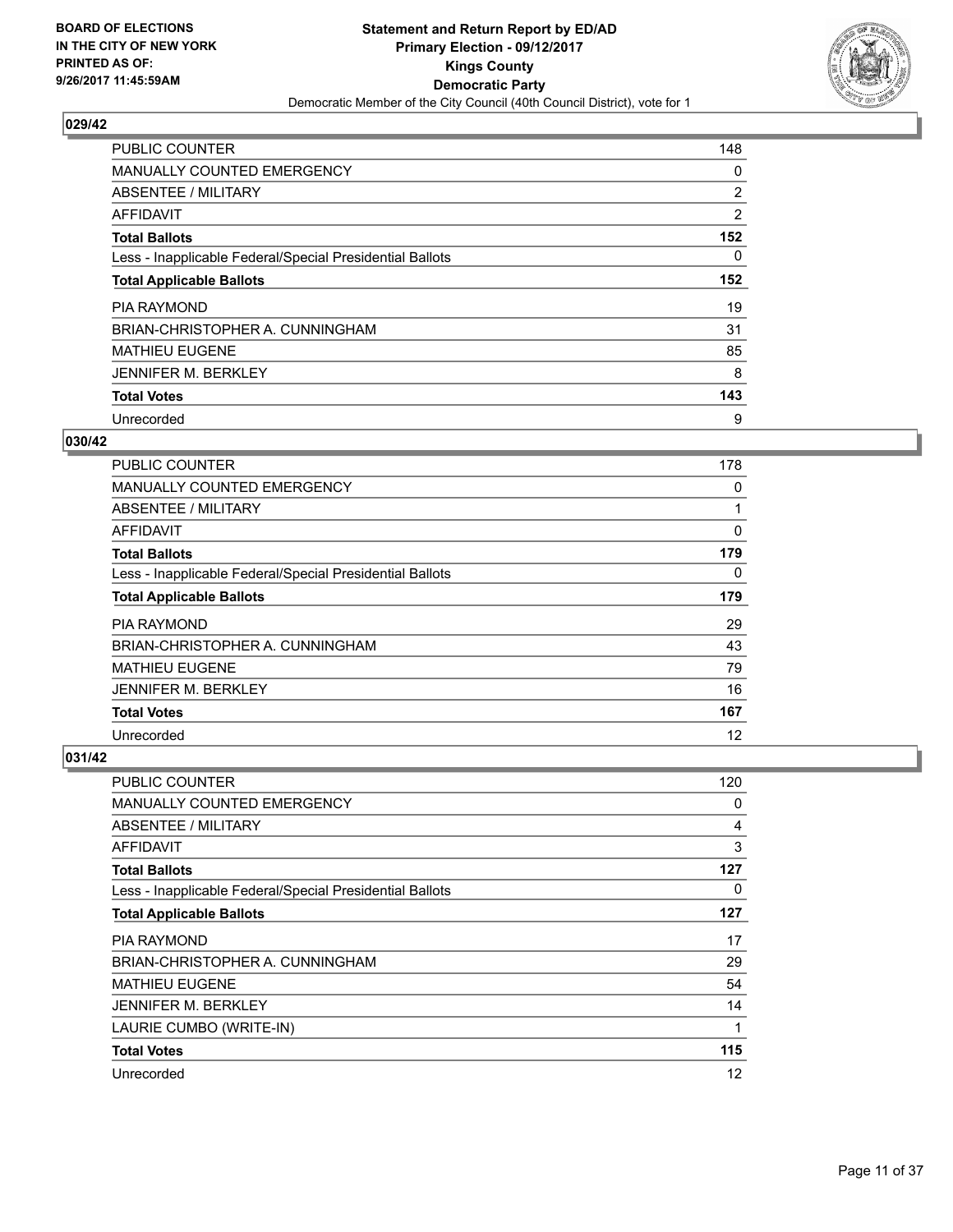

| <b>PUBLIC COUNTER</b>                                    | 148 |
|----------------------------------------------------------|-----|
| <b>MANUALLY COUNTED EMERGENCY</b>                        | 0   |
| ABSENTEE / MILITARY                                      | 2   |
| <b>AFFIDAVIT</b>                                         | 2   |
| <b>Total Ballots</b>                                     | 152 |
| Less - Inapplicable Federal/Special Presidential Ballots | 0   |
| <b>Total Applicable Ballots</b>                          | 152 |
| <b>PIA RAYMOND</b>                                       | 19  |
| BRIAN-CHRISTOPHER A. CUNNINGHAM                          | 31  |
| <b>MATHIEU EUGENE</b>                                    | 85  |
| <b>JENNIFER M. BERKLEY</b>                               | 8   |
| <b>Total Votes</b>                                       | 143 |
| Unrecorded                                               | 9   |

#### **030/42**

| PUBLIC COUNTER                                           | 178 |
|----------------------------------------------------------|-----|
| <b>MANUALLY COUNTED EMERGENCY</b>                        | 0   |
| ABSENTEE / MILITARY                                      |     |
| AFFIDAVIT                                                | 0   |
| <b>Total Ballots</b>                                     | 179 |
| Less - Inapplicable Federal/Special Presidential Ballots | 0   |
| <b>Total Applicable Ballots</b>                          | 179 |
| <b>PIA RAYMOND</b>                                       | 29  |
| BRIAN-CHRISTOPHER A. CUNNINGHAM                          | 43  |
| <b>MATHIEU EUGENE</b>                                    | 79  |
| <b>JENNIFER M. BERKLEY</b>                               | 16  |
| <b>Total Votes</b>                                       | 167 |
| Unrecorded                                               | 12  |

| <b>PUBLIC COUNTER</b>                                    | 120 |
|----------------------------------------------------------|-----|
| MANUALLY COUNTED EMERGENCY                               | 0   |
| ABSENTEE / MILITARY                                      | 4   |
| AFFIDAVIT                                                | 3   |
| <b>Total Ballots</b>                                     | 127 |
| Less - Inapplicable Federal/Special Presidential Ballots | 0   |
| <b>Total Applicable Ballots</b>                          | 127 |
| <b>PIA RAYMOND</b>                                       | 17  |
| BRIAN-CHRISTOPHER A. CUNNINGHAM                          | 29  |
| <b>MATHIEU EUGENE</b>                                    | 54  |
| <b>JENNIFER M. BERKLEY</b>                               | 14  |
| LAURIE CUMBO (WRITE-IN)                                  | 1   |
| <b>Total Votes</b>                                       | 115 |
| Unrecorded                                               | 12  |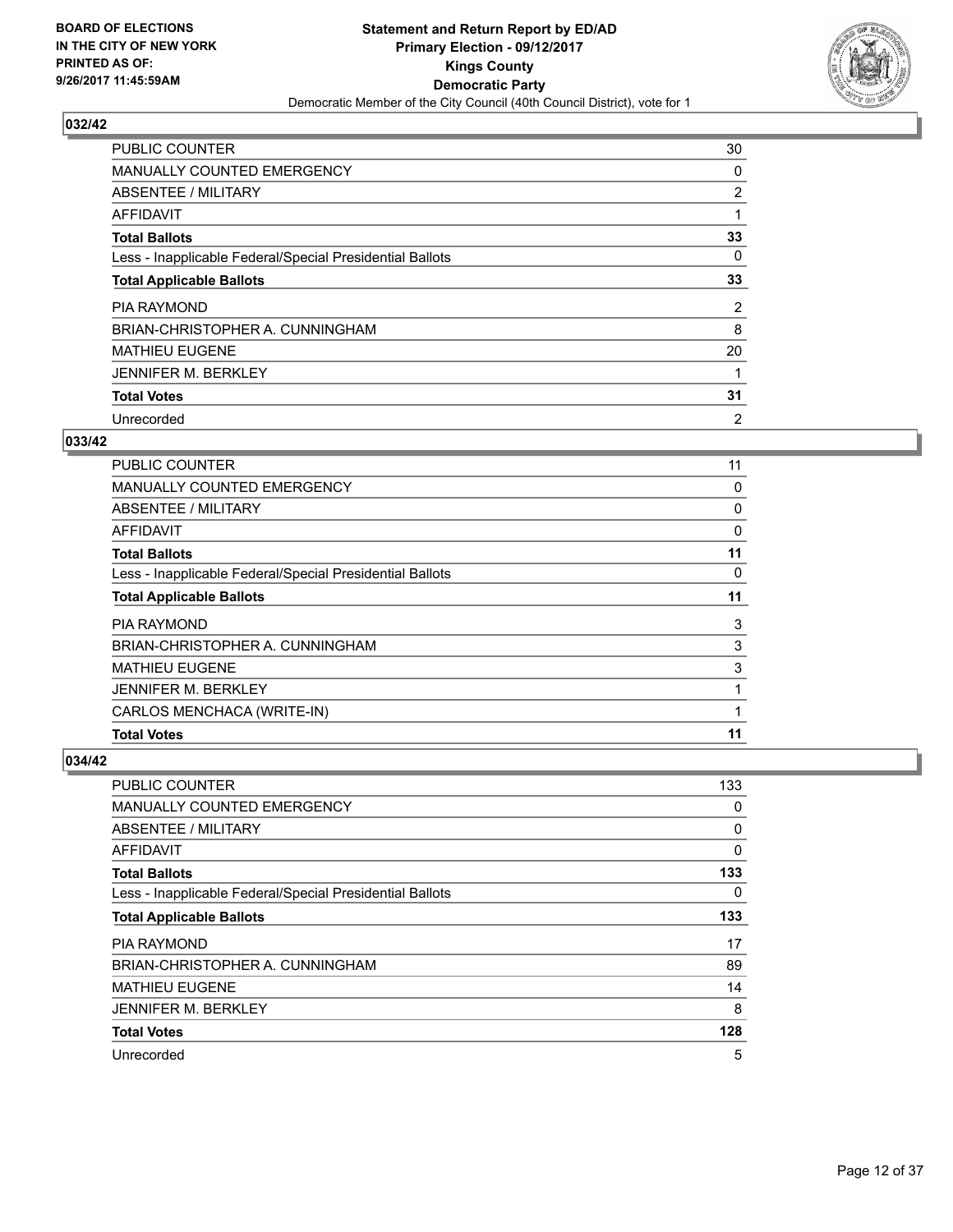

| <b>PUBLIC COUNTER</b>                                    | 30             |
|----------------------------------------------------------|----------------|
| MANUALLY COUNTED EMERGENCY                               | 0              |
| ABSENTEE / MILITARY                                      | 2              |
| AFFIDAVIT                                                |                |
| <b>Total Ballots</b>                                     | 33             |
| Less - Inapplicable Federal/Special Presidential Ballots | 0              |
| <b>Total Applicable Ballots</b>                          | 33             |
| <b>PIA RAYMOND</b>                                       | 2              |
| BRIAN-CHRISTOPHER A. CUNNINGHAM                          | 8              |
| <b>MATHIEU EUGENE</b>                                    | 20             |
| <b>JENNIFER M. BERKLEY</b>                               |                |
| <b>Total Votes</b>                                       | 31             |
| Unrecorded                                               | $\overline{2}$ |

#### **033/42**

| <b>PUBLIC COUNTER</b>                                    | 11 |
|----------------------------------------------------------|----|
| MANUALLY COUNTED EMERGENCY                               | 0  |
| ABSENTEE / MILITARY                                      | 0  |
| AFFIDAVIT                                                | 0  |
| <b>Total Ballots</b>                                     | 11 |
| Less - Inapplicable Federal/Special Presidential Ballots | 0  |
| <b>Total Applicable Ballots</b>                          | 11 |
| <b>PIA RAYMOND</b>                                       | 3  |
| BRIAN-CHRISTOPHER A. CUNNINGHAM                          | 3  |
| <b>MATHIEU EUGENE</b>                                    | 3  |
| <b>JENNIFER M. BERKLEY</b>                               |    |
| CARLOS MENCHACA (WRITE-IN)                               |    |
| <b>Total Votes</b>                                       | 11 |

| <b>PUBLIC COUNTER</b>                                    | 133 |
|----------------------------------------------------------|-----|
| <b>MANUALLY COUNTED EMERGENCY</b>                        | 0   |
| ABSENTEE / MILITARY                                      | 0   |
| AFFIDAVIT                                                | 0   |
| <b>Total Ballots</b>                                     | 133 |
| Less - Inapplicable Federal/Special Presidential Ballots | 0   |
| <b>Total Applicable Ballots</b>                          | 133 |
| <b>PIA RAYMOND</b>                                       | 17  |
| BRIAN-CHRISTOPHER A. CUNNINGHAM                          | 89  |
| <b>MATHIEU EUGENE</b>                                    | 14  |
| <b>JENNIFER M. BERKLEY</b>                               | 8   |
| <b>Total Votes</b>                                       | 128 |
| Unrecorded                                               | 5   |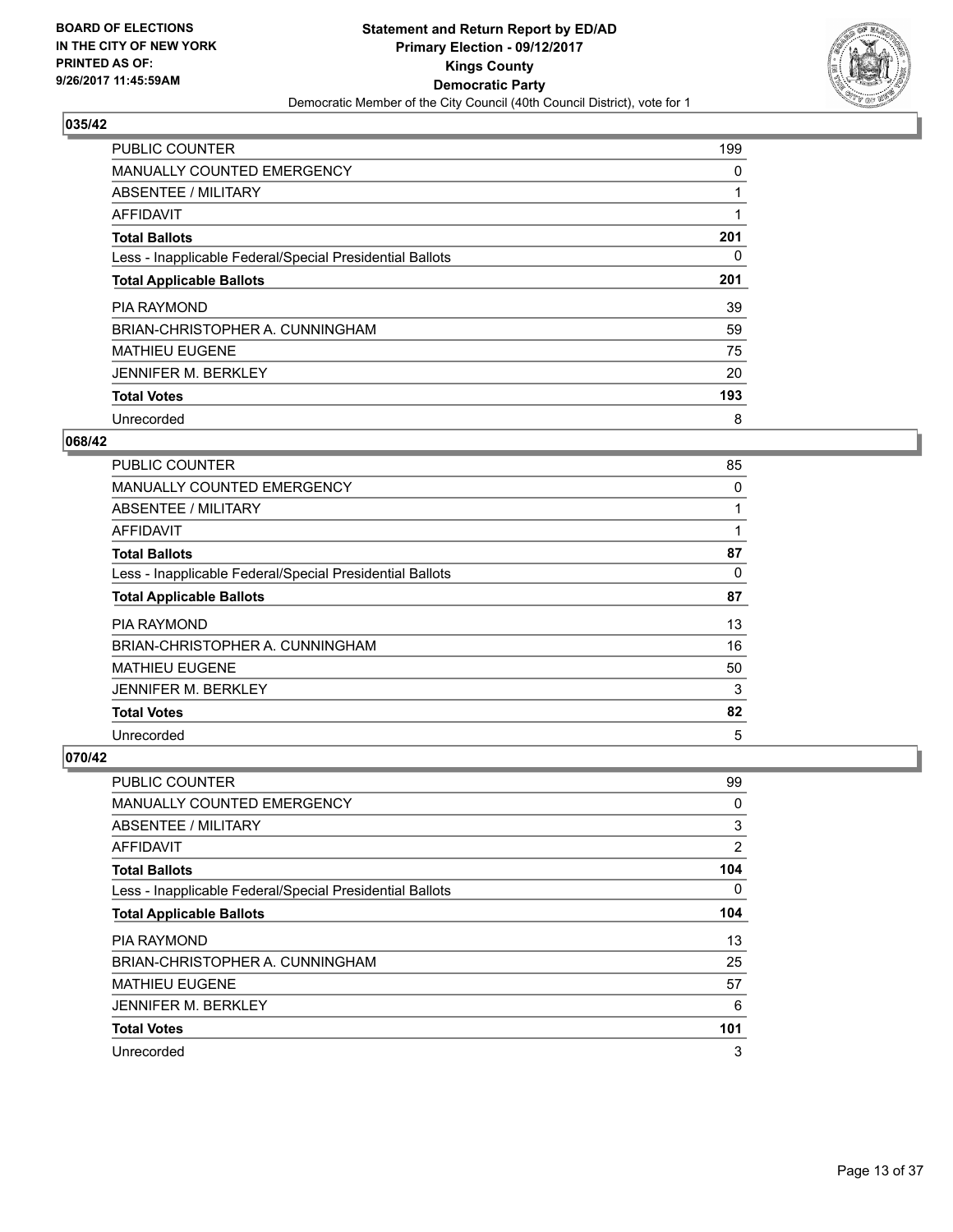

| <b>PUBLIC COUNTER</b>                                    | 199 |
|----------------------------------------------------------|-----|
| MANUALLY COUNTED EMERGENCY                               | 0   |
| ABSENTEE / MILITARY                                      |     |
| AFFIDAVIT                                                |     |
| <b>Total Ballots</b>                                     | 201 |
| Less - Inapplicable Federal/Special Presidential Ballots | 0   |
| <b>Total Applicable Ballots</b>                          | 201 |
| <b>PIA RAYMOND</b>                                       | 39  |
| BRIAN-CHRISTOPHER A. CUNNINGHAM                          | 59  |
| <b>MATHIEU EUGENE</b>                                    | 75  |
| <b>JENNIFER M. BERKLEY</b>                               | 20  |
| <b>Total Votes</b>                                       | 193 |
| Unrecorded                                               | 8   |

#### **068/42**

| PUBLIC COUNTER                                           | 85 |
|----------------------------------------------------------|----|
| <b>MANUALLY COUNTED EMERGENCY</b>                        | 0  |
| ABSENTEE / MILITARY                                      |    |
| AFFIDAVIT                                                |    |
| <b>Total Ballots</b>                                     | 87 |
| Less - Inapplicable Federal/Special Presidential Ballots | 0  |
| <b>Total Applicable Ballots</b>                          | 87 |
| <b>PIA RAYMOND</b>                                       | 13 |
| BRIAN-CHRISTOPHER A. CUNNINGHAM                          | 16 |
| <b>MATHIEU EUGENE</b>                                    | 50 |
| <b>JENNIFER M. BERKLEY</b>                               | 3  |
| <b>Total Votes</b>                                       | 82 |
| Unrecorded                                               | 5  |

| PUBLIC COUNTER                                           | 99  |
|----------------------------------------------------------|-----|
| <b>MANUALLY COUNTED EMERGENCY</b>                        | 0   |
| ABSENTEE / MILITARY                                      | 3   |
| AFFIDAVIT                                                | 2   |
| <b>Total Ballots</b>                                     | 104 |
| Less - Inapplicable Federal/Special Presidential Ballots | 0   |
| <b>Total Applicable Ballots</b>                          | 104 |
| <b>PIA RAYMOND</b>                                       | 13  |
| BRIAN-CHRISTOPHER A. CUNNINGHAM                          | 25  |
| <b>MATHIEU EUGENE</b>                                    | 57  |
| <b>JENNIFER M. BERKLEY</b>                               | 6   |
| <b>Total Votes</b>                                       | 101 |
| Unrecorded                                               | 3   |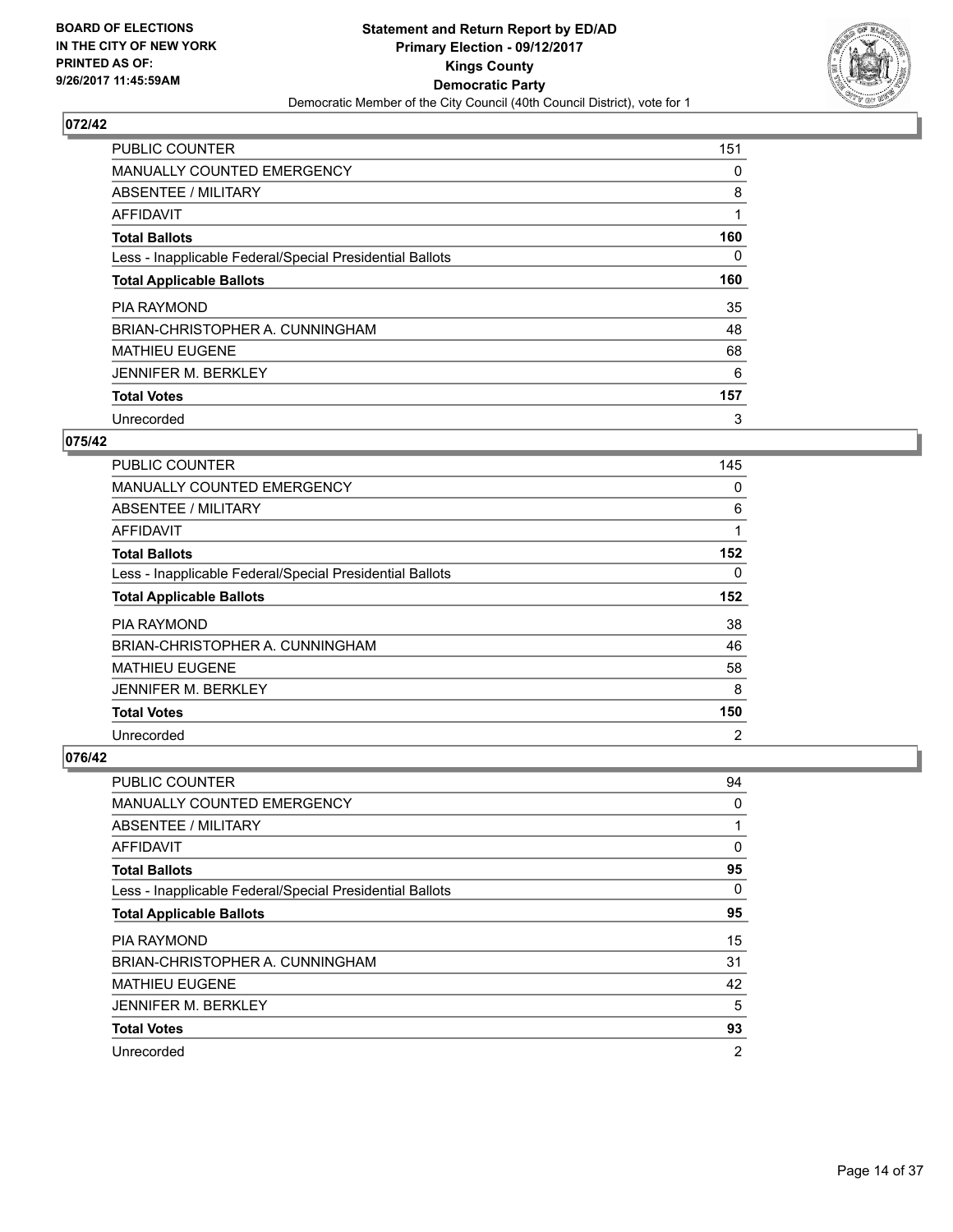

| <b>PUBLIC COUNTER</b>                                    | 151 |
|----------------------------------------------------------|-----|
| <b>MANUALLY COUNTED EMERGENCY</b>                        | 0   |
| ABSENTEE / MILITARY                                      | 8   |
| <b>AFFIDAVIT</b>                                         |     |
| <b>Total Ballots</b>                                     | 160 |
| Less - Inapplicable Federal/Special Presidential Ballots | 0   |
| <b>Total Applicable Ballots</b>                          | 160 |
| <b>PIA RAYMOND</b>                                       | 35  |
| BRIAN-CHRISTOPHER A. CUNNINGHAM                          | 48  |
| <b>MATHIEU EUGENE</b>                                    | 68  |
| <b>JENNIFER M. BERKLEY</b>                               | 6   |
| <b>Total Votes</b>                                       | 157 |
| Unrecorded                                               | 3   |

#### **075/42**

| <b>PUBLIC COUNTER</b>                                    | 145            |
|----------------------------------------------------------|----------------|
| <b>MANUALLY COUNTED EMERGENCY</b>                        | 0              |
| ABSENTEE / MILITARY                                      | 6              |
| AFFIDAVIT                                                | 1              |
| <b>Total Ballots</b>                                     | 152            |
| Less - Inapplicable Federal/Special Presidential Ballots | 0              |
| <b>Total Applicable Ballots</b>                          | 152            |
| <b>PIA RAYMOND</b>                                       | 38             |
| BRIAN-CHRISTOPHER A. CUNNINGHAM                          | 46             |
| <b>MATHIEU EUGENE</b>                                    | 58             |
| <b>JENNIFER M. BERKLEY</b>                               | 8              |
| <b>Total Votes</b>                                       | 150            |
| Unrecorded                                               | $\overline{2}$ |

| PUBLIC COUNTER                                           | 94             |
|----------------------------------------------------------|----------------|
| <b>MANUALLY COUNTED EMERGENCY</b>                        | 0              |
| ABSENTEE / MILITARY                                      | 1              |
| AFFIDAVIT                                                | 0              |
| <b>Total Ballots</b>                                     | 95             |
| Less - Inapplicable Federal/Special Presidential Ballots | 0              |
| <b>Total Applicable Ballots</b>                          | 95             |
| <b>PIA RAYMOND</b>                                       | 15             |
| BRIAN-CHRISTOPHER A. CUNNINGHAM                          | 31             |
| <b>MATHIEU EUGENE</b>                                    | 42             |
| <b>JENNIFER M. BERKLEY</b>                               | 5              |
| <b>Total Votes</b>                                       | 93             |
| Unrecorded                                               | $\overline{2}$ |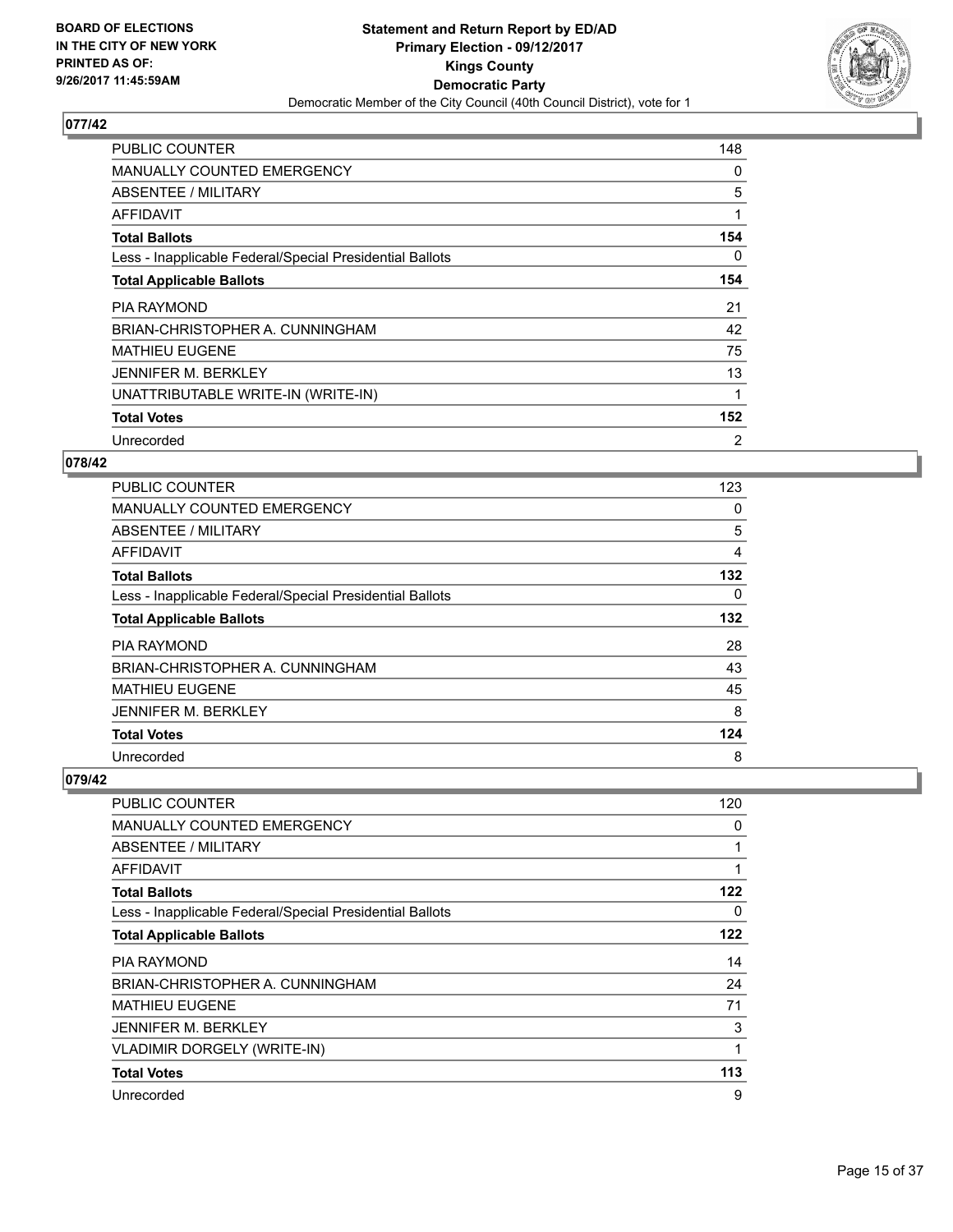

| <b>PUBLIC COUNTER</b>                                    | 148 |
|----------------------------------------------------------|-----|
| <b>MANUALLY COUNTED EMERGENCY</b>                        | 0   |
| ABSENTEE / MILITARY                                      | 5   |
| AFFIDAVIT                                                | 1   |
| <b>Total Ballots</b>                                     | 154 |
| Less - Inapplicable Federal/Special Presidential Ballots | 0   |
| <b>Total Applicable Ballots</b>                          | 154 |
| <b>PIA RAYMOND</b>                                       | 21  |
| BRIAN-CHRISTOPHER A. CUNNINGHAM                          | 42  |
| <b>MATHIEU EUGENE</b>                                    | 75  |
|                                                          |     |
| <b>JENNIFER M. BERKLEY</b>                               | 13  |
| UNATTRIBUTABLE WRITE-IN (WRITE-IN)                       | 1   |
| <b>Total Votes</b>                                       | 152 |

## **078/42**

| <b>PUBLIC COUNTER</b>                                    | 123 |
|----------------------------------------------------------|-----|
| <b>MANUALLY COUNTED EMERGENCY</b>                        | 0   |
| ABSENTEE / MILITARY                                      | 5   |
| AFFIDAVIT                                                | 4   |
| <b>Total Ballots</b>                                     | 132 |
| Less - Inapplicable Federal/Special Presidential Ballots | 0   |
| <b>Total Applicable Ballots</b>                          | 132 |
| <b>PIA RAYMOND</b>                                       | 28  |
| BRIAN-CHRISTOPHER A. CUNNINGHAM                          | 43  |
| <b>MATHIEU EUGENE</b>                                    | 45  |
| <b>JENNIFER M. BERKLEY</b>                               | 8   |
| <b>Total Votes</b>                                       | 124 |
| Unrecorded                                               | 8   |

| <b>PUBLIC COUNTER</b>                                    | 120 |
|----------------------------------------------------------|-----|
| <b>MANUALLY COUNTED EMERGENCY</b>                        | 0   |
| ABSENTEE / MILITARY                                      |     |
| AFFIDAVIT                                                | 1   |
| <b>Total Ballots</b>                                     | 122 |
| Less - Inapplicable Federal/Special Presidential Ballots | 0   |
| <b>Total Applicable Ballots</b>                          | 122 |
| <b>PIA RAYMOND</b>                                       | 14  |
| BRIAN-CHRISTOPHER A. CUNNINGHAM                          | 24  |
| <b>MATHIEU EUGENE</b>                                    | 71  |
| <b>JENNIFER M. BERKLEY</b>                               | 3   |
| <b>VLADIMIR DORGELY (WRITE-IN)</b>                       | 1   |
| <b>Total Votes</b>                                       | 113 |
| Unrecorded                                               | 9   |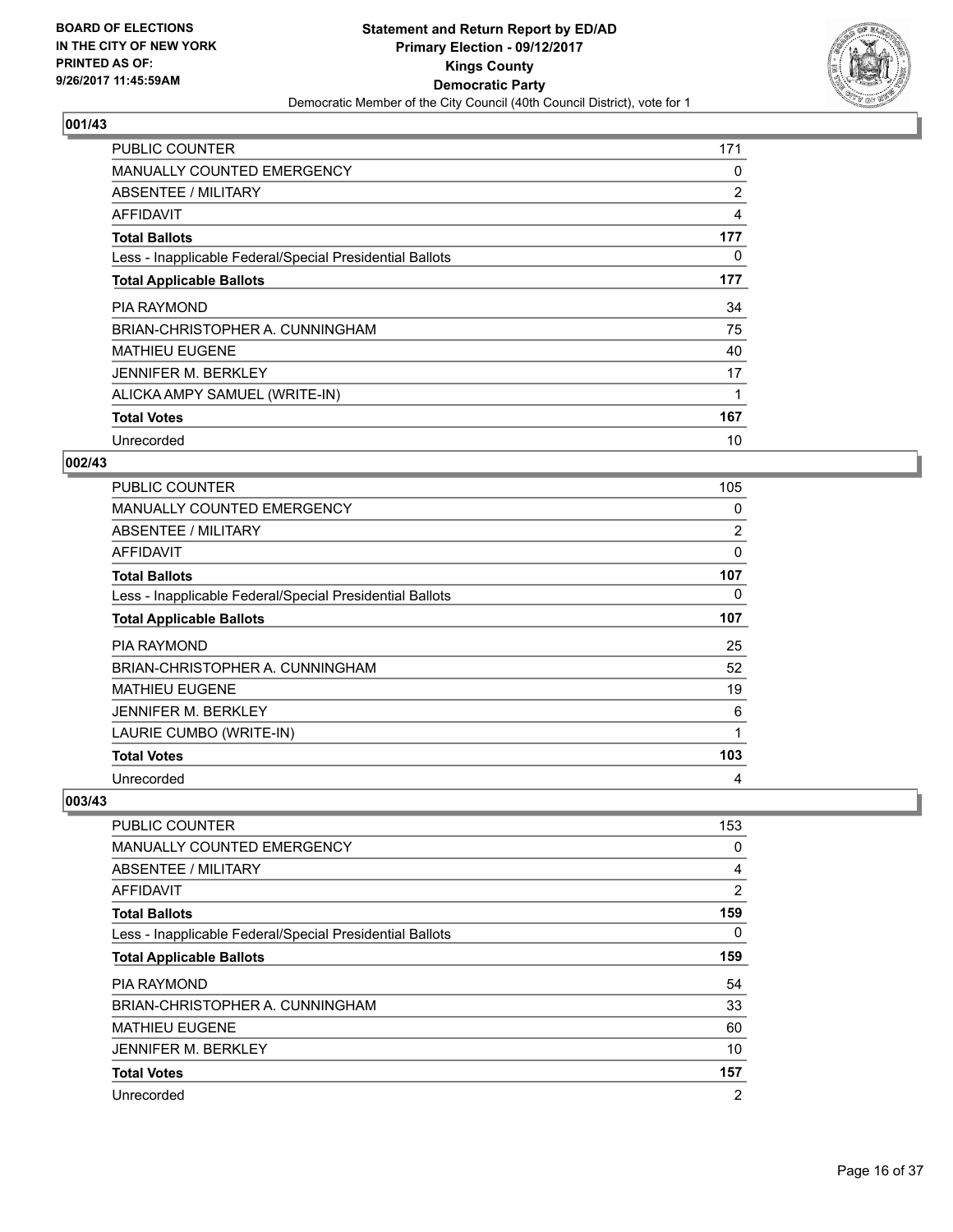

| <b>PUBLIC COUNTER</b>                                    | 171            |
|----------------------------------------------------------|----------------|
| <b>MANUALLY COUNTED EMERGENCY</b>                        | 0              |
| <b>ABSENTEE / MILITARY</b>                               | $\overline{2}$ |
| <b>AFFIDAVIT</b>                                         | 4              |
| <b>Total Ballots</b>                                     | 177            |
| Less - Inapplicable Federal/Special Presidential Ballots | 0              |
| <b>Total Applicable Ballots</b>                          | 177            |
|                                                          |                |
| <b>PIA RAYMOND</b>                                       | 34             |
| BRIAN-CHRISTOPHER A. CUNNINGHAM                          | 75             |
| <b>MATHIEU EUGENE</b>                                    | 40             |
| <b>JENNIFER M. BERKLEY</b>                               | 17             |
| ALICKA AMPY SAMUEL (WRITE-IN)                            |                |
| <b>Total Votes</b>                                       | 167            |

## **002/43**

| <b>PUBLIC COUNTER</b>                                    | 105            |
|----------------------------------------------------------|----------------|
| <b>MANUALLY COUNTED EMERGENCY</b>                        | 0              |
| <b>ABSENTEE / MILITARY</b>                               | $\overline{2}$ |
| AFFIDAVIT                                                | 0              |
| <b>Total Ballots</b>                                     | 107            |
| Less - Inapplicable Federal/Special Presidential Ballots | 0              |
| <b>Total Applicable Ballots</b>                          | 107            |
| <b>PIA RAYMOND</b>                                       | 25             |
| BRIAN-CHRISTOPHER A. CUNNINGHAM                          | 52             |
| MATHIEU EUGENE                                           | 19             |
| <b>JENNIFER M. BERKLEY</b>                               | 6              |
| LAURIE CUMBO (WRITE-IN)                                  | 1              |
| <b>Total Votes</b>                                       | 103            |
| Unrecorded                                               | 4              |

| PUBLIC COUNTER                                           | 153            |
|----------------------------------------------------------|----------------|
| <b>MANUALLY COUNTED EMERGENCY</b>                        | 0              |
| ABSENTEE / MILITARY                                      | 4              |
| AFFIDAVIT                                                | $\overline{2}$ |
| <b>Total Ballots</b>                                     | 159            |
| Less - Inapplicable Federal/Special Presidential Ballots | 0              |
| <b>Total Applicable Ballots</b>                          | 159            |
| PIA RAYMOND                                              | 54             |
| BRIAN-CHRISTOPHER A. CUNNINGHAM                          | 33             |
| <b>MATHIEU EUGENE</b>                                    | 60             |
| <b>JENNIFER M. BERKLEY</b>                               | 10             |
| <b>Total Votes</b>                                       | 157            |
| Unrecorded                                               | $\overline{2}$ |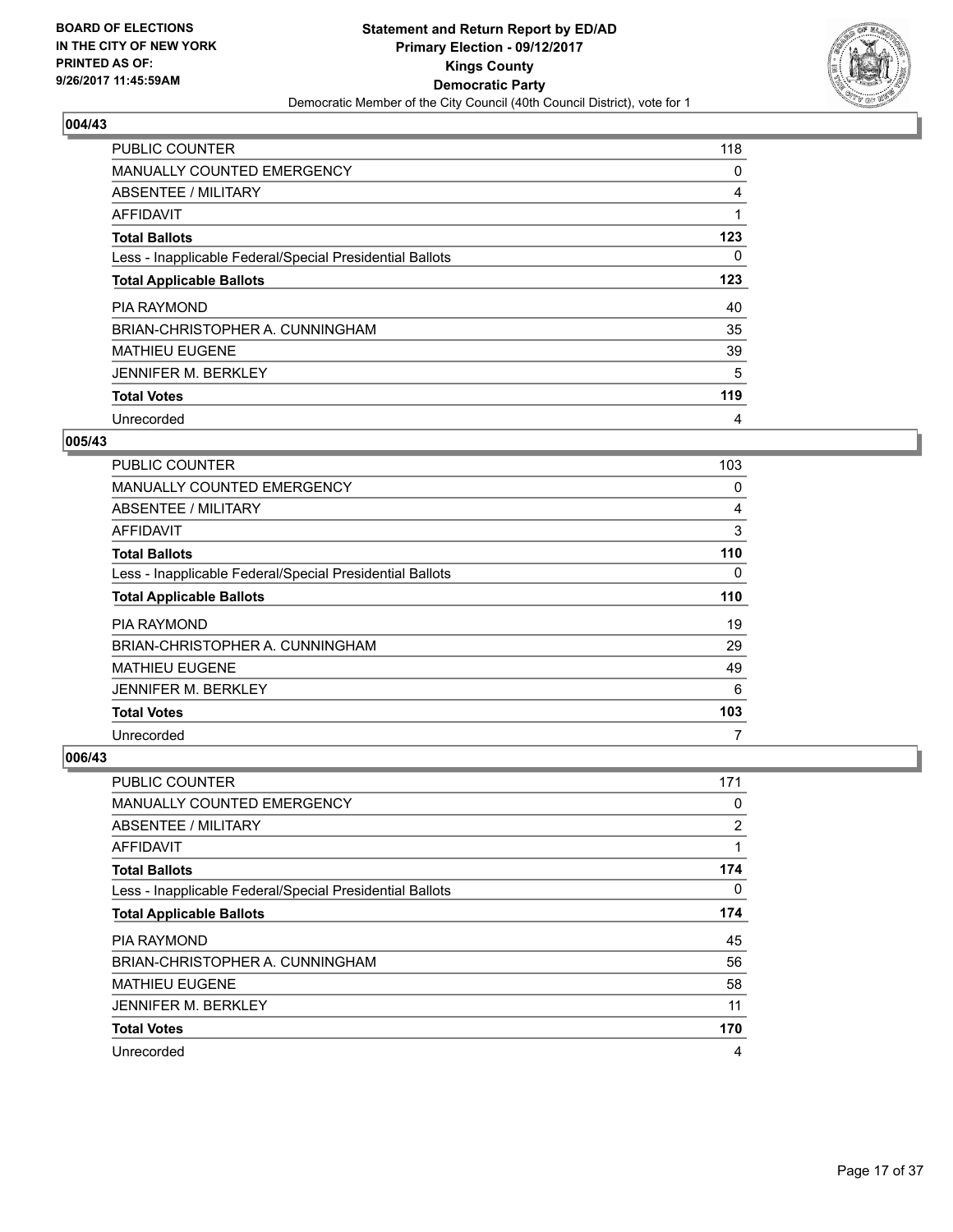

| <b>PUBLIC COUNTER</b>                                    | 118 |
|----------------------------------------------------------|-----|
| <b>MANUALLY COUNTED EMERGENCY</b>                        | 0   |
| ABSENTEE / MILITARY                                      | 4   |
| AFFIDAVIT                                                |     |
| <b>Total Ballots</b>                                     | 123 |
| Less - Inapplicable Federal/Special Presidential Ballots | 0   |
| <b>Total Applicable Ballots</b>                          | 123 |
| <b>PIA RAYMOND</b>                                       | 40  |
| BRIAN-CHRISTOPHER A. CUNNINGHAM                          | 35  |
| <b>MATHIEU EUGENE</b>                                    | 39  |
| <b>JENNIFER M. BERKLEY</b>                               | 5   |
| <b>Total Votes</b>                                       | 119 |
| Unrecorded                                               | 4   |

## **005/43**

| <b>PUBLIC COUNTER</b>                                    | 103 |
|----------------------------------------------------------|-----|
| <b>MANUALLY COUNTED EMERGENCY</b>                        | 0   |
| ABSENTEE / MILITARY                                      | 4   |
| AFFIDAVIT                                                | 3   |
| <b>Total Ballots</b>                                     | 110 |
| Less - Inapplicable Federal/Special Presidential Ballots | 0   |
| <b>Total Applicable Ballots</b>                          | 110 |
| <b>PIA RAYMOND</b>                                       | 19  |
| BRIAN-CHRISTOPHER A. CUNNINGHAM                          | 29  |
| <b>MATHIEU EUGENE</b>                                    | 49  |
| <b>JENNIFER M. BERKLEY</b>                               | 6   |
| <b>Total Votes</b>                                       | 103 |
| Unrecorded                                               | 7   |

| <b>PUBLIC COUNTER</b>                                    | 171            |
|----------------------------------------------------------|----------------|
| <b>MANUALLY COUNTED EMERGENCY</b>                        | 0              |
| ABSENTEE / MILITARY                                      | $\overline{2}$ |
| AFFIDAVIT                                                | 1              |
| <b>Total Ballots</b>                                     | 174            |
| Less - Inapplicable Federal/Special Presidential Ballots | 0              |
| <b>Total Applicable Ballots</b>                          | 174            |
| <b>PIA RAYMOND</b>                                       | 45             |
| BRIAN-CHRISTOPHER A. CUNNINGHAM                          | 56             |
| <b>MATHIEU EUGENE</b>                                    | 58             |
| <b>JENNIFER M. BERKLEY</b>                               | 11             |
| <b>Total Votes</b>                                       | 170            |
| Unrecorded                                               | 4              |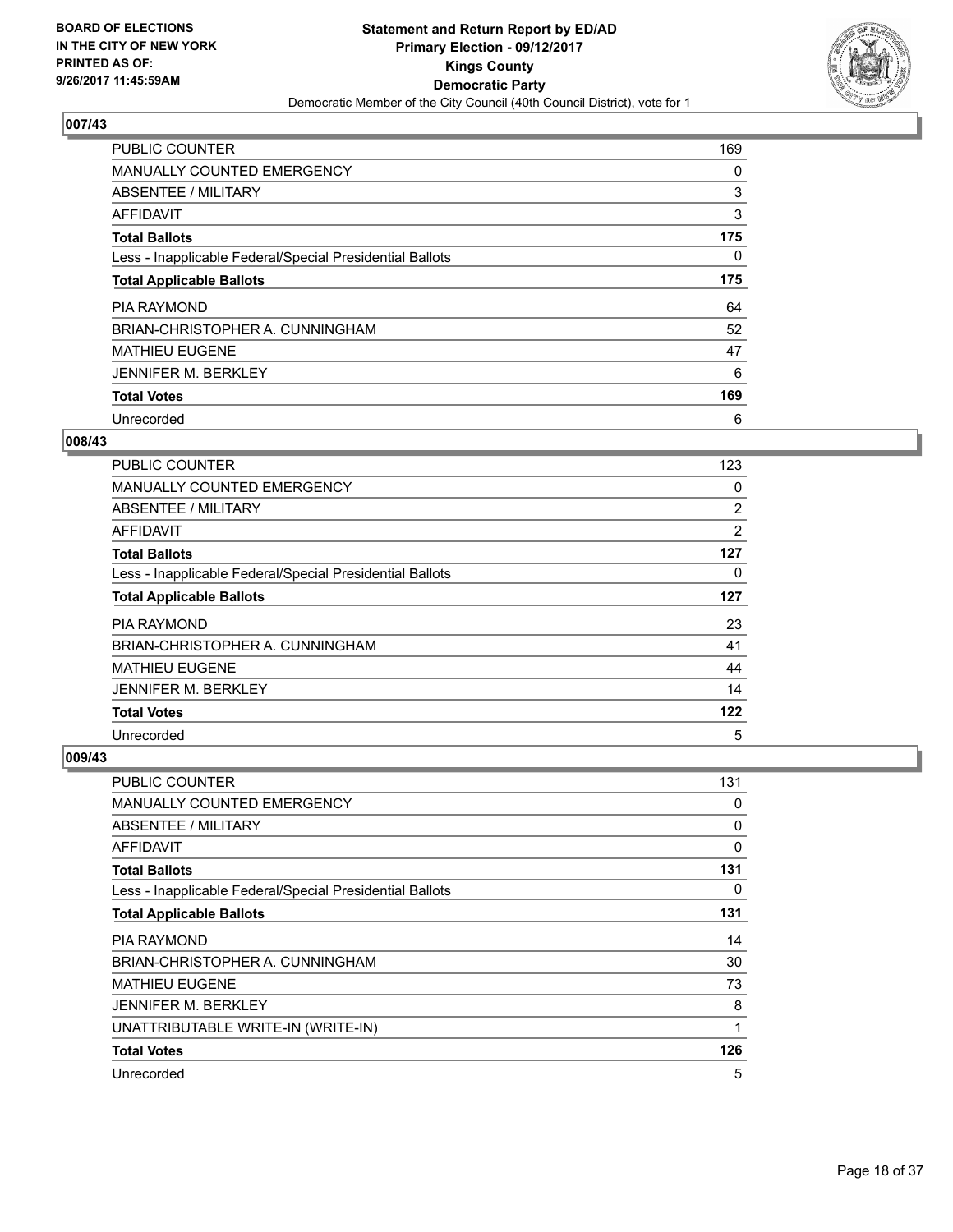

| <b>PUBLIC COUNTER</b>                                    | 169 |
|----------------------------------------------------------|-----|
| <b>MANUALLY COUNTED EMERGENCY</b>                        | 0   |
| ABSENTEE / MILITARY                                      | 3   |
| AFFIDAVIT                                                | 3   |
| <b>Total Ballots</b>                                     | 175 |
| Less - Inapplicable Federal/Special Presidential Ballots | 0   |
| <b>Total Applicable Ballots</b>                          | 175 |
| <b>PIA RAYMOND</b>                                       | 64  |
| BRIAN-CHRISTOPHER A. CUNNINGHAM                          | 52  |
| <b>MATHIEU EUGENE</b>                                    | 47  |
| <b>JENNIFER M. BERKLEY</b>                               | 6   |
| <b>Total Votes</b>                                       | 169 |
| Unrecorded                                               | 6   |

#### **008/43**

| <b>PUBLIC COUNTER</b>                                    | 123 |
|----------------------------------------------------------|-----|
| <b>MANUALLY COUNTED EMERGENCY</b>                        | 0   |
| ABSENTEE / MILITARY                                      | 2   |
| AFFIDAVIT                                                | 2   |
| <b>Total Ballots</b>                                     | 127 |
| Less - Inapplicable Federal/Special Presidential Ballots | 0   |
| <b>Total Applicable Ballots</b>                          | 127 |
| <b>PIA RAYMOND</b>                                       | 23  |
| BRIAN-CHRISTOPHER A. CUNNINGHAM                          | 41  |
| <b>MATHIEU EUGENE</b>                                    | 44  |
| <b>JENNIFER M. BERKLEY</b>                               | 14  |
| <b>Total Votes</b>                                       | 122 |
| Unrecorded                                               | 5   |

| <b>PUBLIC COUNTER</b>                                    | 131         |
|----------------------------------------------------------|-------------|
| <b>MANUALLY COUNTED EMERGENCY</b>                        | 0           |
| ABSENTEE / MILITARY                                      | 0           |
| <b>AFFIDAVIT</b>                                         | $\mathbf 0$ |
| <b>Total Ballots</b>                                     | 131         |
| Less - Inapplicable Federal/Special Presidential Ballots | 0           |
| <b>Total Applicable Ballots</b>                          | 131         |
| <b>PIA RAYMOND</b>                                       | 14          |
| BRIAN-CHRISTOPHER A. CUNNINGHAM                          | 30          |
| <b>MATHIEU EUGENE</b>                                    | 73          |
| <b>JENNIFER M. BERKLEY</b>                               | 8           |
| UNATTRIBUTABLE WRITE-IN (WRITE-IN)                       | 1           |
| <b>Total Votes</b>                                       | 126         |
| Unrecorded                                               | 5           |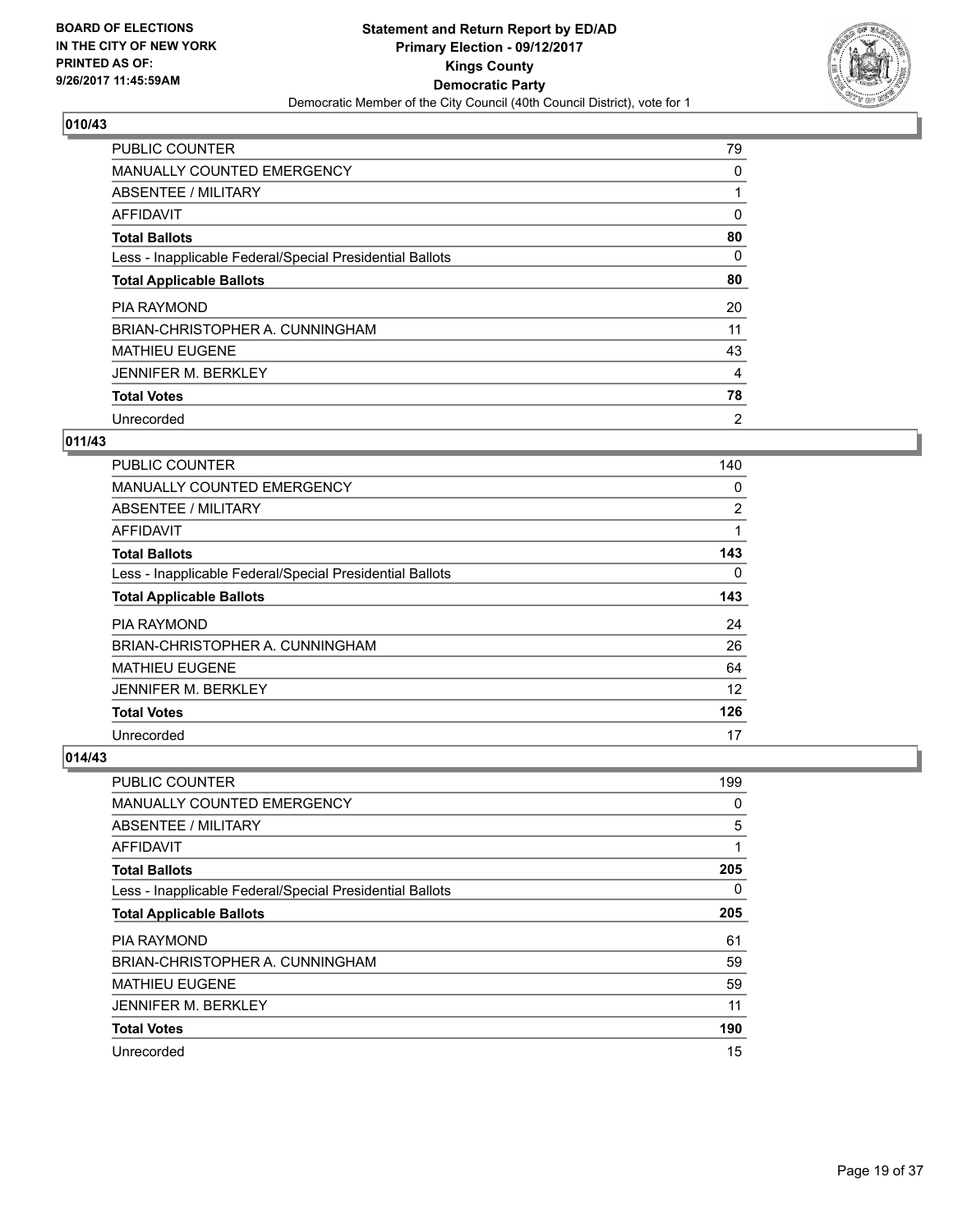

| <b>PUBLIC COUNTER</b>                                    | 79             |
|----------------------------------------------------------|----------------|
| MANUALLY COUNTED EMERGENCY                               | 0              |
| ABSENTEE / MILITARY                                      |                |
| AFFIDAVIT                                                | 0              |
| <b>Total Ballots</b>                                     | 80             |
| Less - Inapplicable Federal/Special Presidential Ballots | 0              |
| <b>Total Applicable Ballots</b>                          | 80             |
| <b>PIA RAYMOND</b>                                       | 20             |
| BRIAN-CHRISTOPHER A. CUNNINGHAM                          | 11             |
| <b>MATHIEU EUGENE</b>                                    | 43             |
| <b>JENNIFER M. BERKLEY</b>                               | 4              |
| <b>Total Votes</b>                                       | 78             |
| Unrecorded                                               | $\overline{2}$ |

## **011/43**

| PUBLIC COUNTER                                           | 140 |
|----------------------------------------------------------|-----|
| <b>MANUALLY COUNTED EMERGENCY</b>                        | 0   |
| ABSENTEE / MILITARY                                      | 2   |
| AFFIDAVIT                                                | 1   |
| <b>Total Ballots</b>                                     | 143 |
| Less - Inapplicable Federal/Special Presidential Ballots | 0   |
| <b>Total Applicable Ballots</b>                          | 143 |
| PIA RAYMOND                                              | 24  |
| BRIAN-CHRISTOPHER A. CUNNINGHAM                          | 26  |
| <b>MATHIEU EUGENE</b>                                    | 64  |
| <b>JENNIFER M. BERKLEY</b>                               | 12  |
| <b>Total Votes</b>                                       | 126 |
| Unrecorded                                               | 17  |

| PUBLIC COUNTER                                           | 199 |
|----------------------------------------------------------|-----|
| <b>MANUALLY COUNTED EMERGENCY</b>                        | 0   |
| ABSENTEE / MILITARY                                      | 5   |
| AFFIDAVIT                                                | 1   |
| <b>Total Ballots</b>                                     | 205 |
| Less - Inapplicable Federal/Special Presidential Ballots | 0   |
| <b>Total Applicable Ballots</b>                          | 205 |
| <b>PIA RAYMOND</b>                                       | 61  |
| BRIAN-CHRISTOPHER A. CUNNINGHAM                          | 59  |
| <b>MATHIEU EUGENE</b>                                    | 59  |
| <b>JENNIFER M. BERKLEY</b>                               | 11  |
| <b>Total Votes</b>                                       | 190 |
| Unrecorded                                               | 15  |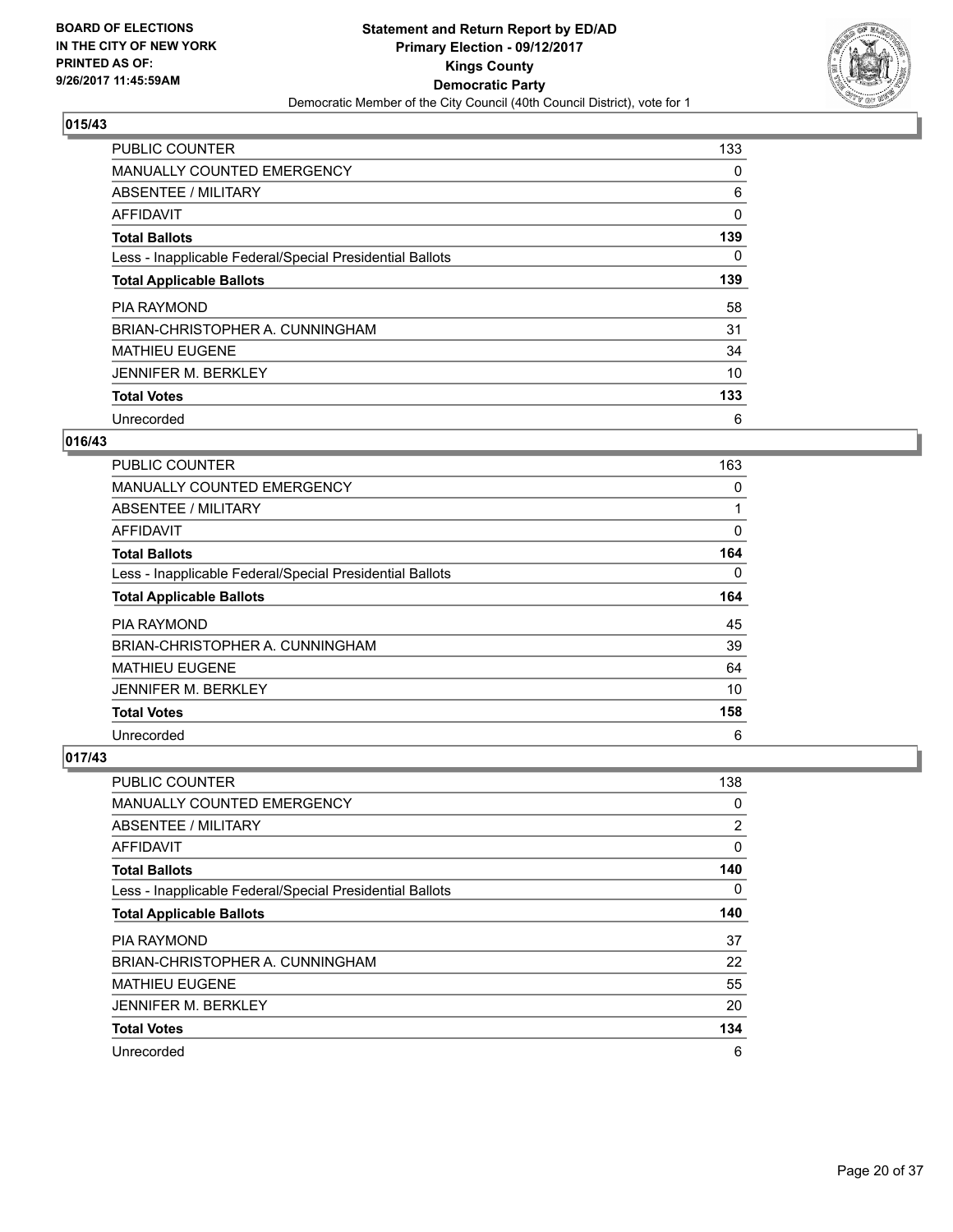

| <b>PUBLIC COUNTER</b>                                    | 133 |
|----------------------------------------------------------|-----|
| <b>MANUALLY COUNTED EMERGENCY</b>                        | 0   |
| ABSENTEE / MILITARY                                      | 6   |
| <b>AFFIDAVIT</b>                                         | 0   |
| <b>Total Ballots</b>                                     | 139 |
| Less - Inapplicable Federal/Special Presidential Ballots | 0   |
| <b>Total Applicable Ballots</b>                          | 139 |
| <b>PIA RAYMOND</b>                                       | 58  |
| BRIAN-CHRISTOPHER A. CUNNINGHAM                          | 31  |
| <b>MATHIEU EUGENE</b>                                    | 34  |
| <b>JENNIFER M. BERKLEY</b>                               | 10  |
| <b>Total Votes</b>                                       | 133 |
| Unrecorded                                               | 6   |

# **016/43**

| <b>PUBLIC COUNTER</b>                                    | 163 |
|----------------------------------------------------------|-----|
| <b>MANUALLY COUNTED EMERGENCY</b>                        | 0   |
| ABSENTEE / MILITARY                                      |     |
| AFFIDAVIT                                                | 0   |
| <b>Total Ballots</b>                                     | 164 |
| Less - Inapplicable Federal/Special Presidential Ballots | 0   |
| <b>Total Applicable Ballots</b>                          | 164 |
| <b>PIA RAYMOND</b>                                       | 45  |
| BRIAN-CHRISTOPHER A. CUNNINGHAM                          | 39  |
| <b>MATHIEU EUGENE</b>                                    | 64  |
| <b>JENNIFER M. BERKLEY</b>                               | 10  |
| <b>Total Votes</b>                                       | 158 |
| Unrecorded                                               | 6   |

| PUBLIC COUNTER                                           | 138 |
|----------------------------------------------------------|-----|
| <b>MANUALLY COUNTED EMERGENCY</b>                        | 0   |
| ABSENTEE / MILITARY                                      | 2   |
| AFFIDAVIT                                                | 0   |
| <b>Total Ballots</b>                                     | 140 |
| Less - Inapplicable Federal/Special Presidential Ballots | 0   |
| <b>Total Applicable Ballots</b>                          | 140 |
| <b>PIA RAYMOND</b>                                       | 37  |
| BRIAN-CHRISTOPHER A. CUNNINGHAM                          | 22  |
| <b>MATHIEU EUGENE</b>                                    | 55  |
| <b>JENNIFER M. BERKLEY</b>                               | 20  |
| <b>Total Votes</b>                                       | 134 |
| Unrecorded                                               | 6   |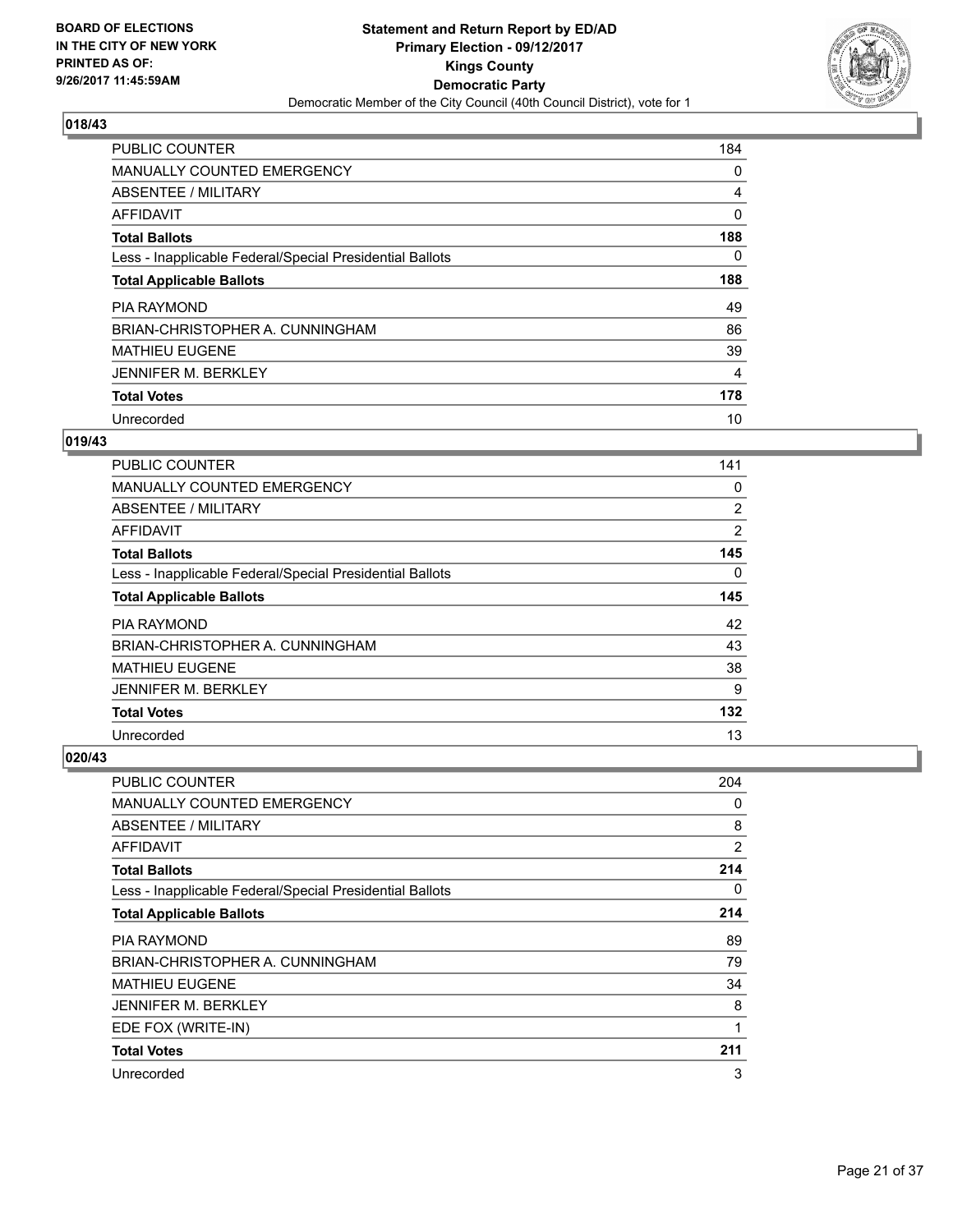

| <b>PUBLIC COUNTER</b>                                    | 184 |
|----------------------------------------------------------|-----|
| MANUALLY COUNTED EMERGENCY                               | 0   |
| ABSENTEE / MILITARY                                      | 4   |
| <b>AFFIDAVIT</b>                                         | 0   |
| <b>Total Ballots</b>                                     | 188 |
| Less - Inapplicable Federal/Special Presidential Ballots | 0   |
| <b>Total Applicable Ballots</b>                          | 188 |
| <b>PIA RAYMOND</b>                                       | 49  |
| BRIAN-CHRISTOPHER A. CUNNINGHAM                          | 86  |
| <b>MATHIEU EUGENE</b>                                    | 39  |
| <b>JENNIFER M. BERKLEY</b>                               | 4   |
| <b>Total Votes</b>                                       | 178 |
| Unrecorded                                               | 10  |

#### **019/43**

| <b>PUBLIC COUNTER</b>                                    | 141 |
|----------------------------------------------------------|-----|
| <b>MANUALLY COUNTED EMERGENCY</b>                        | 0   |
| ABSENTEE / MILITARY                                      | 2   |
| AFFIDAVIT                                                | 2   |
| <b>Total Ballots</b>                                     | 145 |
| Less - Inapplicable Federal/Special Presidential Ballots | 0   |
| <b>Total Applicable Ballots</b>                          | 145 |
| <b>PIA RAYMOND</b>                                       | 42  |
| BRIAN-CHRISTOPHER A. CUNNINGHAM                          | 43  |
| <b>MATHIEU EUGENE</b>                                    | 38  |
| <b>JENNIFER M. BERKLEY</b>                               | 9   |
| <b>Total Votes</b>                                       | 132 |
| Unrecorded                                               | 13  |

| PUBLIC COUNTER                                           | 204            |
|----------------------------------------------------------|----------------|
| <b>MANUALLY COUNTED EMERGENCY</b>                        | 0              |
| ABSENTEE / MILITARY                                      | 8              |
| AFFIDAVIT                                                | $\overline{2}$ |
| <b>Total Ballots</b>                                     | 214            |
| Less - Inapplicable Federal/Special Presidential Ballots | 0              |
| <b>Total Applicable Ballots</b>                          | 214            |
| PIA RAYMOND                                              | 89             |
| BRIAN-CHRISTOPHER A. CUNNINGHAM                          | 79             |
| <b>MATHIEU EUGENE</b>                                    | 34             |
| <b>JENNIFER M. BERKLEY</b>                               | 8              |
| EDE FOX (WRITE-IN)                                       | 1              |
| <b>Total Votes</b>                                       | 211            |
| Unrecorded                                               | 3              |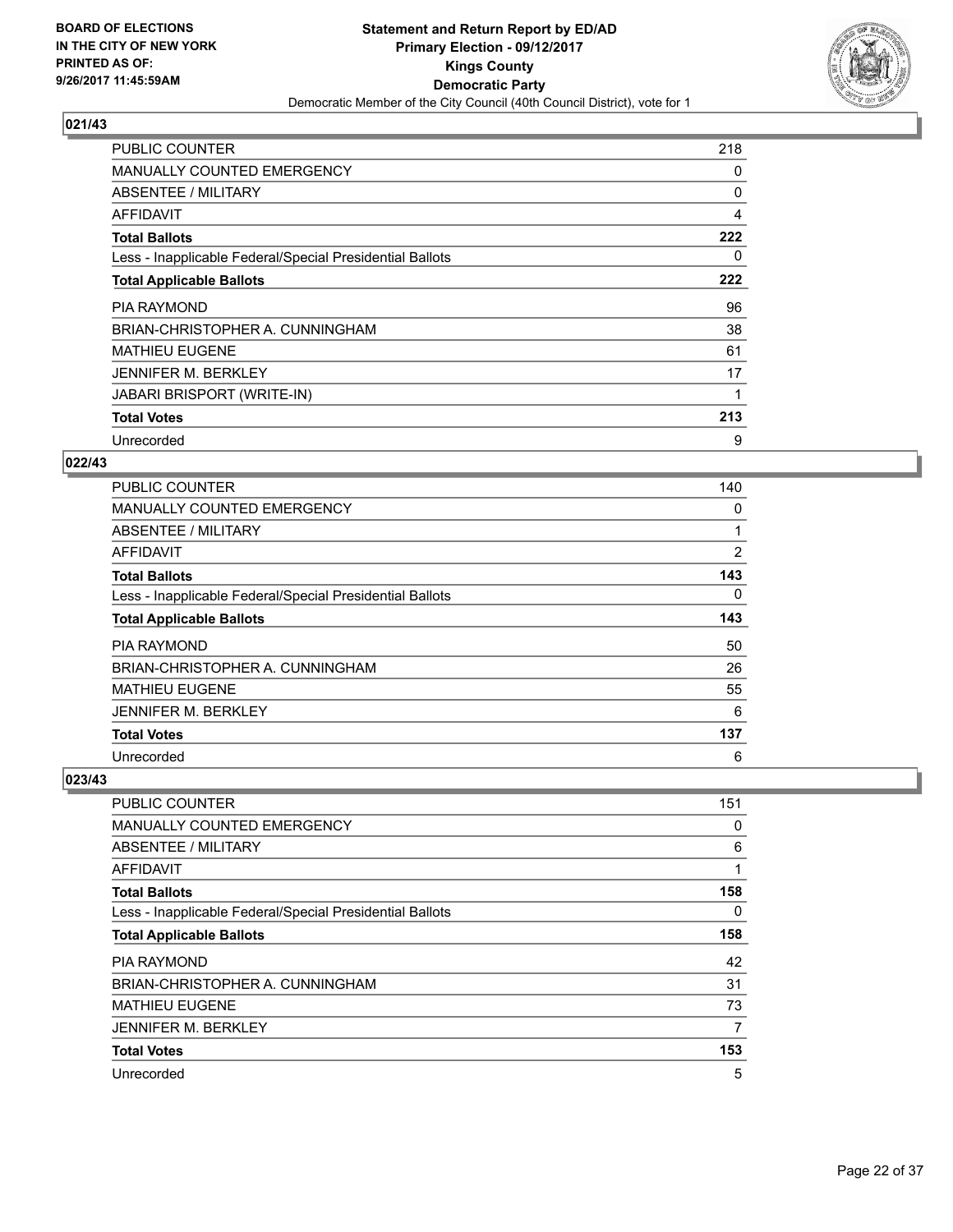

| <b>PUBLIC COUNTER</b>                                    | 218 |
|----------------------------------------------------------|-----|
| <b>MANUALLY COUNTED EMERGENCY</b>                        | 0   |
| ABSENTEE / MILITARY                                      | 0   |
| AFFIDAVIT                                                | 4   |
| <b>Total Ballots</b>                                     | 222 |
| Less - Inapplicable Federal/Special Presidential Ballots | 0   |
| <b>Total Applicable Ballots</b>                          | 222 |
|                                                          |     |
| <b>PIA RAYMOND</b>                                       | 96  |
| BRIAN-CHRISTOPHER A. CUNNINGHAM                          | 38  |
| <b>MATHIEU EUGENE</b>                                    | 61  |
| JENNIFER M. BERKLEY                                      | 17  |
| <b>JABARI BRISPORT (WRITE-IN)</b>                        |     |
| <b>Total Votes</b>                                       | 213 |

## **022/43**

| <b>PUBLIC COUNTER</b>                                    | 140 |
|----------------------------------------------------------|-----|
| <b>MANUALLY COUNTED EMERGENCY</b>                        | 0   |
| ABSENTEE / MILITARY                                      | 1   |
| AFFIDAVIT                                                | 2   |
| <b>Total Ballots</b>                                     | 143 |
| Less - Inapplicable Federal/Special Presidential Ballots | 0   |
| <b>Total Applicable Ballots</b>                          | 143 |
| <b>PIA RAYMOND</b>                                       | 50  |
| BRIAN-CHRISTOPHER A. CUNNINGHAM                          | 26  |
| <b>MATHIEU EUGENE</b>                                    | 55  |
| <b>JENNIFER M. BERKLEY</b>                               | 6   |
| <b>Total Votes</b>                                       | 137 |
| Unrecorded                                               | 6   |

| <b>PUBLIC COUNTER</b>                                    | 151 |
|----------------------------------------------------------|-----|
| <b>MANUALLY COUNTED EMERGENCY</b>                        | 0   |
| ABSENTEE / MILITARY                                      | 6   |
| AFFIDAVIT                                                | 1   |
| <b>Total Ballots</b>                                     | 158 |
| Less - Inapplicable Federal/Special Presidential Ballots | 0   |
| <b>Total Applicable Ballots</b>                          | 158 |
| <b>PIA RAYMOND</b>                                       | 42  |
| BRIAN-CHRISTOPHER A. CUNNINGHAM                          | 31  |
| <b>MATHIEU EUGENE</b>                                    | 73  |
| <b>JENNIFER M. BERKLEY</b>                               | 7   |
| <b>Total Votes</b>                                       | 153 |
| Unrecorded                                               | 5   |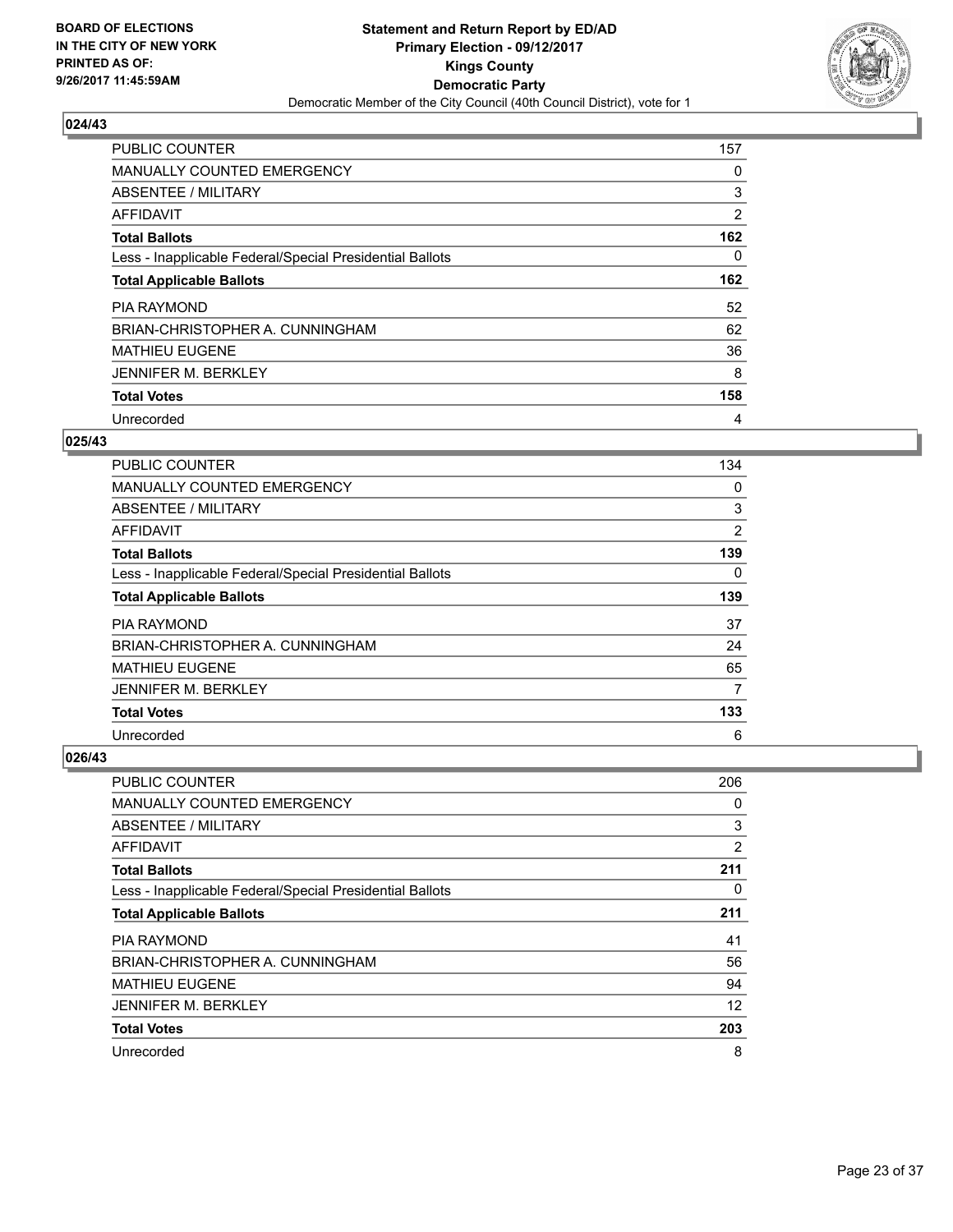

| <b>PUBLIC COUNTER</b>                                    | 157 |
|----------------------------------------------------------|-----|
| <b>MANUALLY COUNTED EMERGENCY</b>                        | 0   |
| ABSENTEE / MILITARY                                      | 3   |
| <b>AFFIDAVIT</b>                                         | 2   |
| <b>Total Ballots</b>                                     | 162 |
| Less - Inapplicable Federal/Special Presidential Ballots | 0   |
| <b>Total Applicable Ballots</b>                          | 162 |
| <b>PIA RAYMOND</b>                                       | 52  |
| BRIAN-CHRISTOPHER A. CUNNINGHAM                          | 62  |
| <b>MATHIEU EUGENE</b>                                    | 36  |
| <b>JENNIFER M. BERKLEY</b>                               | 8   |
| <b>Total Votes</b>                                       | 158 |
| Unrecorded                                               | 4   |

## **025/43**

| <b>PUBLIC COUNTER</b>                                    | 134 |
|----------------------------------------------------------|-----|
| <b>MANUALLY COUNTED EMERGENCY</b>                        | 0   |
| ABSENTEE / MILITARY                                      | 3   |
| AFFIDAVIT                                                | 2   |
| <b>Total Ballots</b>                                     | 139 |
| Less - Inapplicable Federal/Special Presidential Ballots | 0   |
| <b>Total Applicable Ballots</b>                          | 139 |
| <b>PIA RAYMOND</b>                                       | 37  |
| BRIAN-CHRISTOPHER A. CUNNINGHAM                          | 24  |
| <b>MATHIEU EUGENE</b>                                    | 65  |
| <b>JENNIFER M. BERKLEY</b>                               | 7   |
| <b>Total Votes</b>                                       | 133 |
| Unrecorded                                               | 6   |

| <b>PUBLIC COUNTER</b>                                    | 206            |
|----------------------------------------------------------|----------------|
| MANUALLY COUNTED EMERGENCY                               | 0              |
| ABSENTEE / MILITARY                                      | 3              |
| AFFIDAVIT                                                | $\overline{2}$ |
| <b>Total Ballots</b>                                     | 211            |
| Less - Inapplicable Federal/Special Presidential Ballots | 0              |
| <b>Total Applicable Ballots</b>                          | 211            |
| <b>PIA RAYMOND</b>                                       | 41             |
| BRIAN-CHRISTOPHER A. CUNNINGHAM                          | 56             |
| <b>MATHIEU EUGENE</b>                                    | 94             |
| <b>JENNIFER M. BERKLEY</b>                               | 12             |
| <b>Total Votes</b>                                       | 203            |
| Unrecorded                                               | 8              |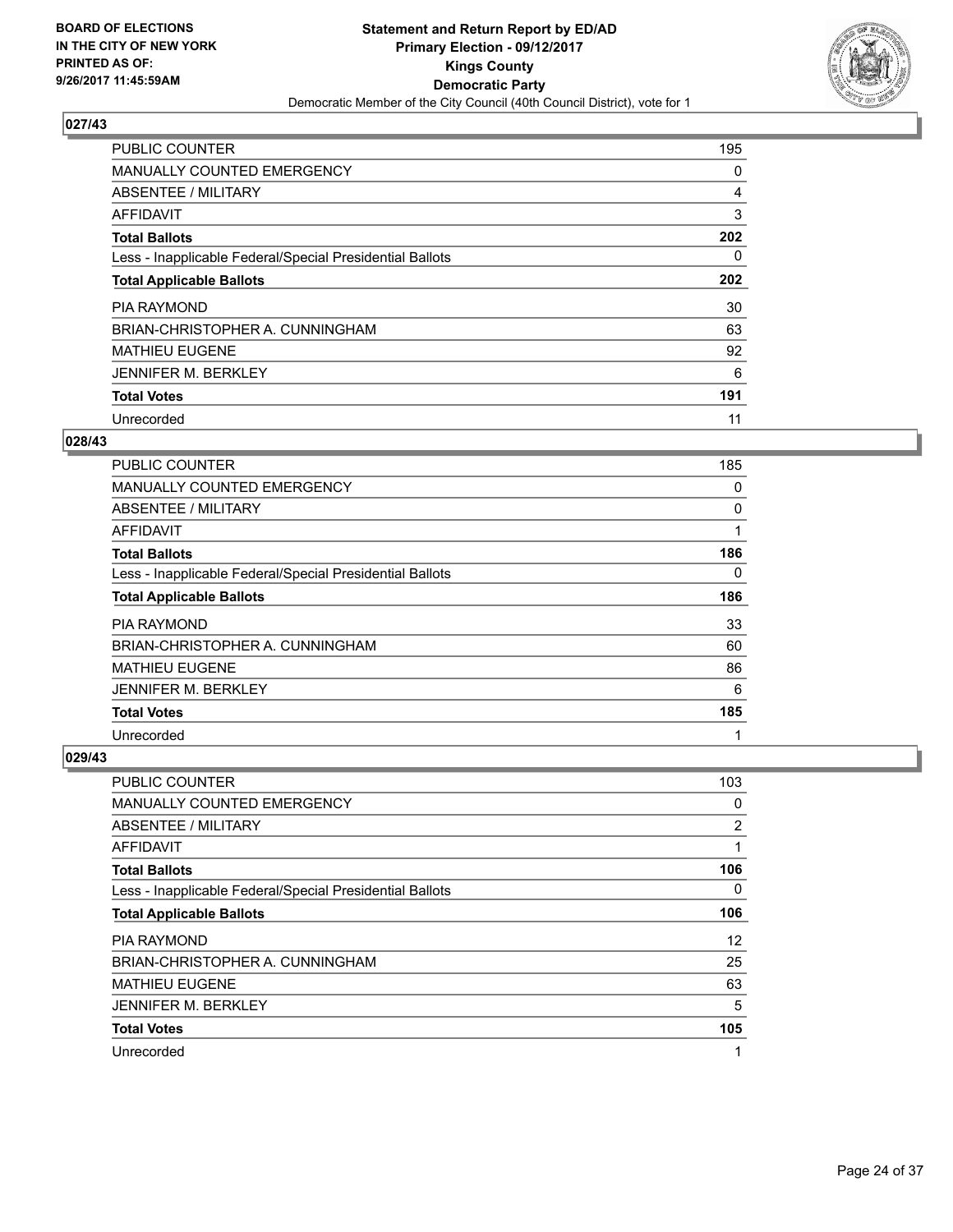

| <b>PUBLIC COUNTER</b>                                    | 195 |
|----------------------------------------------------------|-----|
| <b>MANUALLY COUNTED EMERGENCY</b>                        | 0   |
| ABSENTEE / MILITARY                                      | 4   |
| AFFIDAVIT                                                | 3   |
| <b>Total Ballots</b>                                     | 202 |
| Less - Inapplicable Federal/Special Presidential Ballots | 0   |
| <b>Total Applicable Ballots</b>                          | 202 |
| <b>PIA RAYMOND</b>                                       | 30  |
| BRIAN-CHRISTOPHER A. CUNNINGHAM                          | 63  |
| <b>MATHIEU EUGENE</b>                                    | 92  |
| <b>JENNIFER M. BERKLEY</b>                               | 6   |
| <b>Total Votes</b>                                       | 191 |
| Unrecorded                                               | 11  |

#### **028/43**

| <b>PUBLIC COUNTER</b>                                    | 185 |
|----------------------------------------------------------|-----|
| <b>MANUALLY COUNTED EMERGENCY</b>                        | 0   |
| ABSENTEE / MILITARY                                      | 0   |
| AFFIDAVIT                                                |     |
| <b>Total Ballots</b>                                     | 186 |
| Less - Inapplicable Federal/Special Presidential Ballots | 0   |
| <b>Total Applicable Ballots</b>                          | 186 |
| <b>PIA RAYMOND</b>                                       | 33  |
| BRIAN-CHRISTOPHER A. CUNNINGHAM                          | 60  |
| <b>MATHIEU EUGENE</b>                                    | 86  |
| <b>JENNIFER M. BERKLEY</b>                               | 6   |
| <b>Total Votes</b>                                       | 185 |
| Unrecorded                                               | 1   |

| <b>PUBLIC COUNTER</b>                                    | 103 |
|----------------------------------------------------------|-----|
| MANUALLY COUNTED EMERGENCY                               | 0   |
| ABSENTEE / MILITARY                                      | 2   |
| AFFIDAVIT                                                | 1   |
| <b>Total Ballots</b>                                     | 106 |
| Less - Inapplicable Federal/Special Presidential Ballots | 0   |
| <b>Total Applicable Ballots</b>                          | 106 |
| <b>PIA RAYMOND</b>                                       | 12  |
| BRIAN-CHRISTOPHER A. CUNNINGHAM                          | 25  |
| <b>MATHIEU EUGENE</b>                                    | 63  |
| <b>JENNIFER M. BERKLEY</b>                               | 5   |
| <b>Total Votes</b>                                       | 105 |
| Unrecorded                                               | 1   |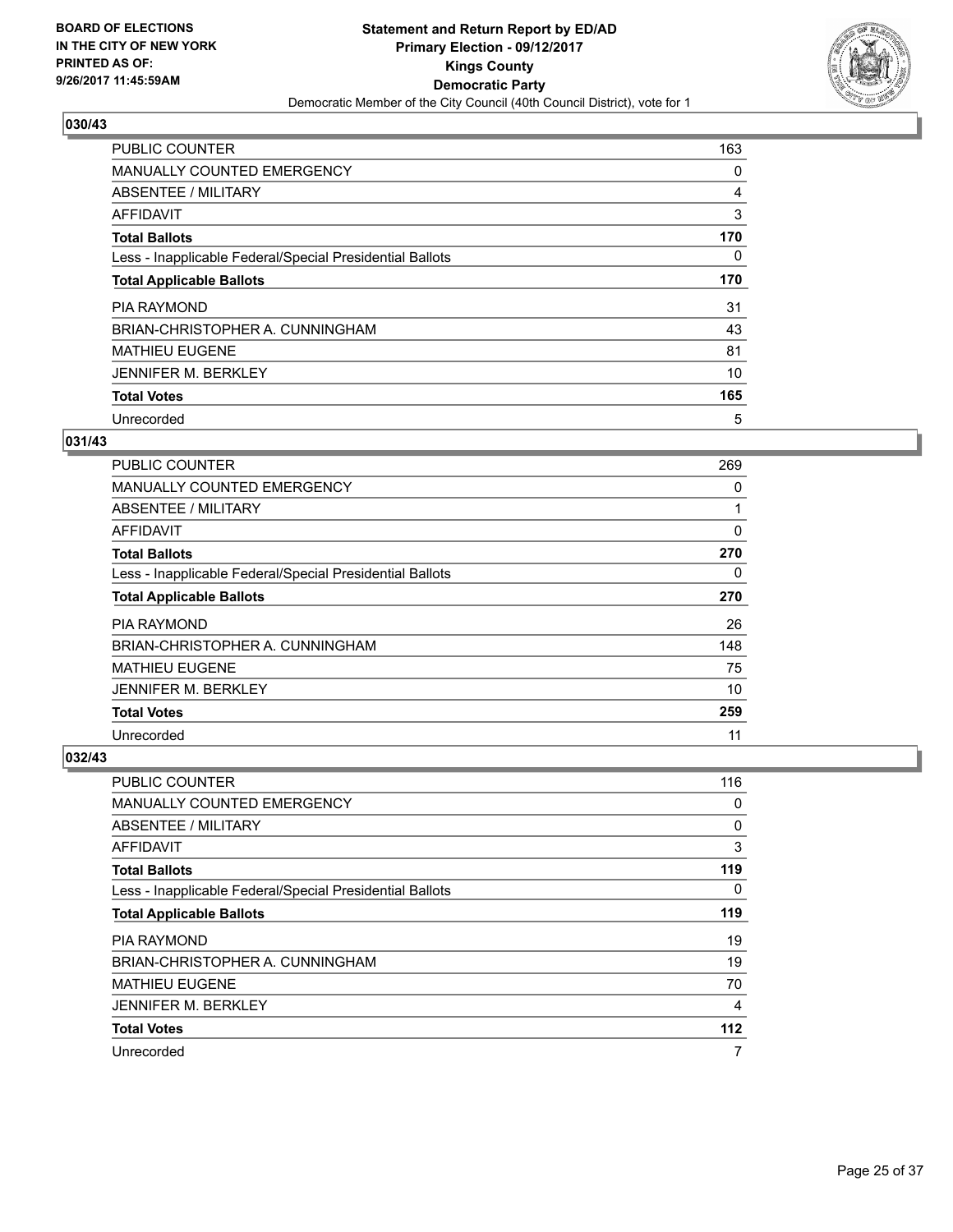

| <b>PUBLIC COUNTER</b>                                    | 163      |
|----------------------------------------------------------|----------|
| MANUALLY COUNTED EMERGENCY                               | 0        |
| ABSENTEE / MILITARY                                      | 4        |
| <b>AFFIDAVIT</b>                                         | 3        |
| <b>Total Ballots</b>                                     | 170      |
| Less - Inapplicable Federal/Special Presidential Ballots | $\Omega$ |
| <b>Total Applicable Ballots</b>                          | 170      |
| <b>PIA RAYMOND</b>                                       | 31       |
| BRIAN-CHRISTOPHER A. CUNNINGHAM                          | 43       |
| <b>MATHIEU EUGENE</b>                                    | 81       |
| <b>JENNIFER M. BERKLEY</b>                               | 10       |
| <b>Total Votes</b>                                       | 165      |
| Unrecorded                                               | 5        |

# **031/43**

| <b>PUBLIC COUNTER</b>                                    | 269          |
|----------------------------------------------------------|--------------|
| <b>MANUALLY COUNTED EMERGENCY</b>                        | 0            |
| ABSENTEE / MILITARY                                      | $\mathbf{1}$ |
| AFFIDAVIT                                                | 0            |
| <b>Total Ballots</b>                                     | 270          |
| Less - Inapplicable Federal/Special Presidential Ballots | 0            |
| <b>Total Applicable Ballots</b>                          | 270          |
| <b>PIA RAYMOND</b>                                       | 26           |
| BRIAN-CHRISTOPHER A. CUNNINGHAM                          | 148          |
| <b>MATHIEU EUGENE</b>                                    | 75           |
| <b>JENNIFER M. BERKLEY</b>                               | 10           |
| <b>Total Votes</b>                                       | 259          |
| Unrecorded                                               | 11           |

| <b>PUBLIC COUNTER</b>                                    | 116 |
|----------------------------------------------------------|-----|
| MANUALLY COUNTED EMERGENCY                               | 0   |
| ABSENTEE / MILITARY                                      | 0   |
| AFFIDAVIT                                                | 3   |
| <b>Total Ballots</b>                                     | 119 |
| Less - Inapplicable Federal/Special Presidential Ballots | 0   |
| <b>Total Applicable Ballots</b>                          | 119 |
| PIA RAYMOND                                              | 19  |
| BRIAN-CHRISTOPHER A. CUNNINGHAM                          | 19  |
| <b>MATHIEU EUGENE</b>                                    | 70  |
| <b>JENNIFER M. BERKLEY</b>                               | 4   |
| <b>Total Votes</b>                                       | 112 |
| Unrecorded                                               | 7   |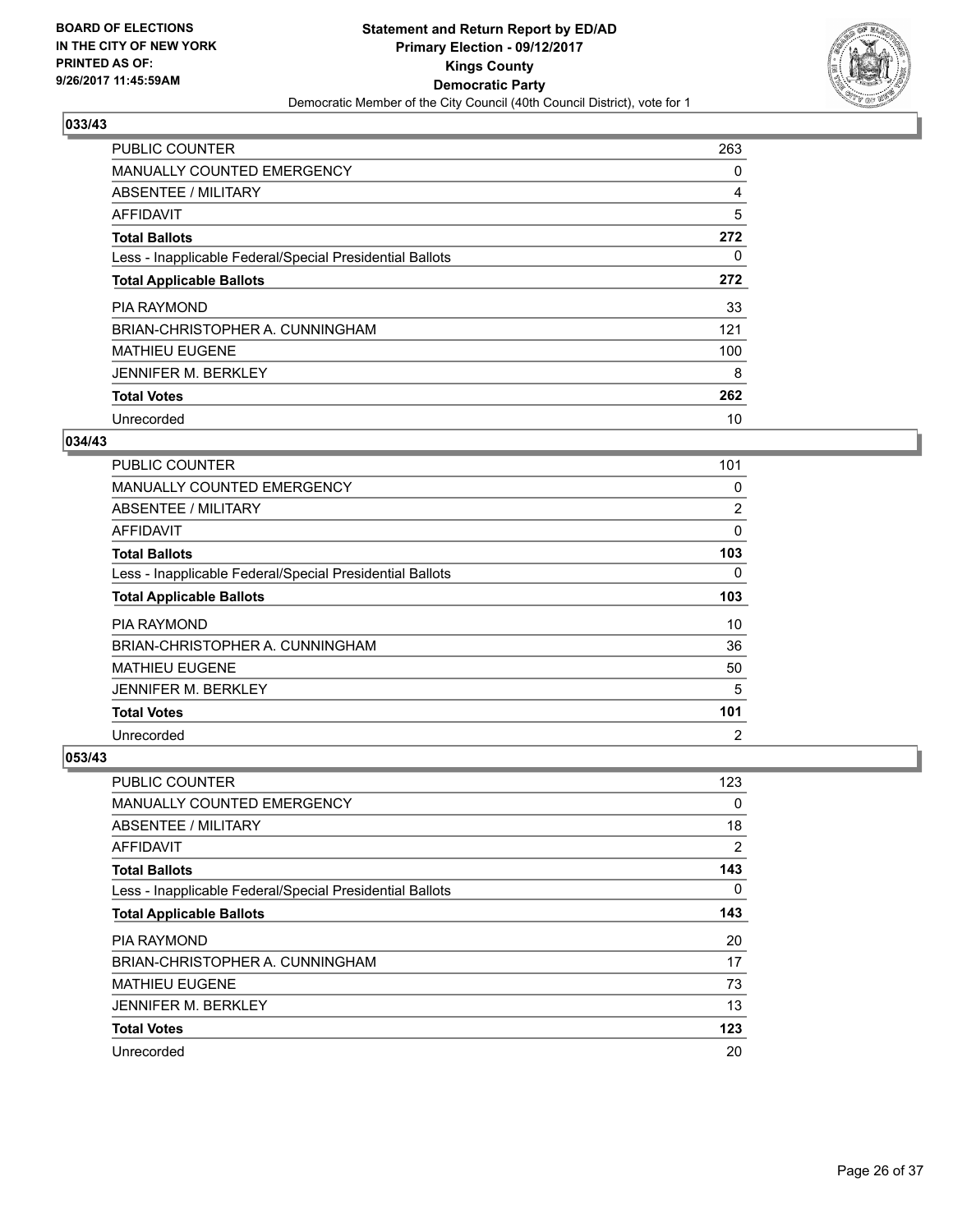

| <b>PUBLIC COUNTER</b>                                    | 263 |
|----------------------------------------------------------|-----|
| <b>MANUALLY COUNTED EMERGENCY</b>                        | 0   |
| ABSENTEE / MILITARY                                      | 4   |
| <b>AFFIDAVIT</b>                                         | 5   |
| <b>Total Ballots</b>                                     | 272 |
| Less - Inapplicable Federal/Special Presidential Ballots | 0   |
| <b>Total Applicable Ballots</b>                          | 272 |
| <b>PIA RAYMOND</b>                                       | 33  |
| BRIAN-CHRISTOPHER A. CUNNINGHAM                          | 121 |
| <b>MATHIEU EUGENE</b>                                    | 100 |
| <b>JENNIFER M. BERKLEY</b>                               | 8   |
| <b>Total Votes</b>                                       | 262 |
| Unrecorded                                               | 10  |

## **034/43**

| <b>PUBLIC COUNTER</b>                                    | 101            |
|----------------------------------------------------------|----------------|
| <b>MANUALLY COUNTED EMERGENCY</b>                        | 0              |
| ABSENTEE / MILITARY                                      | 2              |
| AFFIDAVIT                                                | 0              |
| <b>Total Ballots</b>                                     | 103            |
| Less - Inapplicable Federal/Special Presidential Ballots | 0              |
| <b>Total Applicable Ballots</b>                          | 103            |
| <b>PIA RAYMOND</b>                                       | 10             |
| BRIAN-CHRISTOPHER A. CUNNINGHAM                          | 36             |
| <b>MATHIEU EUGENE</b>                                    | 50             |
| <b>JENNIFER M. BERKLEY</b>                               | 5              |
| <b>Total Votes</b>                                       | 101            |
| Unrecorded                                               | $\overline{2}$ |

| <b>PUBLIC COUNTER</b>                                    | 123 |
|----------------------------------------------------------|-----|
| <b>MANUALLY COUNTED EMERGENCY</b>                        | 0   |
| ABSENTEE / MILITARY                                      | 18  |
| AFFIDAVIT                                                | 2   |
| <b>Total Ballots</b>                                     | 143 |
| Less - Inapplicable Federal/Special Presidential Ballots | 0   |
| <b>Total Applicable Ballots</b>                          | 143 |
| <b>PIA RAYMOND</b>                                       | 20  |
| BRIAN-CHRISTOPHER A. CUNNINGHAM                          | 17  |
| <b>MATHIEU EUGENE</b>                                    | 73  |
| <b>JENNIFER M. BERKLEY</b>                               | 13  |
| <b>Total Votes</b>                                       | 123 |
| Unrecorded                                               | 20  |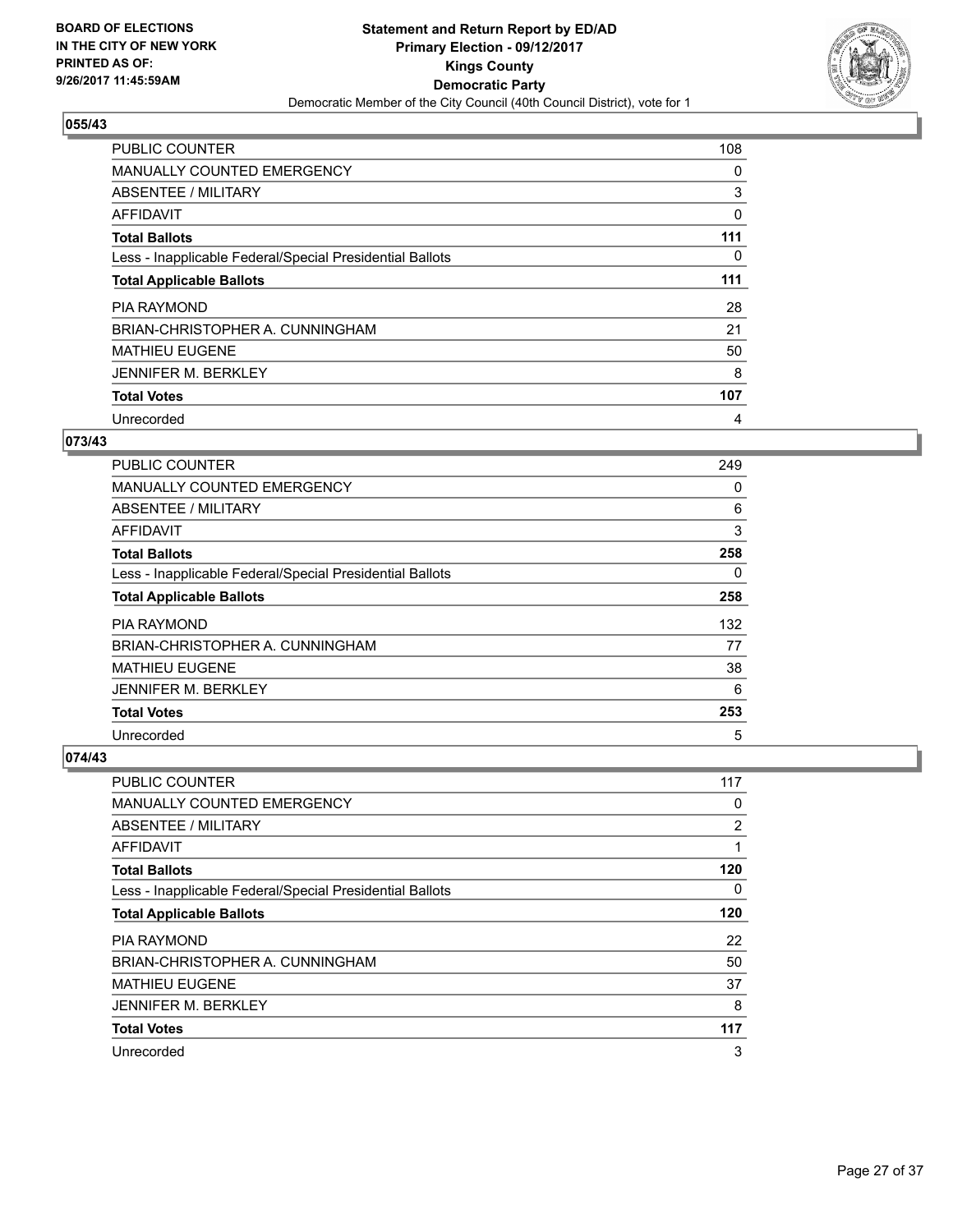

| <b>PUBLIC COUNTER</b>                                    | 108 |
|----------------------------------------------------------|-----|
| <b>MANUALLY COUNTED EMERGENCY</b>                        | 0   |
| ABSENTEE / MILITARY                                      | 3   |
| AFFIDAVIT                                                | 0   |
| <b>Total Ballots</b>                                     | 111 |
| Less - Inapplicable Federal/Special Presidential Ballots | 0   |
| <b>Total Applicable Ballots</b>                          | 111 |
| <b>PIA RAYMOND</b>                                       | 28  |
| BRIAN-CHRISTOPHER A. CUNNINGHAM                          | 21  |
| <b>MATHIEU EUGENE</b>                                    | 50  |
| <b>JENNIFER M. BERKLEY</b>                               | 8   |
| <b>Total Votes</b>                                       | 107 |
| Unrecorded                                               | 4   |

## **073/43**

| <b>PUBLIC COUNTER</b>                                    | 249 |
|----------------------------------------------------------|-----|
| <b>MANUALLY COUNTED EMERGENCY</b>                        | 0   |
| ABSENTEE / MILITARY                                      | 6   |
| AFFIDAVIT                                                | 3   |
| <b>Total Ballots</b>                                     | 258 |
| Less - Inapplicable Federal/Special Presidential Ballots | 0   |
| <b>Total Applicable Ballots</b>                          | 258 |
| <b>PIA RAYMOND</b>                                       | 132 |
| BRIAN-CHRISTOPHER A. CUNNINGHAM                          | 77  |
| <b>MATHIEU EUGENE</b>                                    | 38  |
| <b>JENNIFER M. BERKLEY</b>                               | 6   |
| <b>Total Votes</b>                                       | 253 |
| Unrecorded                                               | 5   |

| <b>PUBLIC COUNTER</b>                                    | 117            |
|----------------------------------------------------------|----------------|
| <b>MANUALLY COUNTED EMERGENCY</b>                        | 0              |
| ABSENTEE / MILITARY                                      | $\overline{2}$ |
| AFFIDAVIT                                                |                |
| <b>Total Ballots</b>                                     | 120            |
| Less - Inapplicable Federal/Special Presidential Ballots | 0              |
| <b>Total Applicable Ballots</b>                          | 120            |
| <b>PIA RAYMOND</b>                                       | 22             |
| BRIAN-CHRISTOPHER A. CUNNINGHAM                          | 50             |
| <b>MATHIEU EUGENE</b>                                    | 37             |
| <b>JENNIFER M. BERKLEY</b>                               | 8              |
| <b>Total Votes</b>                                       | 117            |
| Unrecorded                                               | 3              |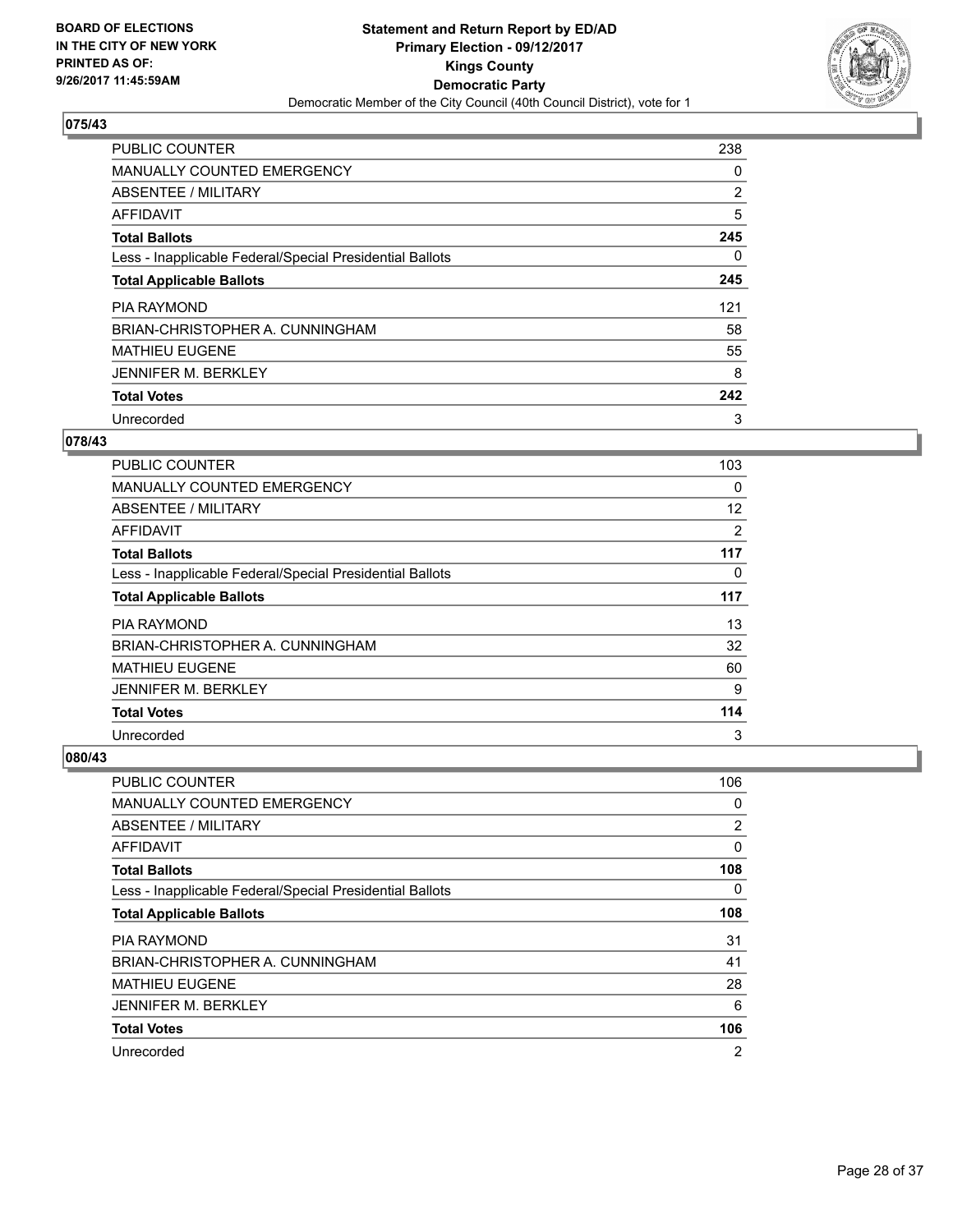

| <b>PUBLIC COUNTER</b>                                    | 238 |
|----------------------------------------------------------|-----|
| <b>MANUALLY COUNTED EMERGENCY</b>                        | 0   |
| ABSENTEE / MILITARY                                      | 2   |
| AFFIDAVIT                                                | 5   |
| <b>Total Ballots</b>                                     | 245 |
| Less - Inapplicable Federal/Special Presidential Ballots | 0   |
| <b>Total Applicable Ballots</b>                          | 245 |
| <b>PIA RAYMOND</b>                                       | 121 |
| BRIAN-CHRISTOPHER A. CUNNINGHAM                          | 58  |
| <b>MATHIEU EUGENE</b>                                    | 55  |
| <b>JENNIFER M. BERKLEY</b>                               | 8   |
| <b>Total Votes</b>                                       | 242 |
| Unrecorded                                               | 3   |

## **078/43**

| PUBLIC COUNTER                                           | 103 |
|----------------------------------------------------------|-----|
| <b>MANUALLY COUNTED EMERGENCY</b>                        | 0   |
| ABSENTEE / MILITARY                                      | 12  |
| AFFIDAVIT                                                | 2   |
| <b>Total Ballots</b>                                     | 117 |
| Less - Inapplicable Federal/Special Presidential Ballots | 0   |
| <b>Total Applicable Ballots</b>                          | 117 |
| <b>PIA RAYMOND</b>                                       | 13  |
| BRIAN-CHRISTOPHER A. CUNNINGHAM                          | 32  |
| <b>MATHIEU EUGENE</b>                                    | 60  |
| <b>JENNIFER M. BERKLEY</b>                               | 9   |
| <b>Total Votes</b>                                       | 114 |
| Unrecorded                                               | 3   |

| <b>PUBLIC COUNTER</b>                                    | 106 |
|----------------------------------------------------------|-----|
| MANUALLY COUNTED EMERGENCY                               | 0   |
| ABSENTEE / MILITARY                                      | 2   |
| AFFIDAVIT                                                | 0   |
| <b>Total Ballots</b>                                     | 108 |
| Less - Inapplicable Federal/Special Presidential Ballots | 0   |
| <b>Total Applicable Ballots</b>                          | 108 |
| PIA RAYMOND                                              | 31  |
| BRIAN-CHRISTOPHER A. CUNNINGHAM                          | 41  |
| <b>MATHIEU EUGENE</b>                                    | 28  |
| <b>JENNIFER M. BERKLEY</b>                               | 6   |
| <b>Total Votes</b>                                       | 106 |
| Unrecorded                                               | 2   |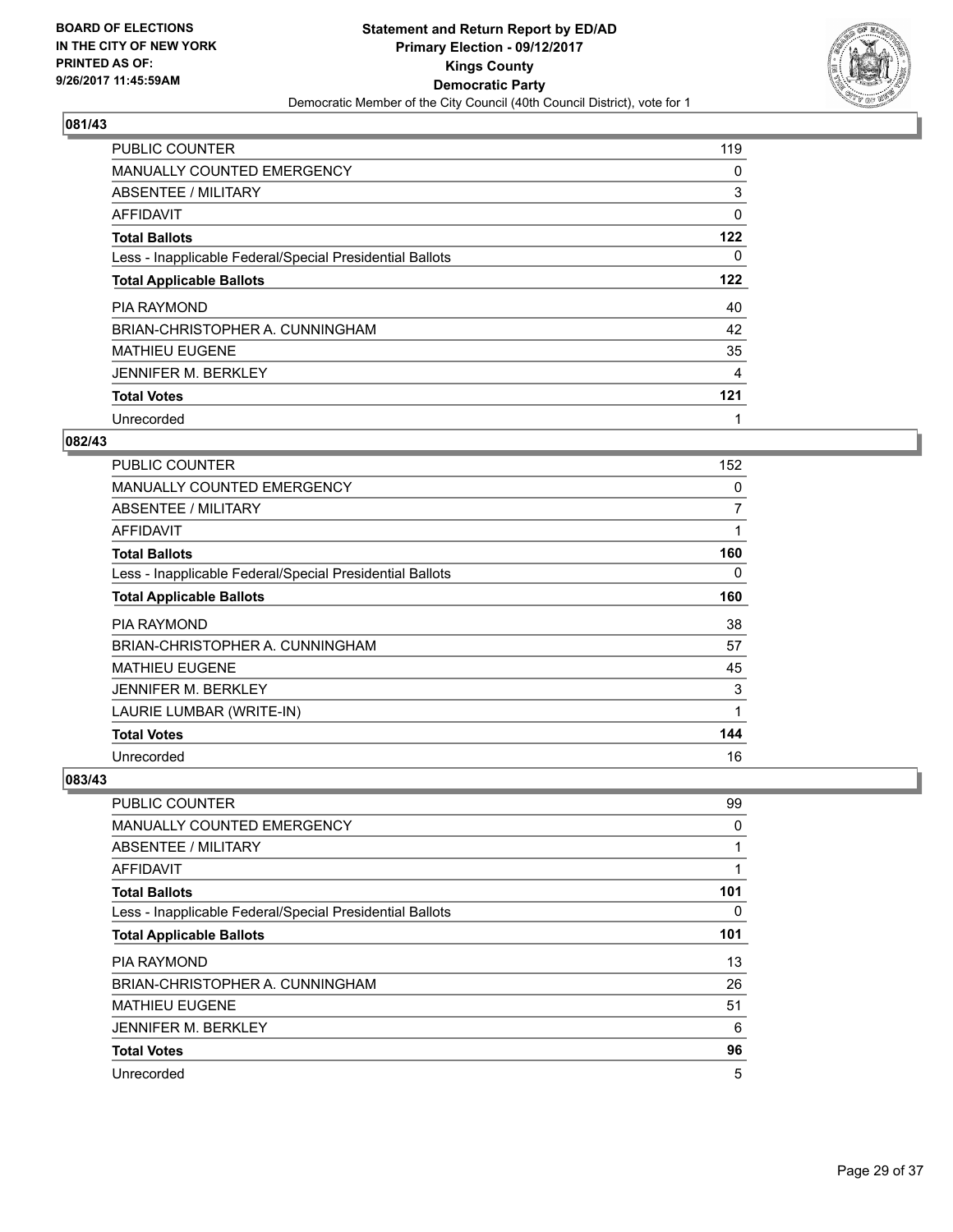

| <b>PUBLIC COUNTER</b>                                    | 119 |
|----------------------------------------------------------|-----|
| <b>MANUALLY COUNTED EMERGENCY</b>                        | 0   |
| ABSENTEE / MILITARY                                      | 3   |
| <b>AFFIDAVIT</b>                                         | 0   |
| <b>Total Ballots</b>                                     | 122 |
| Less - Inapplicable Federal/Special Presidential Ballots | 0   |
| <b>Total Applicable Ballots</b>                          | 122 |
| <b>PIA RAYMOND</b>                                       | 40  |
| BRIAN-CHRISTOPHER A. CUNNINGHAM                          | 42  |
| <b>MATHIEU EUGENE</b>                                    | 35  |
| <b>JENNIFER M. BERKLEY</b>                               | 4   |
| <b>Total Votes</b>                                       | 121 |
| Unrecorded                                               | 1   |

#### **082/43**

| PUBLIC COUNTER                                           | 152 |
|----------------------------------------------------------|-----|
| <b>MANUALLY COUNTED EMERGENCY</b>                        | 0   |
| ABSENTEE / MILITARY                                      | 7   |
| AFFIDAVIT                                                | 1   |
| <b>Total Ballots</b>                                     | 160 |
| Less - Inapplicable Federal/Special Presidential Ballots | 0   |
| <b>Total Applicable Ballots</b>                          | 160 |
| <b>PIA RAYMOND</b>                                       | 38  |
| BRIAN-CHRISTOPHER A. CUNNINGHAM                          | 57  |
| <b>MATHIEU EUGENE</b>                                    | 45  |
| <b>JENNIFER M. BERKLEY</b>                               | 3   |
| LAURIE LUMBAR (WRITE-IN)                                 | 1   |
| <b>Total Votes</b>                                       | 144 |
| Unrecorded                                               | 16  |

| <b>PUBLIC COUNTER</b>                                    | 99  |
|----------------------------------------------------------|-----|
| <b>MANUALLY COUNTED EMERGENCY</b>                        | 0   |
| ABSENTEE / MILITARY                                      |     |
| AFFIDAVIT                                                |     |
| <b>Total Ballots</b>                                     | 101 |
| Less - Inapplicable Federal/Special Presidential Ballots | 0   |
| <b>Total Applicable Ballots</b>                          | 101 |
| <b>PIA RAYMOND</b>                                       | 13  |
| BRIAN-CHRISTOPHER A. CUNNINGHAM                          | 26  |
| <b>MATHIEU EUGENE</b>                                    | 51  |
| <b>JENNIFER M. BERKLEY</b>                               | 6   |
| <b>Total Votes</b>                                       | 96  |
| Unrecorded                                               | 5   |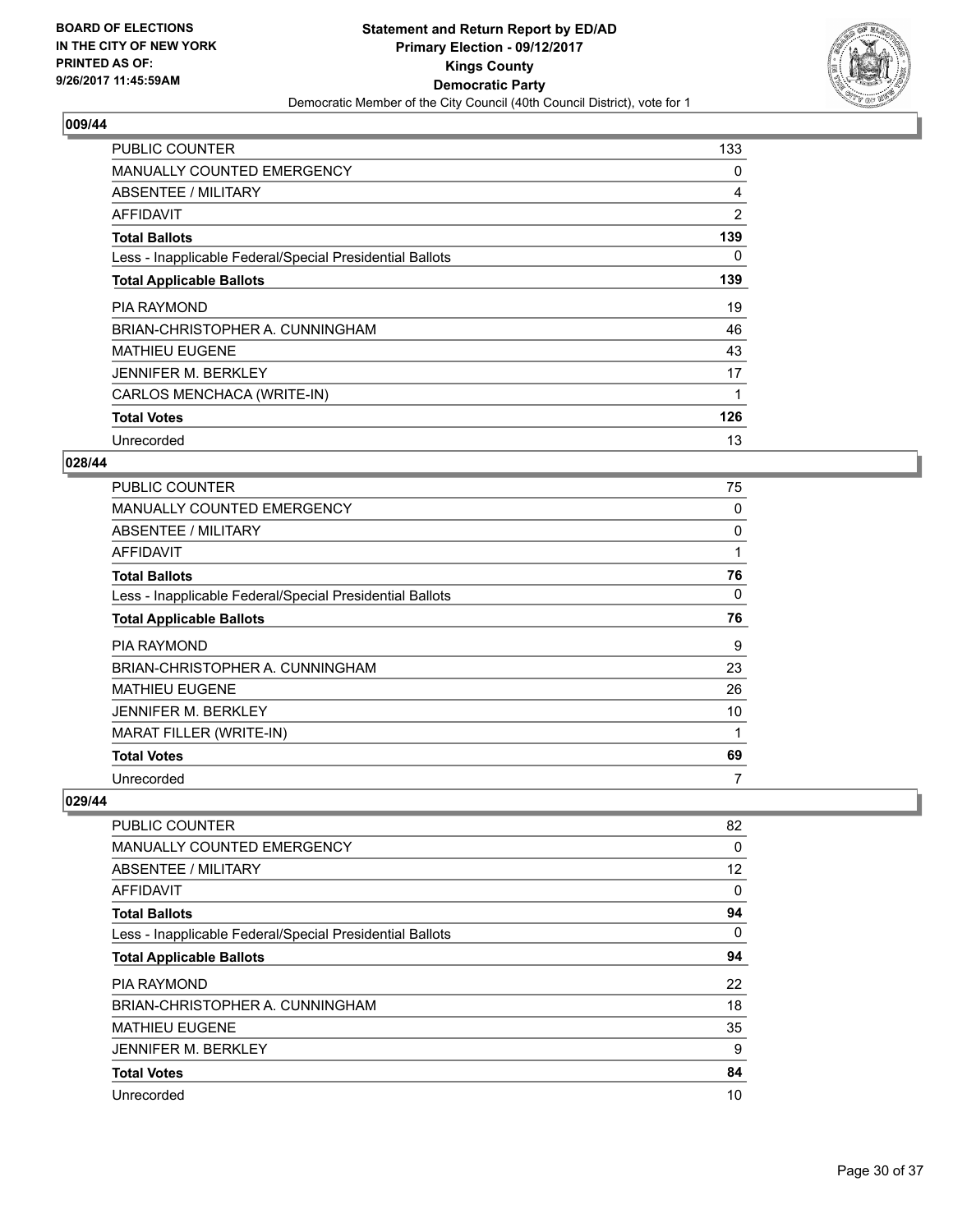

| <b>PUBLIC COUNTER</b>                                    | 133 |
|----------------------------------------------------------|-----|
| <b>MANUALLY COUNTED EMERGENCY</b>                        | 0   |
| ABSENTEE / MILITARY                                      | 4   |
| AFFIDAVIT                                                | 2   |
| <b>Total Ballots</b>                                     | 139 |
| Less - Inapplicable Federal/Special Presidential Ballots | 0   |
| <b>Total Applicable Ballots</b>                          | 139 |
| <b>PIA RAYMOND</b>                                       | 19  |
| BRIAN-CHRISTOPHER A. CUNNINGHAM                          | 46  |
| <b>MATHIEU EUGENE</b>                                    | 43  |
| <b>JENNIFER M. BERKLEY</b>                               | 17  |
|                                                          |     |
| CARLOS MENCHACA (WRITE-IN)                               |     |
| <b>Total Votes</b>                                       | 126 |

## **028/44**

| <b>PUBLIC COUNTER</b>                                    | 75 |
|----------------------------------------------------------|----|
| <b>MANUALLY COUNTED EMERGENCY</b>                        | 0  |
| ABSENTEE / MILITARY                                      | 0  |
| AFFIDAVIT                                                | 1  |
| <b>Total Ballots</b>                                     | 76 |
| Less - Inapplicable Federal/Special Presidential Ballots | 0  |
| <b>Total Applicable Ballots</b>                          | 76 |
| <b>PIA RAYMOND</b>                                       | 9  |
| BRIAN-CHRISTOPHER A. CUNNINGHAM                          | 23 |
| <b>MATHIEU EUGENE</b>                                    | 26 |
| <b>JENNIFER M. BERKLEY</b>                               | 10 |
| <b>MARAT FILLER (WRITE-IN)</b>                           | 1  |
|                                                          |    |
| <b>Total Votes</b>                                       | 69 |

| <b>PUBLIC COUNTER</b>                                    | 82 |
|----------------------------------------------------------|----|
| <b>MANUALLY COUNTED EMERGENCY</b>                        | 0  |
| ABSENTEE / MILITARY                                      | 12 |
| AFFIDAVIT                                                | 0  |
| <b>Total Ballots</b>                                     | 94 |
| Less - Inapplicable Federal/Special Presidential Ballots | 0  |
| <b>Total Applicable Ballots</b>                          | 94 |
| PIA RAYMOND                                              | 22 |
| BRIAN-CHRISTOPHER A. CUNNINGHAM                          | 18 |
| <b>MATHIEU EUGENE</b>                                    | 35 |
| <b>JENNIFER M. BERKLEY</b>                               | 9  |
| <b>Total Votes</b>                                       | 84 |
| Unrecorded                                               | 10 |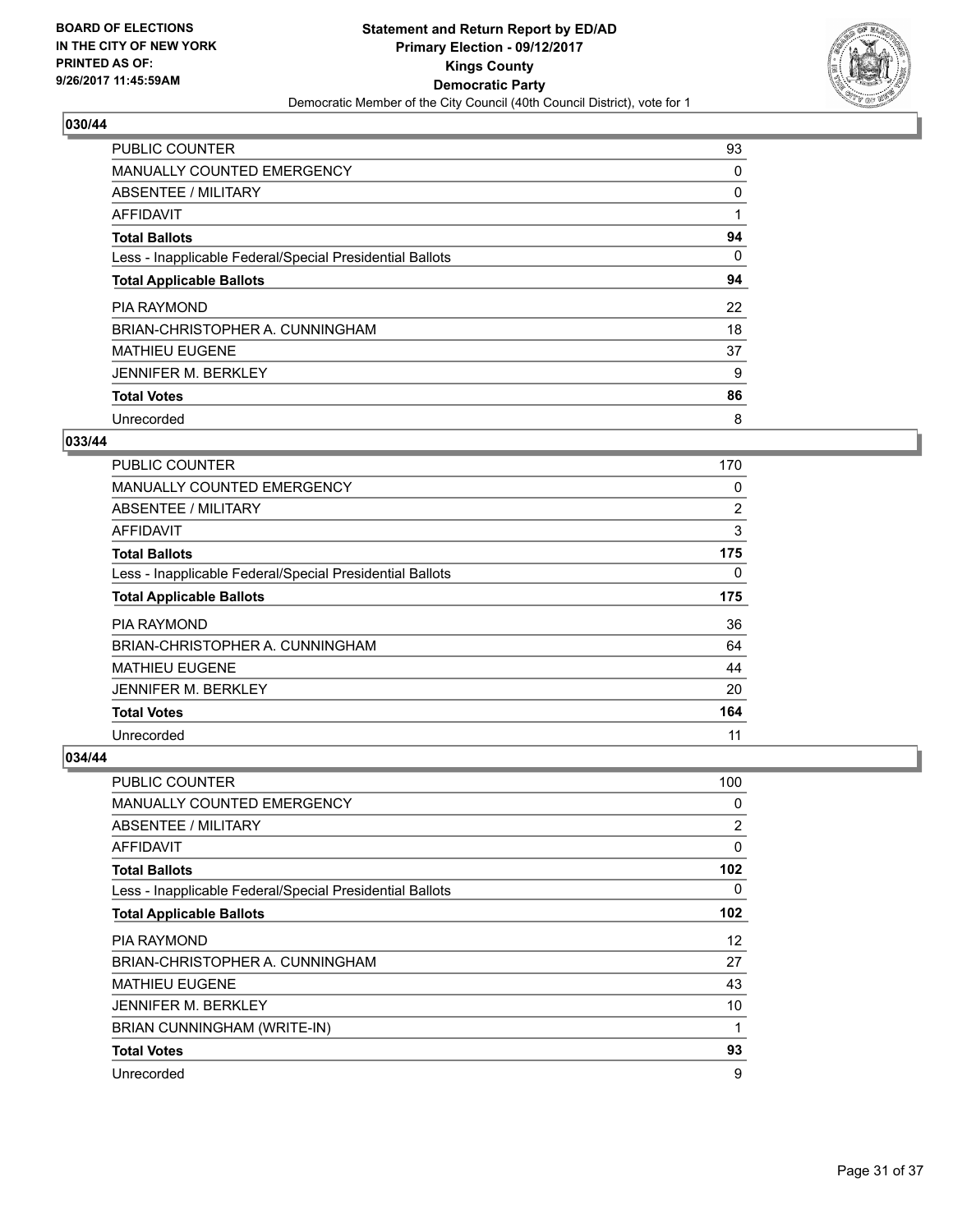

| <b>PUBLIC COUNTER</b>                                    | 93 |
|----------------------------------------------------------|----|
| <b>MANUALLY COUNTED EMERGENCY</b>                        | 0  |
| ABSENTEE / MILITARY                                      | 0  |
| AFFIDAVIT                                                |    |
| <b>Total Ballots</b>                                     | 94 |
| Less - Inapplicable Federal/Special Presidential Ballots | 0  |
| <b>Total Applicable Ballots</b>                          | 94 |
| PIA RAYMOND                                              | 22 |
| BRIAN-CHRISTOPHER A. CUNNINGHAM                          | 18 |
| <b>MATHIEU EUGENE</b>                                    | 37 |
| <b>JENNIFER M. BERKLEY</b>                               | 9  |
| <b>Total Votes</b>                                       | 86 |
| Unrecorded                                               | 8  |

# **033/44**

| PUBLIC COUNTER                                           | 170            |
|----------------------------------------------------------|----------------|
| <b>MANUALLY COUNTED EMERGENCY</b>                        | 0              |
| ABSENTEE / MILITARY                                      | $\overline{2}$ |
| AFFIDAVIT                                                | 3              |
| <b>Total Ballots</b>                                     | 175            |
| Less - Inapplicable Federal/Special Presidential Ballots | 0              |
| <b>Total Applicable Ballots</b>                          | 175            |
| <b>PIA RAYMOND</b>                                       | 36             |
| BRIAN-CHRISTOPHER A. CUNNINGHAM                          | 64             |
| <b>MATHIEU EUGENE</b>                                    | 44             |
| <b>JENNIFER M. BERKLEY</b>                               | 20             |
| <b>Total Votes</b>                                       | 164            |
| Unrecorded                                               | 11             |

| PUBLIC COUNTER                                           | 100      |
|----------------------------------------------------------|----------|
| <b>MANUALLY COUNTED EMERGENCY</b>                        | 0        |
| ABSENTEE / MILITARY                                      | 2        |
| AFFIDAVIT                                                | $\Omega$ |
| <b>Total Ballots</b>                                     | 102      |
| Less - Inapplicable Federal/Special Presidential Ballots | 0        |
| <b>Total Applicable Ballots</b>                          | 102      |
| <b>PIA RAYMOND</b>                                       | 12       |
| BRIAN-CHRISTOPHER A. CUNNINGHAM                          | 27       |
| <b>MATHIEU EUGENE</b>                                    | 43       |
| <b>JENNIFER M. BERKLEY</b>                               | 10       |
| BRIAN CUNNINGHAM (WRITE-IN)                              | 1        |
| <b>Total Votes</b>                                       | 93       |
| Unrecorded                                               | 9        |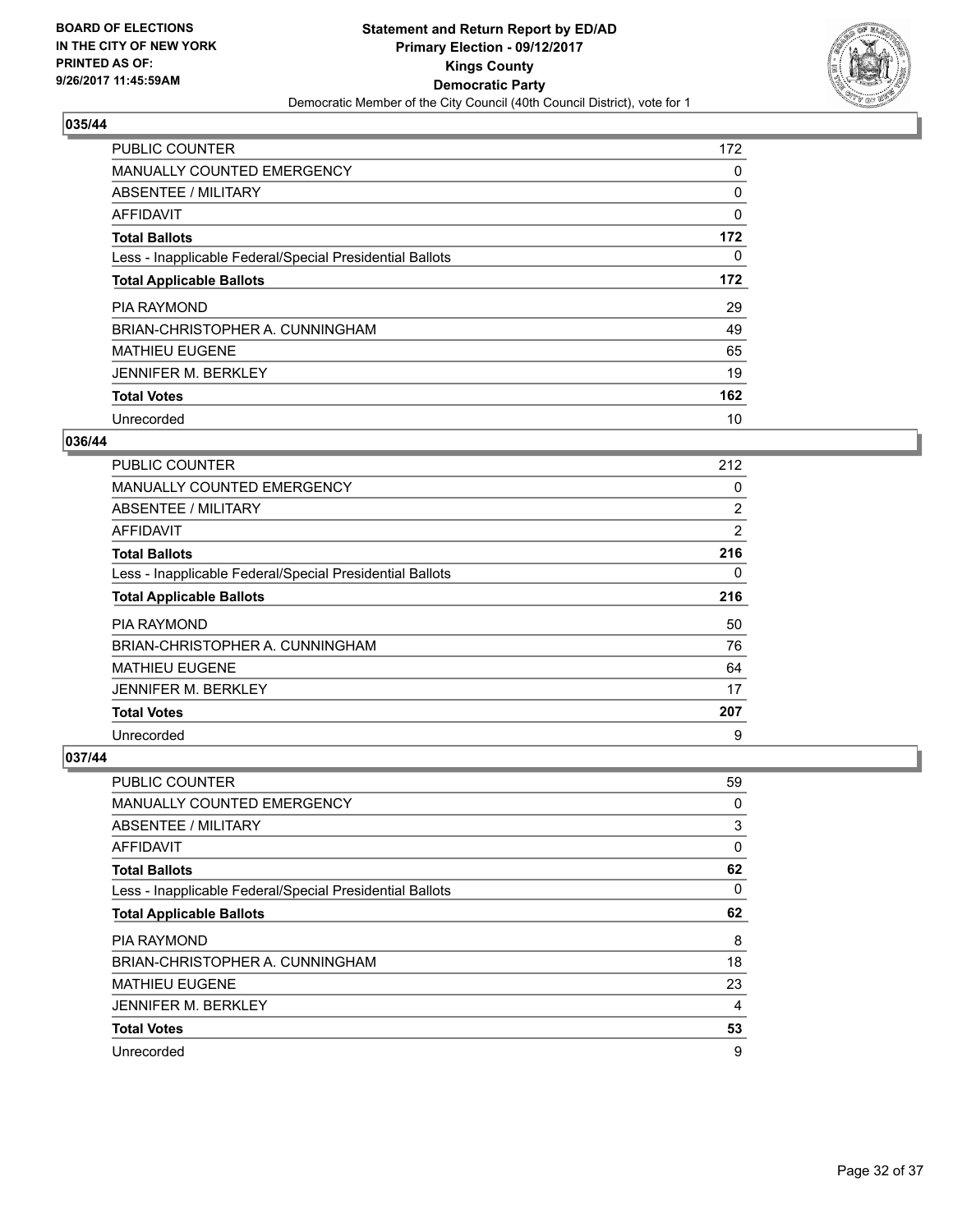

| <b>PUBLIC COUNTER</b>                                    | 172 |
|----------------------------------------------------------|-----|
| MANUALLY COUNTED EMERGENCY                               | 0   |
| ABSENTEE / MILITARY                                      | 0   |
| <b>AFFIDAVIT</b>                                         | 0   |
| <b>Total Ballots</b>                                     | 172 |
| Less - Inapplicable Federal/Special Presidential Ballots | 0   |
| <b>Total Applicable Ballots</b>                          | 172 |
| <b>PIA RAYMOND</b>                                       | 29  |
| BRIAN-CHRISTOPHER A. CUNNINGHAM                          | 49  |
| <b>MATHIEU EUGENE</b>                                    | 65  |
| <b>JENNIFER M. BERKLEY</b>                               | 19  |
| <b>Total Votes</b>                                       | 162 |
| Unrecorded                                               | 10  |

#### **036/44**

| <b>PUBLIC COUNTER</b>                                    | 212            |
|----------------------------------------------------------|----------------|
| MANUALLY COUNTED EMERGENCY                               | 0              |
| ABSENTEE / MILITARY                                      | $\overline{2}$ |
| AFFIDAVIT                                                | 2              |
| <b>Total Ballots</b>                                     | 216            |
| Less - Inapplicable Federal/Special Presidential Ballots | 0              |
| <b>Total Applicable Ballots</b>                          | 216            |
| <b>PIA RAYMOND</b>                                       | 50             |
| BRIAN-CHRISTOPHER A. CUNNINGHAM                          | 76             |
| <b>MATHIEU EUGENE</b>                                    | 64             |
| <b>JENNIFER M. BERKLEY</b>                               | 17             |
| <b>Total Votes</b>                                       | 207            |
| Unrecorded                                               | 9              |

| PUBLIC COUNTER                                           | 59 |
|----------------------------------------------------------|----|
| <b>MANUALLY COUNTED EMERGENCY</b>                        | 0  |
| ABSENTEE / MILITARY                                      | 3  |
| AFFIDAVIT                                                | 0  |
| <b>Total Ballots</b>                                     | 62 |
| Less - Inapplicable Federal/Special Presidential Ballots | 0  |
| <b>Total Applicable Ballots</b>                          | 62 |
| <b>PIA RAYMOND</b>                                       | 8  |
| BRIAN-CHRISTOPHER A. CUNNINGHAM                          | 18 |
| <b>MATHIEU EUGENE</b>                                    | 23 |
| <b>JENNIFER M. BERKLEY</b>                               | 4  |
| <b>Total Votes</b>                                       | 53 |
| Unrecorded                                               | 9  |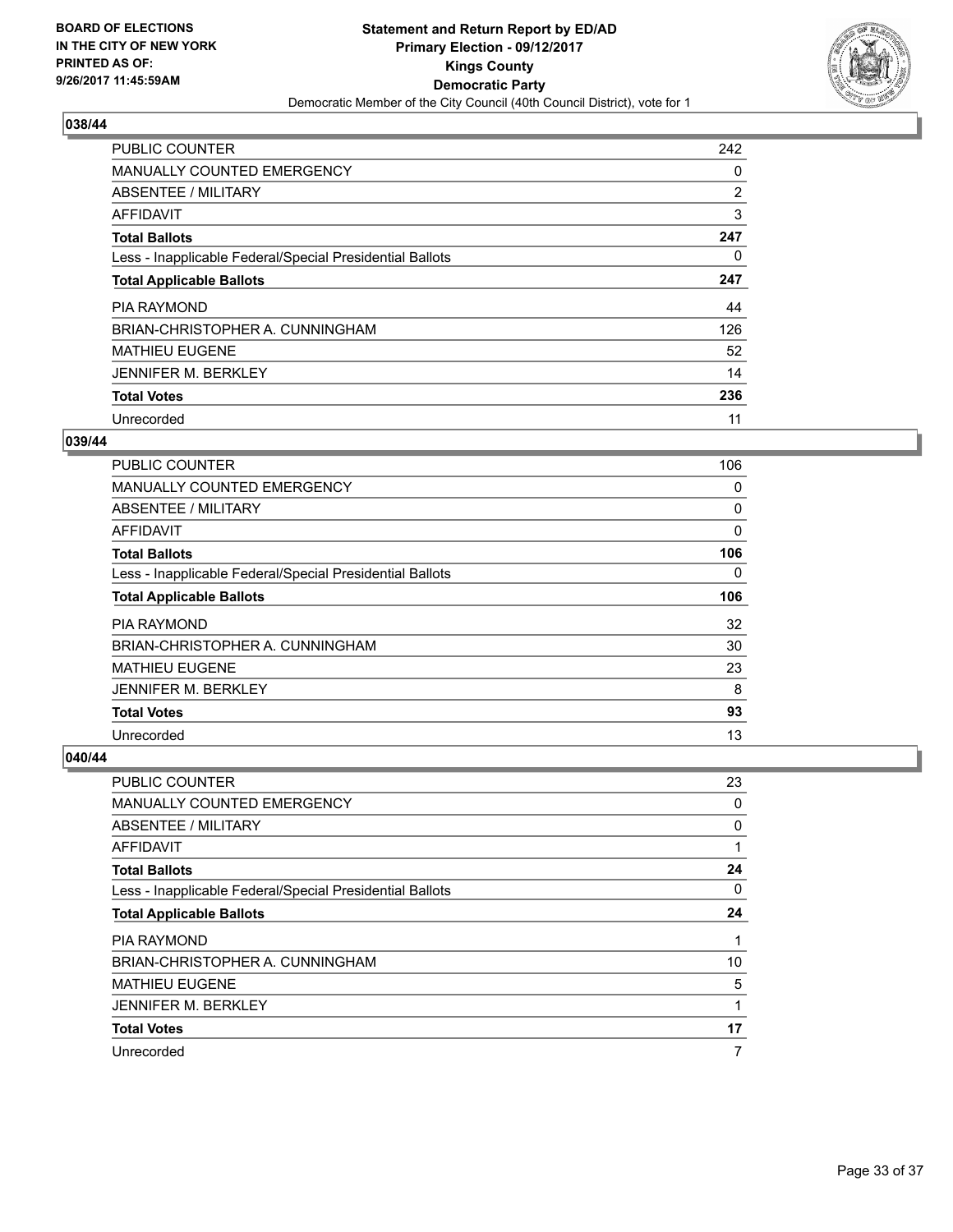

| <b>PUBLIC COUNTER</b>                                    | 242 |
|----------------------------------------------------------|-----|
| <b>MANUALLY COUNTED EMERGENCY</b>                        | 0   |
| ABSENTEE / MILITARY                                      | 2   |
| <b>AFFIDAVIT</b>                                         | 3   |
| <b>Total Ballots</b>                                     | 247 |
| Less - Inapplicable Federal/Special Presidential Ballots | 0   |
| <b>Total Applicable Ballots</b>                          | 247 |
| <b>PIA RAYMOND</b>                                       | 44  |
| BRIAN-CHRISTOPHER A. CUNNINGHAM                          | 126 |
| <b>MATHIEU EUGENE</b>                                    | 52  |
| <b>JENNIFER M. BERKLEY</b>                               | 14  |
| <b>Total Votes</b>                                       | 236 |
| Unrecorded                                               | 11  |

## **039/44**

| <b>PUBLIC COUNTER</b>                                    | 106 |
|----------------------------------------------------------|-----|
| <b>MANUALLY COUNTED EMERGENCY</b>                        | 0   |
| ABSENTEE / MILITARY                                      | 0   |
| AFFIDAVIT                                                | 0   |
| <b>Total Ballots</b>                                     | 106 |
| Less - Inapplicable Federal/Special Presidential Ballots | 0   |
| <b>Total Applicable Ballots</b>                          | 106 |
| <b>PIA RAYMOND</b>                                       | 32  |
| BRIAN-CHRISTOPHER A. CUNNINGHAM                          | 30  |
| <b>MATHIEU EUGENE</b>                                    | 23  |
| <b>JENNIFER M. BERKLEY</b>                               | 8   |
| <b>Total Votes</b>                                       | 93  |
| Unrecorded                                               | 13  |

| <b>PUBLIC COUNTER</b>                                    | 23 |
|----------------------------------------------------------|----|
| <b>MANUALLY COUNTED EMERGENCY</b>                        | 0  |
| ABSENTEE / MILITARY                                      | 0  |
| AFFIDAVIT                                                | 1  |
| <b>Total Ballots</b>                                     | 24 |
| Less - Inapplicable Federal/Special Presidential Ballots | 0  |
| <b>Total Applicable Ballots</b>                          | 24 |
| <b>PIA RAYMOND</b>                                       | 1  |
| BRIAN-CHRISTOPHER A. CUNNINGHAM                          | 10 |
| <b>MATHIEU EUGENE</b>                                    | 5  |
| <b>JENNIFER M. BERKLEY</b>                               | 1  |
| <b>Total Votes</b>                                       | 17 |
| Unrecorded                                               | 7  |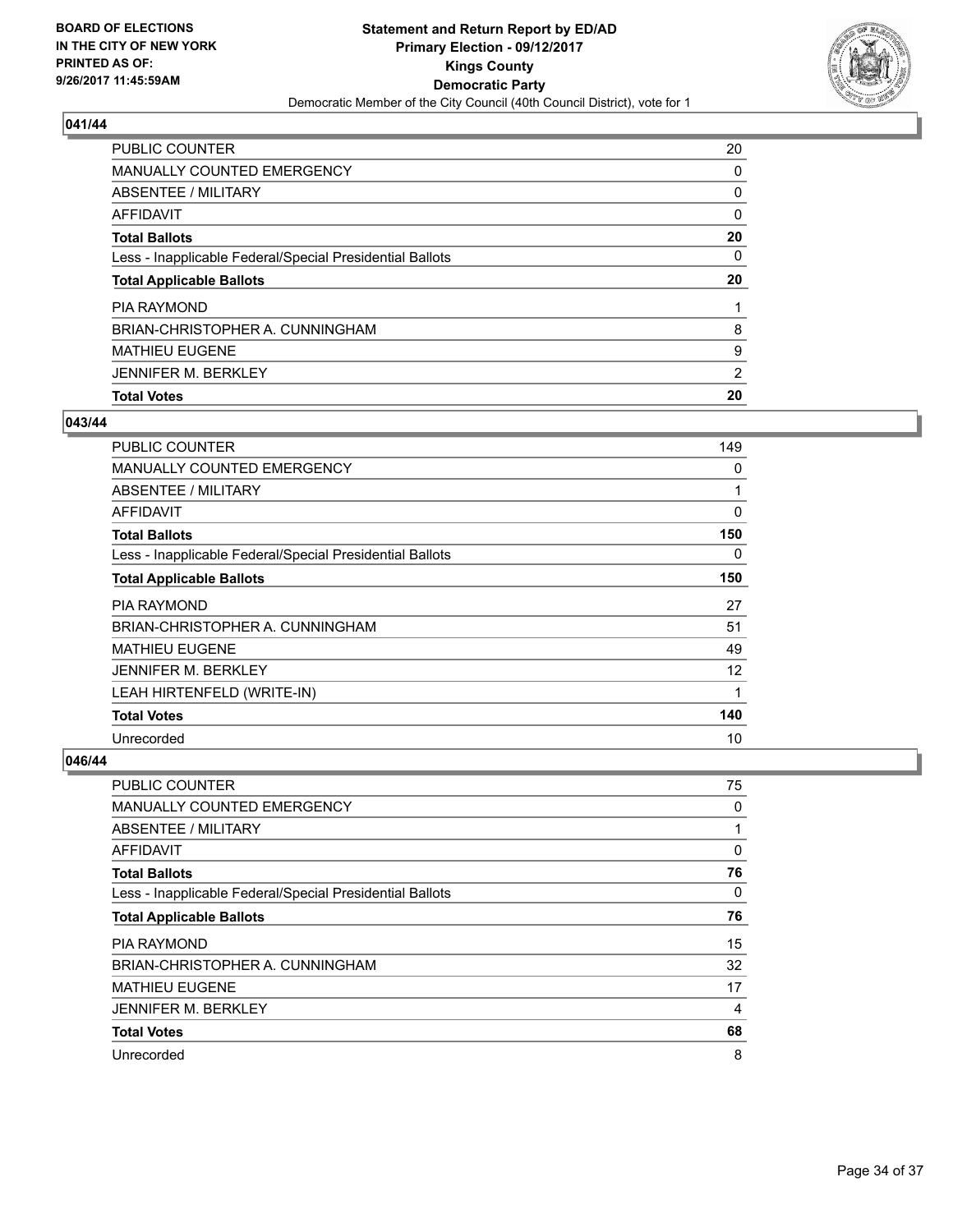

| PUBLIC COUNTER                                           | 20             |
|----------------------------------------------------------|----------------|
| <b>MANUALLY COUNTED EMERGENCY</b>                        | 0              |
| ABSENTEE / MILITARY                                      | 0              |
| AFFIDAVIT                                                | 0              |
| <b>Total Ballots</b>                                     | 20             |
| Less - Inapplicable Federal/Special Presidential Ballots | 0              |
| <b>Total Applicable Ballots</b>                          | 20             |
|                                                          |                |
| PIA RAYMOND                                              |                |
| BRIAN-CHRISTOPHER A. CUNNINGHAM                          | 8              |
| <b>MATHIEU EUGENE</b>                                    | 9              |
| <b>JENNIFER M. BERKLEY</b>                               | $\overline{2}$ |

#### **043/44**

| <b>PUBLIC COUNTER</b>                                    | 149 |
|----------------------------------------------------------|-----|
| <b>MANUALLY COUNTED EMERGENCY</b>                        | 0   |
| <b>ABSENTEE / MILITARY</b>                               | 1   |
| <b>AFFIDAVIT</b>                                         | 0   |
| <b>Total Ballots</b>                                     | 150 |
| Less - Inapplicable Federal/Special Presidential Ballots | 0   |
| <b>Total Applicable Ballots</b>                          | 150 |
| <b>PIA RAYMOND</b>                                       | 27  |
| BRIAN-CHRISTOPHER A. CUNNINGHAM                          | 51  |
| <b>MATHIEU EUGENE</b>                                    | 49  |
| <b>JENNIFER M. BERKLEY</b>                               | 12  |
| LEAH HIRTENFELD (WRITE-IN)                               | 1   |
| <b>Total Votes</b>                                       | 140 |
| Unrecorded                                               | 10  |

| <b>PUBLIC COUNTER</b>                                    | 75 |
|----------------------------------------------------------|----|
| MANUALLY COUNTED EMERGENCY                               | 0  |
| ABSENTEE / MILITARY                                      |    |
| AFFIDAVIT                                                | 0  |
| <b>Total Ballots</b>                                     | 76 |
| Less - Inapplicable Federal/Special Presidential Ballots | 0  |
| <b>Total Applicable Ballots</b>                          | 76 |
| <b>PIA RAYMOND</b>                                       | 15 |
| BRIAN-CHRISTOPHER A. CUNNINGHAM                          | 32 |
| <b>MATHIEU EUGENE</b>                                    | 17 |
| <b>JENNIFER M. BERKLEY</b>                               | 4  |
| <b>Total Votes</b>                                       | 68 |
| Unrecorded                                               | 8  |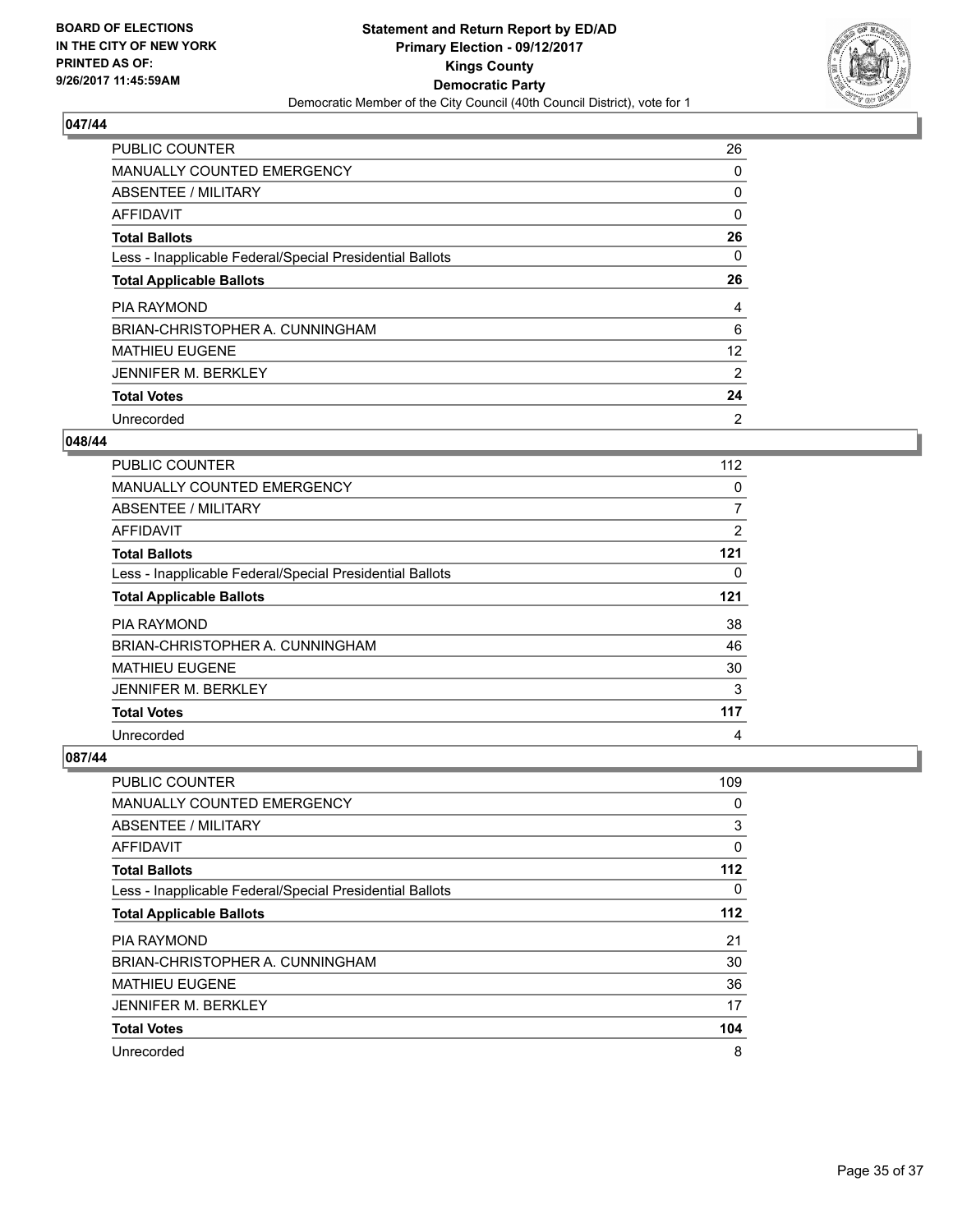

| <b>PUBLIC COUNTER</b>                                    | 26             |
|----------------------------------------------------------|----------------|
| <b>MANUALLY COUNTED EMERGENCY</b>                        | 0              |
| ABSENTEE / MILITARY                                      | 0              |
| AFFIDAVIT                                                | 0              |
| <b>Total Ballots</b>                                     | 26             |
| Less - Inapplicable Federal/Special Presidential Ballots | 0              |
| <b>Total Applicable Ballots</b>                          | 26             |
| <b>PIA RAYMOND</b>                                       | 4              |
| BRIAN-CHRISTOPHER A. CUNNINGHAM                          | 6              |
| <b>MATHIEU EUGENE</b>                                    | 12             |
| <b>JENNIFER M. BERKLEY</b>                               | 2              |
| <b>Total Votes</b>                                       | 24             |
| Unrecorded                                               | $\overline{2}$ |

#### **048/44**

| PUBLIC COUNTER                                           | 112 |
|----------------------------------------------------------|-----|
| <b>MANUALLY COUNTED EMERGENCY</b>                        | 0   |
| ABSENTEE / MILITARY                                      | 7   |
| AFFIDAVIT                                                | 2   |
| <b>Total Ballots</b>                                     | 121 |
| Less - Inapplicable Federal/Special Presidential Ballots | 0   |
| <b>Total Applicable Ballots</b>                          | 121 |
| <b>PIA RAYMOND</b>                                       | 38  |
| BRIAN-CHRISTOPHER A. CUNNINGHAM                          | 46  |
| <b>MATHIEU EUGENE</b>                                    | 30  |
| <b>JENNIFER M. BERKLEY</b>                               | 3   |
| <b>Total Votes</b>                                       | 117 |
| Unrecorded                                               | 4   |

| <b>PUBLIC COUNTER</b>                                    | 109 |
|----------------------------------------------------------|-----|
| MANUALLY COUNTED EMERGENCY                               | 0   |
| ABSENTEE / MILITARY                                      | 3   |
| AFFIDAVIT                                                | 0   |
| <b>Total Ballots</b>                                     | 112 |
| Less - Inapplicable Federal/Special Presidential Ballots | 0   |
| <b>Total Applicable Ballots</b>                          | 112 |
| <b>PIA RAYMOND</b>                                       | 21  |
| BRIAN-CHRISTOPHER A. CUNNINGHAM                          | 30  |
| <b>MATHIEU EUGENE</b>                                    | 36  |
| <b>JENNIFER M. BERKLEY</b>                               | 17  |
| <b>Total Votes</b>                                       | 104 |
| Unrecorded                                               | 8   |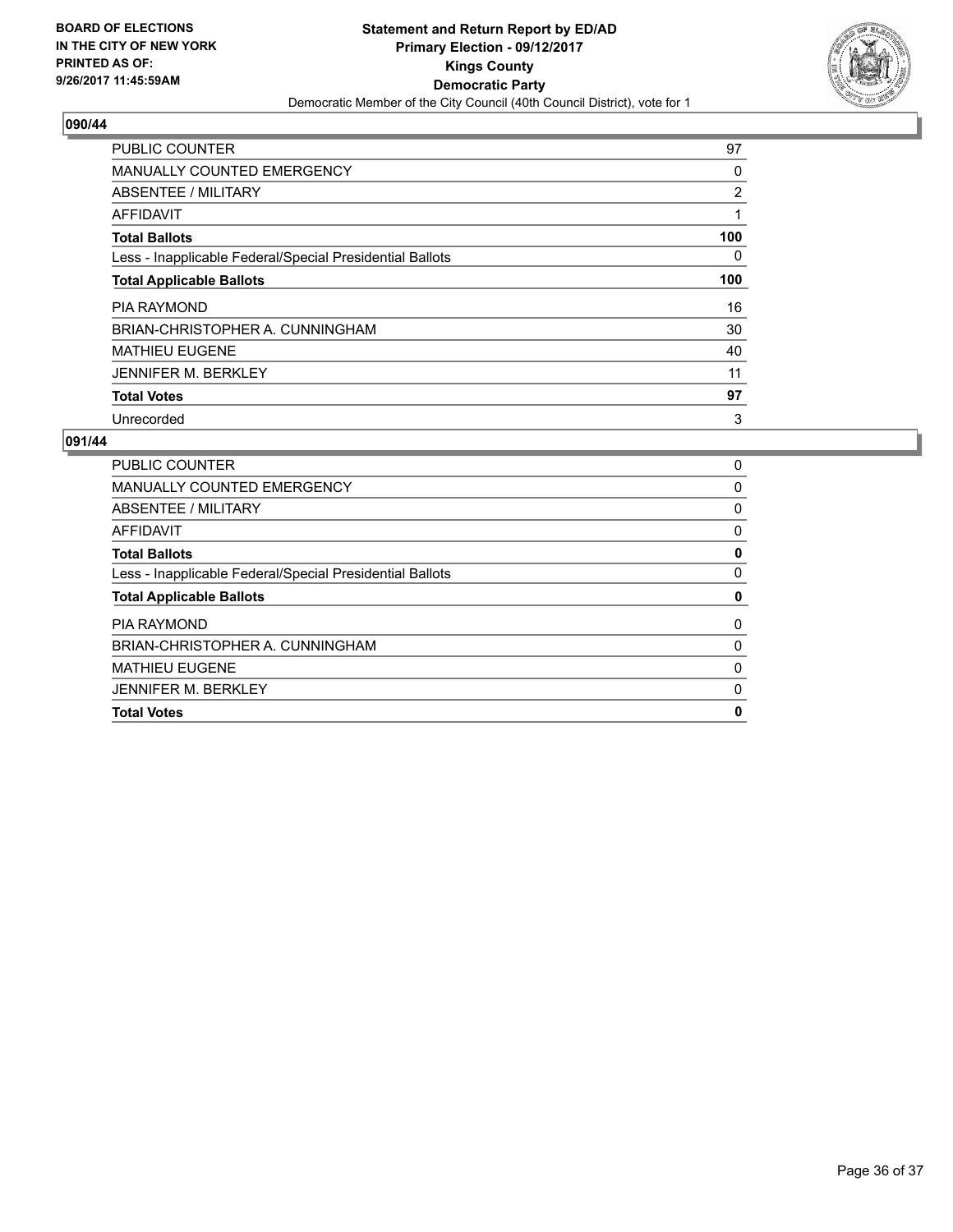

| <b>PUBLIC COUNTER</b>                                    | 97  |
|----------------------------------------------------------|-----|
| <b>MANUALLY COUNTED EMERGENCY</b>                        | 0   |
| ABSENTEE / MILITARY                                      | 2   |
| AFFIDAVIT                                                |     |
| <b>Total Ballots</b>                                     | 100 |
| Less - Inapplicable Federal/Special Presidential Ballots | 0   |
| <b>Total Applicable Ballots</b>                          | 100 |
| <b>PIA RAYMOND</b>                                       | 16  |
| BRIAN-CHRISTOPHER A. CUNNINGHAM                          | 30  |
| <b>MATHIEU EUGENE</b>                                    | 40  |
| <b>JENNIFER M. BERKLEY</b>                               | 11  |
| <b>Total Votes</b>                                       | 97  |
| Unrecorded                                               | 3   |

| PUBLIC COUNTER                                           | 0 |
|----------------------------------------------------------|---|
| <b>MANUALLY COUNTED EMERGENCY</b>                        | 0 |
| ABSENTEE / MILITARY                                      | 0 |
| AFFIDAVIT                                                | 0 |
| <b>Total Ballots</b>                                     | 0 |
| Less - Inapplicable Federal/Special Presidential Ballots | 0 |
| <b>Total Applicable Ballots</b>                          | 0 |
| <b>PIA RAYMOND</b>                                       | 0 |
| BRIAN-CHRISTOPHER A. CUNNINGHAM                          | 0 |
| <b>MATHIEU EUGENE</b>                                    | 0 |
| <b>JENNIFER M. BERKLEY</b>                               | 0 |
| <b>Total Votes</b>                                       | 0 |